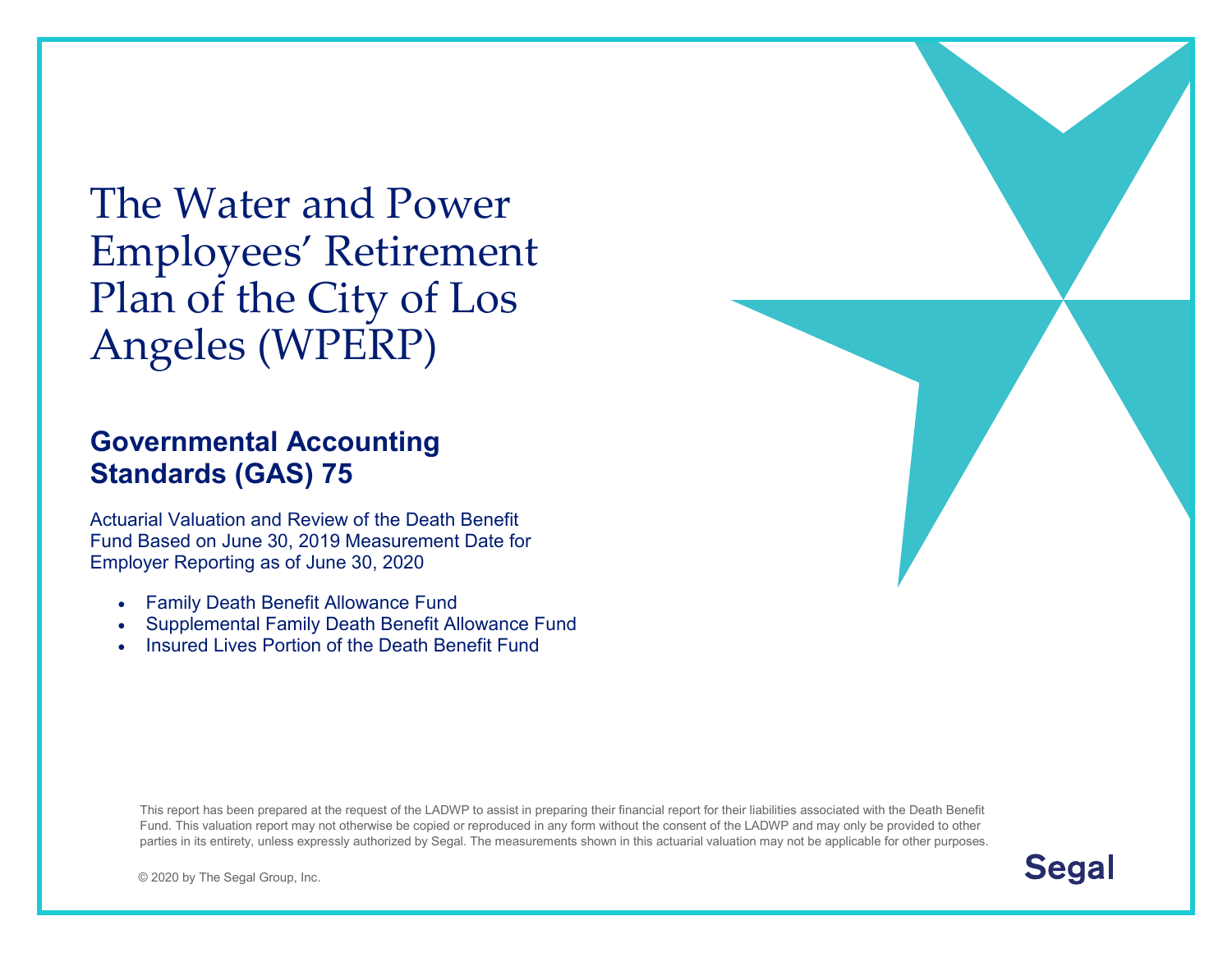The Water and Power Employees' Retirement Plan of the City of Los Angeles (WPERP)

# **Governmental Accounting Standards (GAS) 75**

Actuarial Valuation and Review of the Death Benefit Fund Based on June 30, 2019 Measurement Date for Employer Reporting as of June 30, 2020

- Family Death Benefit Allowance Fund
- Supplemental Family Death Benefit Allowance Fund
- Insured Lives Portion of the Death Benefit Fund

This report has been prepared at the request of the LADWP to assist in preparing their financial report for their liabilities associated with the Death Benefit Fund. This valuation report may not otherwise be copied or reproduced in any form without the consent of the LADWP and may only be provided to other parties in its entirety, unless expressly authorized by Segal. The measurements shown in this actuarial valuation may not be applicable for other purposes.

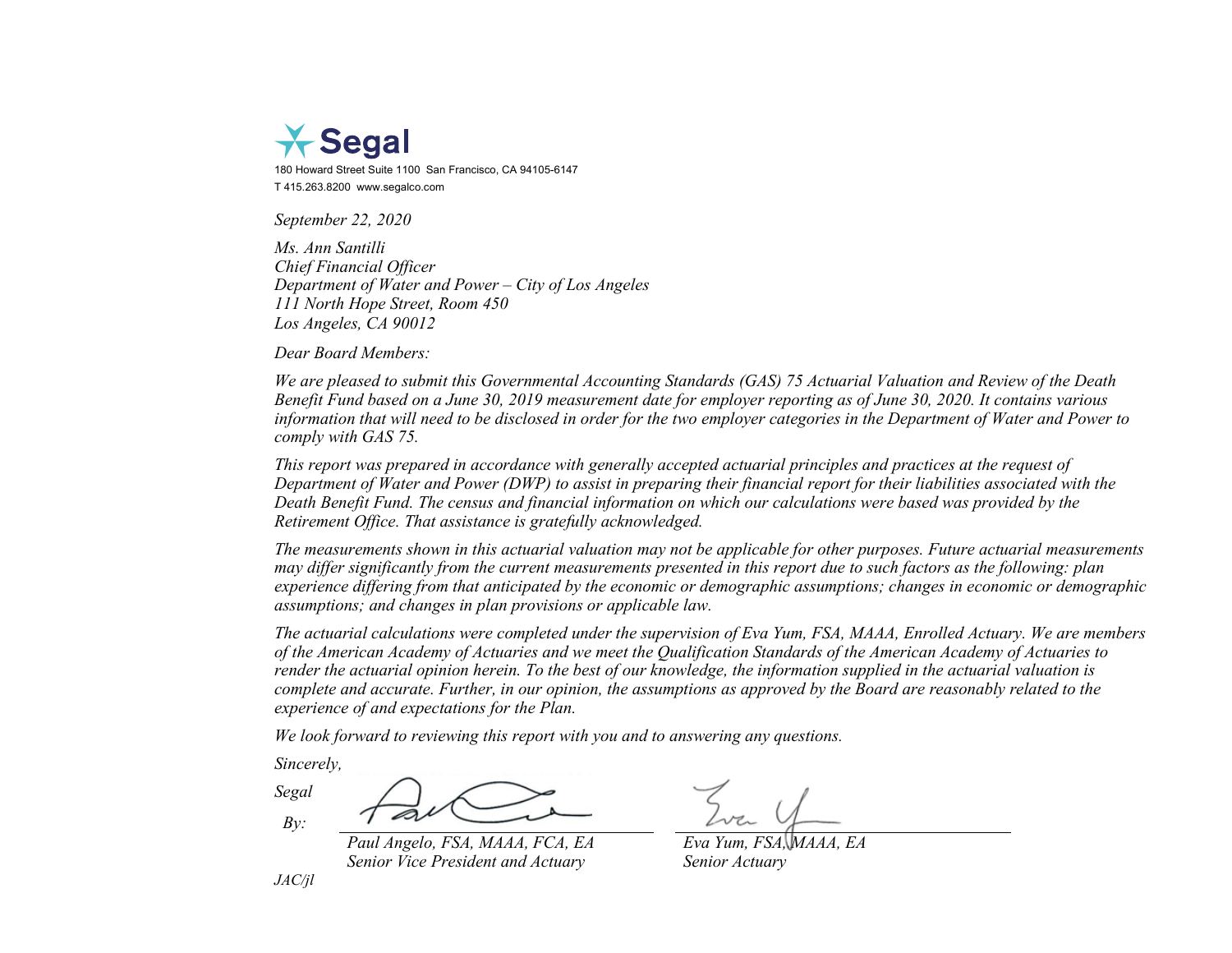

180 Howard Street Suite 1100 San Francisco, CA 94105-6147 T 415.263.8200 www.segalco.com

*September 22, 2020*

*Ms. Ann Santilli Chief Financial Officer Department of Water and Power – City of Los Angeles 111 North Hope Street, Room 450 Los Angeles, CA 90012*

*Dear Board Members:*

*We are pleased to submit this Governmental Accounting Standards (GAS) 75 Actuarial Valuation and Review of the Death Benefit Fund based on a June 30, 2019 measurement date for employer reporting as of June 30, 2020. It contains various information that will need to be disclosed in order for the two employer categories in the Department of Water and Power to comply with GAS 75.*

*This report was prepared in accordance with generally accepted actuarial principles and practices at the request of Department of Water and Power (DWP) to assist in preparing their financial report for their liabilities associated with the Death Benefit Fund. The census and financial information on which our calculations were based was provided by the Retirement Office. That assistance is gratefully acknowledged.*

*The measurements shown in this actuarial valuation may not be applicable for other purposes. Future actuarial measurements may differ significantly from the current measurements presented in this report due to such factors as the following: plan experience differing from that anticipated by the economic or demographic assumptions; changes in economic or demographic assumptions; and changes in plan provisions or applicable law.*

*The actuarial calculations were completed under the supervision of Eva Yum, FSA, MAAA, Enrolled Actuary. We are members of the American Academy of Actuaries and we meet the Qualification Standards of the American Academy of Actuaries to render the actuarial opinion herein. To the best of our knowledge, the information supplied in the actuarial valuation is complete and accurate. Further, in our opinion, the assumptions as approved by the Board are reasonably related to the experience of and expectations for the Plan.*

*We look forward to reviewing this report with you and to answering any questions.*

*Sincerely,*

*Segal By:*

*Paul Angelo, FSA, MAAA, FCA, EA Eva Yum, FSA, MAAA, EA Senior Vice President and Actuary Senior Actuary*

*JAC/jl*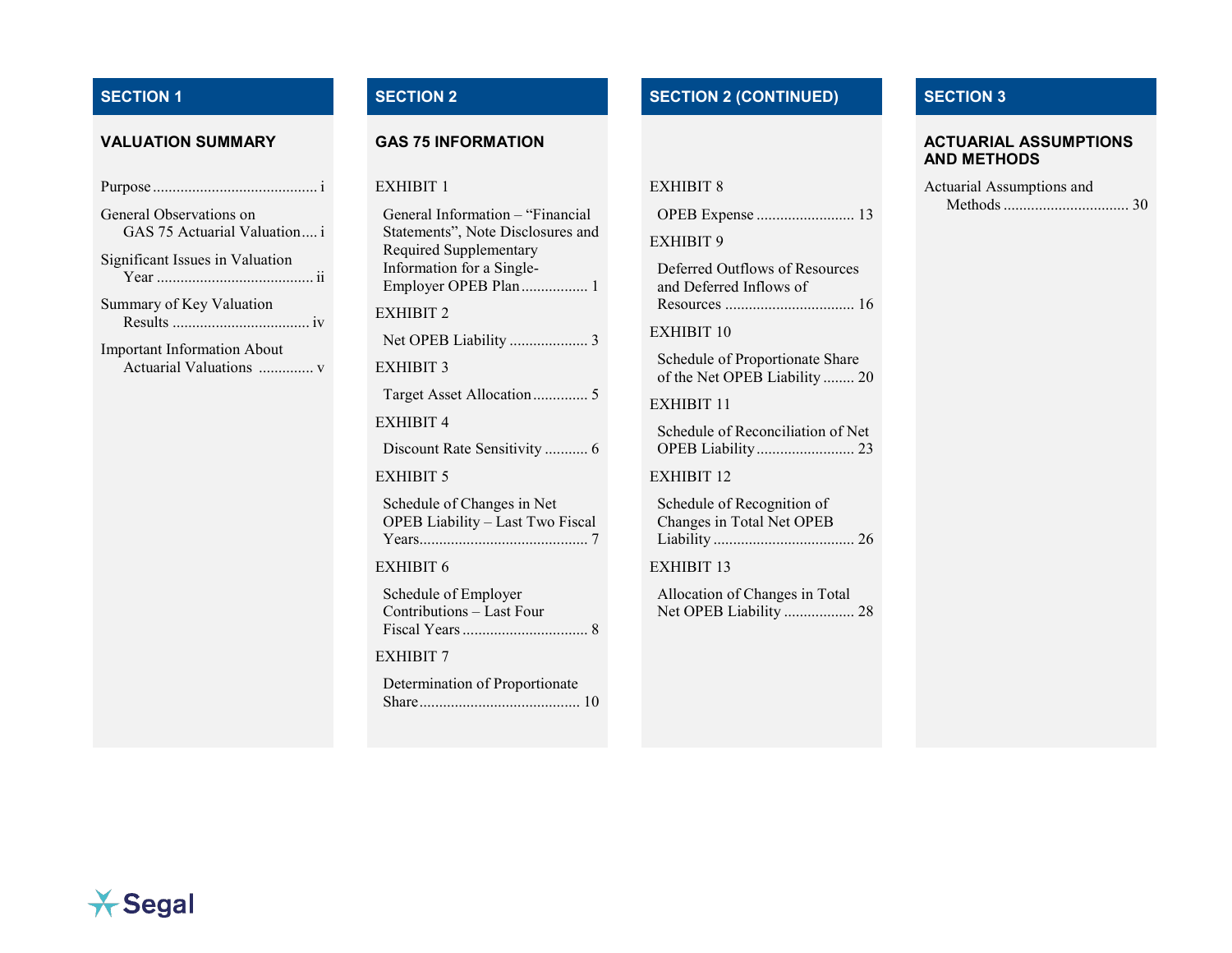| General Observations on<br>GAS 75 Actuarial Valuation i |
|---------------------------------------------------------|
| Significant Issues in Valuation                         |
| Summary of Key Valuation                                |

Important Information About Actuarial Valuations .............. [v](#page-7-0)

### EXHIBIT 1

| General Information - "Financial<br>Statements", Note Disclosures and<br>Required Supplementary<br>Information for a Single-<br>Employer OPEB Plan 1 |
|------------------------------------------------------------------------------------------------------------------------------------------------------|
| EXHIBIT 2                                                                                                                                            |
| Net OPEB Liability  3                                                                                                                                |
| <b>EXHIBIT 3</b>                                                                                                                                     |
| Target Asset Allocation 5                                                                                                                            |
| <b>EXHIBIT 4</b>                                                                                                                                     |
| Discount Rate Sensitivity  6                                                                                                                         |
| EXHIBIT 5                                                                                                                                            |
| Schedule of Changes in Net<br>OPEB Liability - Last Two Fiscal                                                                                       |
| <b>EXHIBIT 6</b>                                                                                                                                     |
| Schedule of Employer<br>Contributions - Last Four                                                                                                    |
| EXHIBIT 7                                                                                                                                            |
| Determination of Proportionate                                                                                                                       |

## **SECTION 1 SECTION 2 SECTION 2 (CONTINUED) SECTION 3**

| <b>EXHIBIT 8</b> |  |
|------------------|--|
|                  |  |

|--|--|--|

EXHIBIT 9

Deferred Outflows of Resources and Deferred Inflows of Resources ................................. [16](#page-24-0)

EXHIBIT 10

Schedule of Proportionate Share of the Net OPEB Liability ........ [20](#page-28-0)

EXHIBIT 11

Schedule of Reconciliation of Net OPEB Liability......................... [23](#page-31-0)

EXHIBIT 12

Schedule of Recognition of Changes in Total Net OPEB Liability .................................... [26](#page-34-0)

EXHIBIT 13

Allocation of Changes in Total Net OPEB Liability .................. [28](#page-36-0)

## **VALUATION SUMMARY GAS 75 INFORMATION ACTUARIAL ASSUMPTIONS AND METHODS**

| Actuarial Assumptions and |  |
|---------------------------|--|
|                           |  |

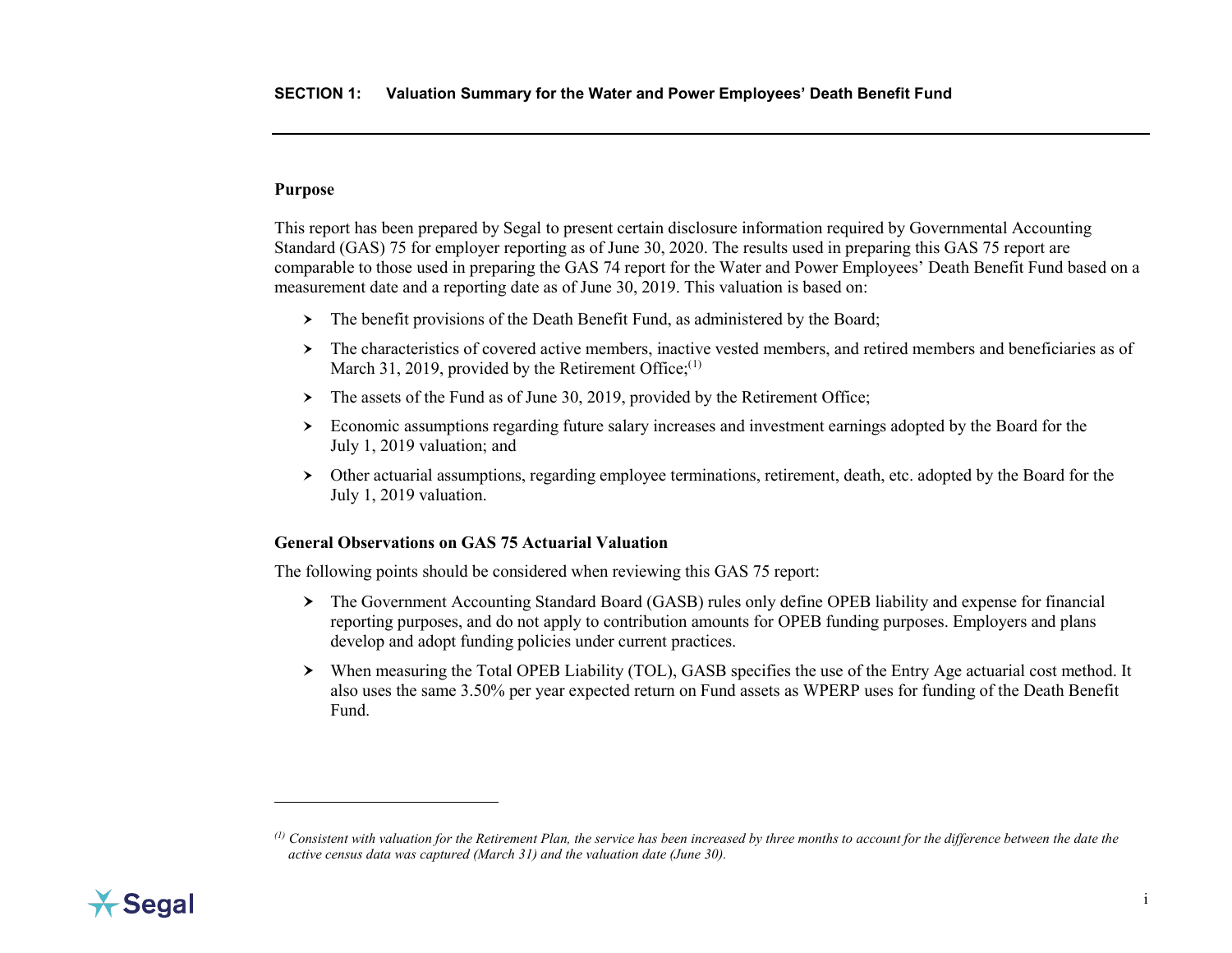## <span id="page-3-2"></span><span id="page-3-0"></span>**Purpose**

 $\ddot{\phantom{a}}$ 

This report has been prepared by Segal to present certain disclosure information required by Governmental Accounting Standard (GAS) 75 for employer reporting as of June 30, 2020. The results used in preparing this GAS 75 report are comparable to those used in preparing the GAS 74 report for the Water and Power Employees' Death Benefit Fund based on a measurement date and a reporting date as of June 30, 2019. This valuation is based on:

- > The benefit provisions of the Death Benefit Fund, as administered by the Board;
- The characteristics of covered active members, inactive vested members, and retired members and beneficiaries as of March 31, 2019, provided by the Retirement Office; $(1)$  $(1)$
- $\triangleright$  The assets of the Fund as of June 30, 2019, provided by the Retirement Office;
- Economic assumptions regarding future salary increases and investment earnings adopted by the Board for the July 1, 2019 valuation; and
- Other actuarial assumptions, regarding employee terminations, retirement, death, etc. adopted by the Board for the July 1, 2019 valuation.

## <span id="page-3-1"></span>**General Observations on GAS 75 Actuarial Valuation**

The following points should be considered when reviewing this GAS 75 report:

- The Government Accounting Standard Board (GASB) rules only define OPEB liability and expense for financial reporting purposes, and do not apply to contribution amounts for OPEB funding purposes. Employers and plans develop and adopt funding policies under current practices.
- When measuring the Total OPEB Liability (TOL), GASB specifies the use of the Entry Age actuarial cost method. It also uses the same 3.50% per year expected return on Fund assets as WPERP uses for funding of the Death Benefit Fund.



*<sup>(1)</sup> Consistent with valuation for the Retirement Plan, the service has been increased by three months to account for the difference between the date the active census data was captured (March 31) and the valuation date (June 30).*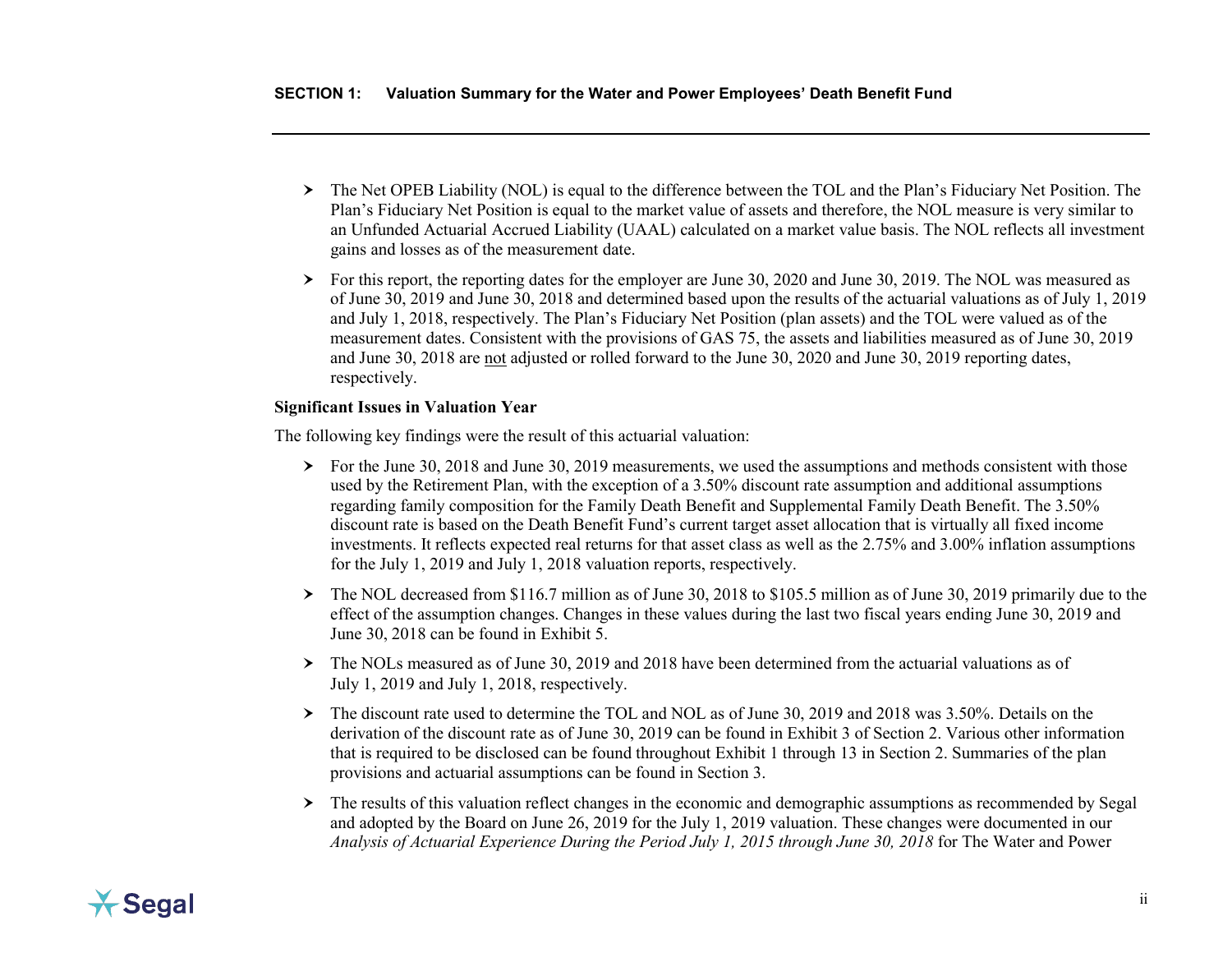- The Net OPEB Liability (NOL) is equal to the difference between the TOL and the Plan's Fiduciary Net Position. The Plan's Fiduciary Net Position is equal to the market value of assets and therefore, the NOL measure is very similar to an Unfunded Actuarial Accrued Liability (UAAL) calculated on a market value basis. The NOL reflects all investment gains and losses as of the measurement date.
- For this report, the reporting dates for the employer are June 30, 2020 and June 30, 2019. The NOL was measured as of June 30, 2019 and June 30, 2018 and determined based upon the results of the actuarial valuations as of July 1, 2019 and July 1, 2018, respectively. The Plan's Fiduciary Net Position (plan assets) and the TOL were valued as of the measurement dates. Consistent with the provisions of GAS 75, the assets and liabilities measured as of June 30, 2019 and June 30, 2018 are not adjusted or rolled forward to the June 30, 2020 and June 30, 2019 reporting dates, respectively.

## <span id="page-4-0"></span>**Significant Issues in Valuation Year**

The following key findings were the result of this actuarial valuation:

- $\triangleright$  For the June 30, 2018 and June 30, 2019 measurements, we used the assumptions and methods consistent with those used by the Retirement Plan, with the exception of a 3.50% discount rate assumption and additional assumptions regarding family composition for the Family Death Benefit and Supplemental Family Death Benefit. The 3.50% discount rate is based on the Death Benefit Fund's current target asset allocation that is virtually all fixed income investments. It reflects expected real returns for that asset class as well as the 2.75% and 3.00% inflation assumptions for the July 1, 2019 and July 1, 2018 valuation reports, respectively.
- $\geq$  The NOL decreased from \$116.7 million as of June 30, 2018 to \$105.5 million as of June 30, 2019 primarily due to the effect of the assumption changes. Changes in these values during the last two fiscal years ending June 30, 2019 and June 30, 2018 can be found in Exhibit 5.
- $\triangleright$  The NOLs measured as of June 30, 2019 and 2018 have been determined from the actuarial valuations as of July 1, 2019 and July 1, 2018, respectively.
- $\triangleright$  The discount rate used to determine the TOL and NOL as of June 30, 2019 and 2018 was 3.50%. Details on the derivation of the discount rate as of June 30, 2019 can be found in Exhibit 3 of Section 2. Various other information that is required to be disclosed can be found throughout Exhibit 1 through 13 in Section 2. Summaries of the plan provisions and actuarial assumptions can be found in Section 3.
- $\triangleright$  The results of this valuation reflect changes in the economic and demographic assumptions as recommended by Segal and adopted by the Board on June 26, 2019 for the July 1, 2019 valuation. These changes were documented in our *Analysis of Actuarial Experience During the Period July 1, 2015 through June 30, 2018* for The Water and Power

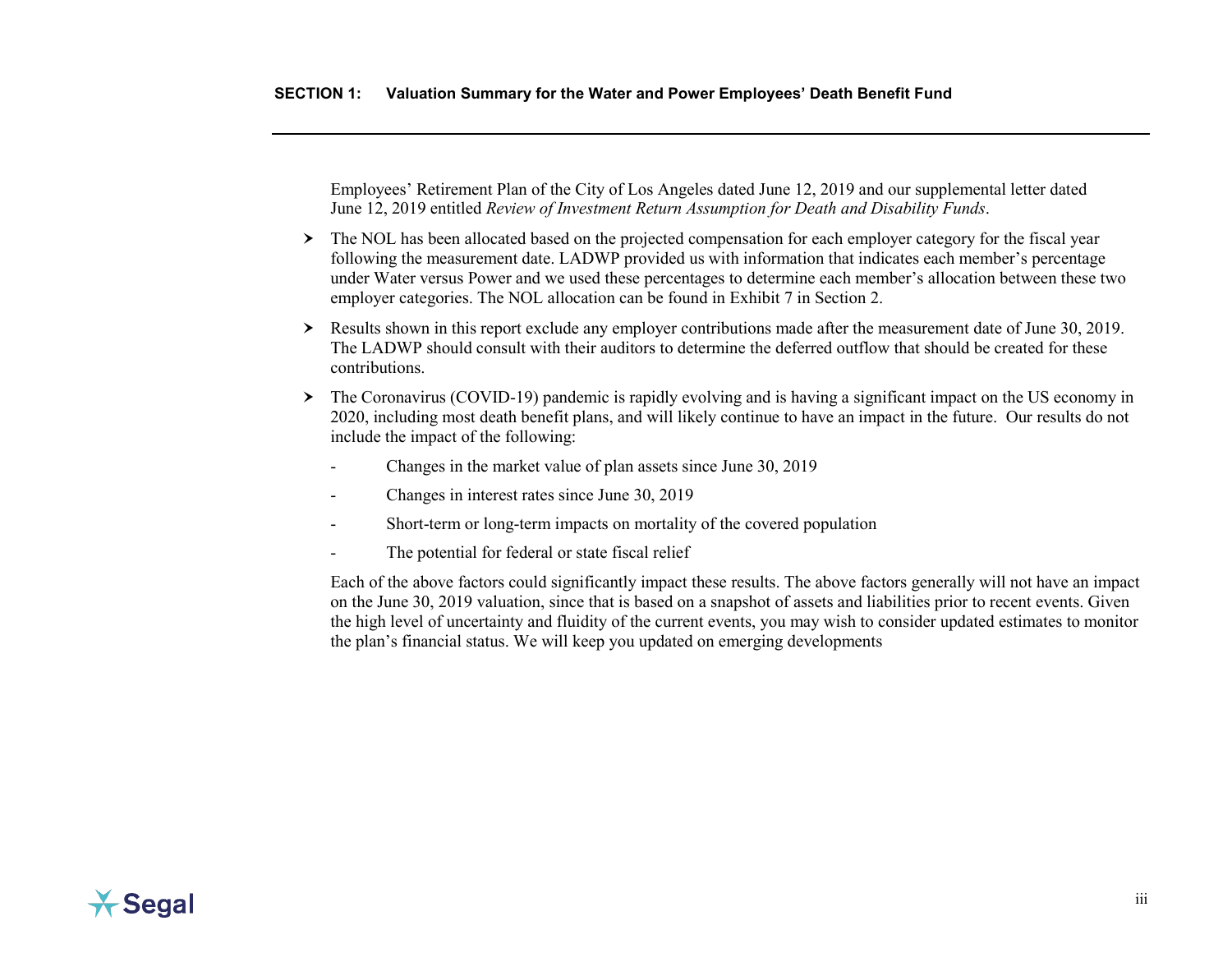Employees' Retirement Plan of the City of Los Angeles dated June 12, 2019 and our supplemental letter dated June 12, 2019 entitled *Review of Investment Return Assumption for Death and Disability Funds*.

- The NOL has been allocated based on the projected compensation for each employer category for the fiscal year following the measurement date. LADWP provided us with information that indicates each member's percentage under Water versus Power and we used these percentages to determine each member's allocation between these two employer categories. The NOL allocation can be found in Exhibit 7 in Section 2.
- Results shown in this report exclude any employer contributions made after the measurement date of June 30, 2019. The LADWP should consult with their auditors to determine the deferred outflow that should be created for these contributions.
- The Coronavirus (COVID-19) pandemic is rapidly evolving and is having a significant impact on the US economy in 2020, including most death benefit plans, and will likely continue to have an impact in the future. Our results do not include the impact of the following:
	- Changes in the market value of plan assets since June 30, 2019
	- Changes in interest rates since June 30, 2019
	- Short-term or long-term impacts on mortality of the covered population
	- The potential for federal or state fiscal relief

Each of the above factors could significantly impact these results. The above factors generally will not have an impact on the June 30, 2019 valuation, since that is based on a snapshot of assets and liabilities prior to recent events. Given the high level of uncertainty and fluidity of the current events, you may wish to consider updated estimates to monitor the plan's financial status. We will keep you updated on emerging developments

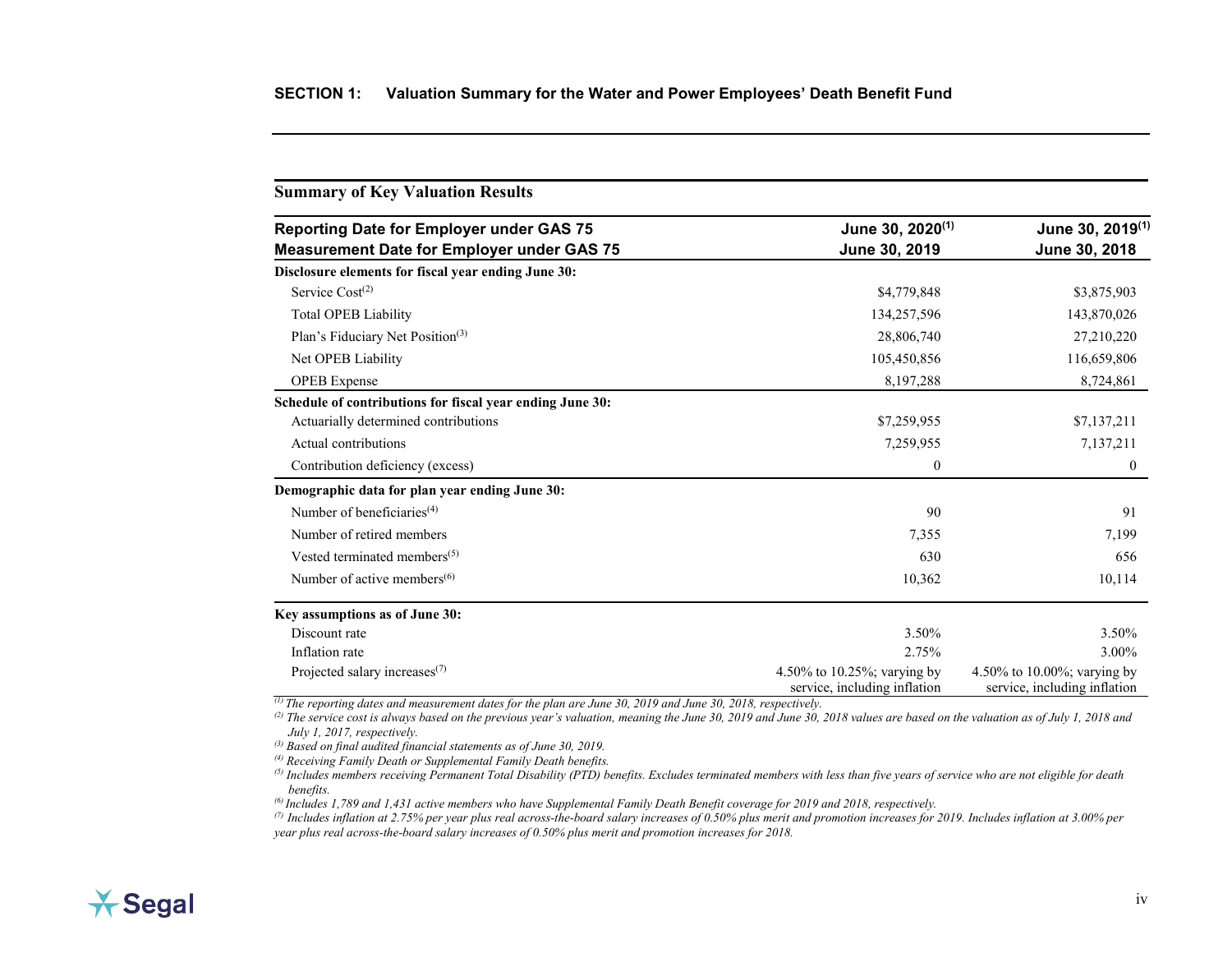<span id="page-6-0"></span>

| <b>Summary of Key Valuation Results</b>                   |                                                             |                                                             |  |  |
|-----------------------------------------------------------|-------------------------------------------------------------|-------------------------------------------------------------|--|--|
| <b>Reporting Date for Employer under GAS 75</b>           | June 30, 2020 <sup>(1)</sup>                                | June 30, 2019 <sup>(1)</sup>                                |  |  |
| <b>Measurement Date for Employer under GAS 75</b>         | June 30, 2019                                               | June 30, 2018                                               |  |  |
| Disclosure elements for fiscal year ending June 30:       |                                                             |                                                             |  |  |
| Service $Cost(2)$                                         | \$4,779,848                                                 | \$3,875,903                                                 |  |  |
| <b>Total OPEB Liability</b>                               | 134,257,596                                                 | 143,870,026                                                 |  |  |
| Plan's Fiduciary Net Position <sup>(3)</sup>              | 28,806,740                                                  | 27,210,220                                                  |  |  |
| Net OPEB Liability                                        | 105,450,856                                                 | 116,659,806                                                 |  |  |
| <b>OPEB</b> Expense                                       | 8,197,288                                                   | 8,724,861                                                   |  |  |
| Schedule of contributions for fiscal year ending June 30: |                                                             |                                                             |  |  |
| Actuarially determined contributions                      | \$7,259,955                                                 | \$7,137,211                                                 |  |  |
| Actual contributions                                      | 7,259,955                                                   | 7,137,211                                                   |  |  |
| Contribution deficiency (excess)                          | $\theta$                                                    | $\overline{0}$                                              |  |  |
| Demographic data for plan year ending June 30:            |                                                             |                                                             |  |  |
| Number of beneficiaries <sup>(4)</sup>                    | 90                                                          | 91                                                          |  |  |
| Number of retired members                                 | 7,355                                                       | 7,199                                                       |  |  |
| Vested terminated members <sup>(5)</sup>                  | 630                                                         | 656                                                         |  |  |
| Number of active members $(6)$                            | 10,362                                                      | 10,114                                                      |  |  |
| Key assumptions as of June 30:                            |                                                             |                                                             |  |  |
| Discount rate                                             | 3.50%                                                       | 3.50%                                                       |  |  |
| Inflation rate                                            | 2.75%                                                       | 3.00%                                                       |  |  |
| Projected salary increases $(7)$                          | 4.50% to 10.25%; varying by<br>service, including inflation | 4.50% to 10.00%; varying by<br>service, including inflation |  |  |

*(1) The reporting dates and measurement dates for the plan are June 30, 2019 and June 30, 2018, respectively.*

*(2) The service cost is always based on the previous year's valuation, meaning the June 30, 2019 and June 30, 2018 values are based on the valuation as of July 1, 2018 and July 1, 2017, respectively.*

*(3) Based on final audited financial statements as of June 30, 2019.*

*(4) Receiving Family Death or Supplemental Family Death benefits.*

*(5) Includes members receiving Permanent Total Disability (PTD) benefits. Excludes terminated members with less than five years of service who are not eligible for death benefits.*

*(6) Includes 1,789 and 1,431 active members who have Supplemental Family Death Benefit coverage for 2019 and 2018, respectively.*

*(7) Includes inflation at 2.75% per year plus real across-the-board salary increases of 0.50% plus merit and promotion increases for 2019. Includes inflation at 3.00% per year plus real across-the-board salary increases of 0.50% plus merit and promotion increases for 2018.*

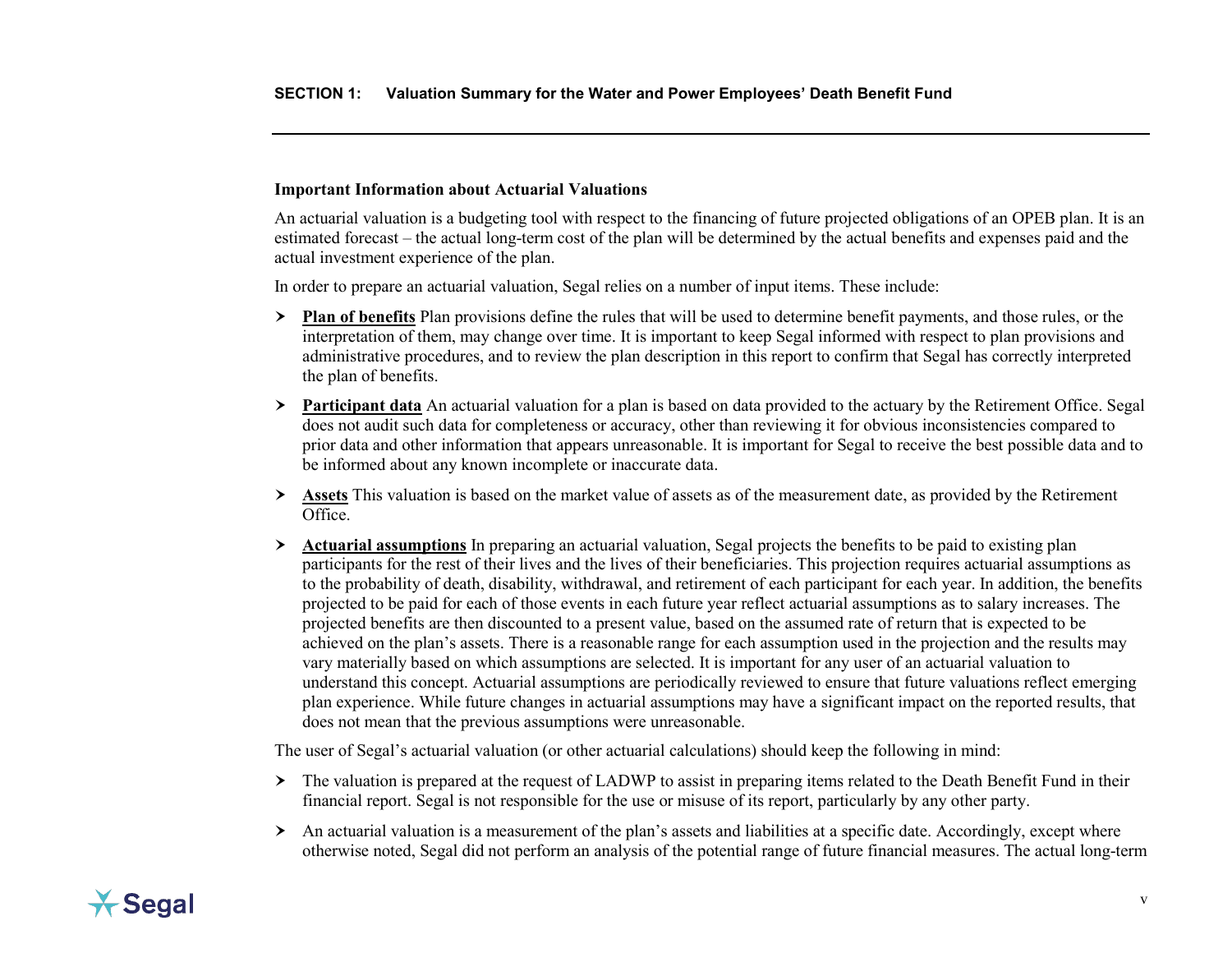## <span id="page-7-0"></span>**Important Information about Actuarial Valuations**

An actuarial valuation is a budgeting tool with respect to the financing of future projected obligations of an OPEB plan. It is an estimated forecast – the actual long-term cost of the plan will be determined by the actual benefits and expenses paid and the actual investment experience of the plan.

In order to prepare an actuarial valuation, Segal relies on a number of input items. These include:

- **Plan of benefits** Plan provisions define the rules that will be used to determine benefit payments, and those rules, or the interpretation of them, may change over time. It is important to keep Segal informed with respect to plan provisions and administrative procedures, and to review the plan description in this report to confirm that Segal has correctly interpreted the plan of benefits.
- **Participant data** An actuarial valuation for a plan is based on data provided to the actuary by the Retirement Office. Segal does not audit such data for completeness or accuracy, other than reviewing it for obvious inconsistencies compared to prior data and other information that appears unreasonable. It is important for Segal to receive the best possible data and to be informed about any known incomplete or inaccurate data.
- **Assets** This valuation is based on the market value of assets as of the measurement date, as provided by the Retirement Office.
- **Actuarial assumptions** In preparing an actuarial valuation, Segal projects the benefits to be paid to existing plan participants for the rest of their lives and the lives of their beneficiaries. This projection requires actuarial assumptions as to the probability of death, disability, withdrawal, and retirement of each participant for each year. In addition, the benefits projected to be paid for each of those events in each future year reflect actuarial assumptions as to salary increases. The projected benefits are then discounted to a present value, based on the assumed rate of return that is expected to be achieved on the plan's assets. There is a reasonable range for each assumption used in the projection and the results may vary materially based on which assumptions are selected. It is important for any user of an actuarial valuation to understand this concept. Actuarial assumptions are periodically reviewed to ensure that future valuations reflect emerging plan experience. While future changes in actuarial assumptions may have a significant impact on the reported results, that does not mean that the previous assumptions were unreasonable.

The user of Segal's actuarial valuation (or other actuarial calculations) should keep the following in mind:

- $\geq$  The valuation is prepared at the request of LADWP to assist in preparing items related to the Death Benefit Fund in their financial report. Segal is not responsible for the use or misuse of its report, particularly by any other party.
- $\triangleright$  An actuarial valuation is a measurement of the plan's assets and liabilities at a specific date. Accordingly, except where otherwise noted, Segal did not perform an analysis of the potential range of future financial measures. The actual long-term

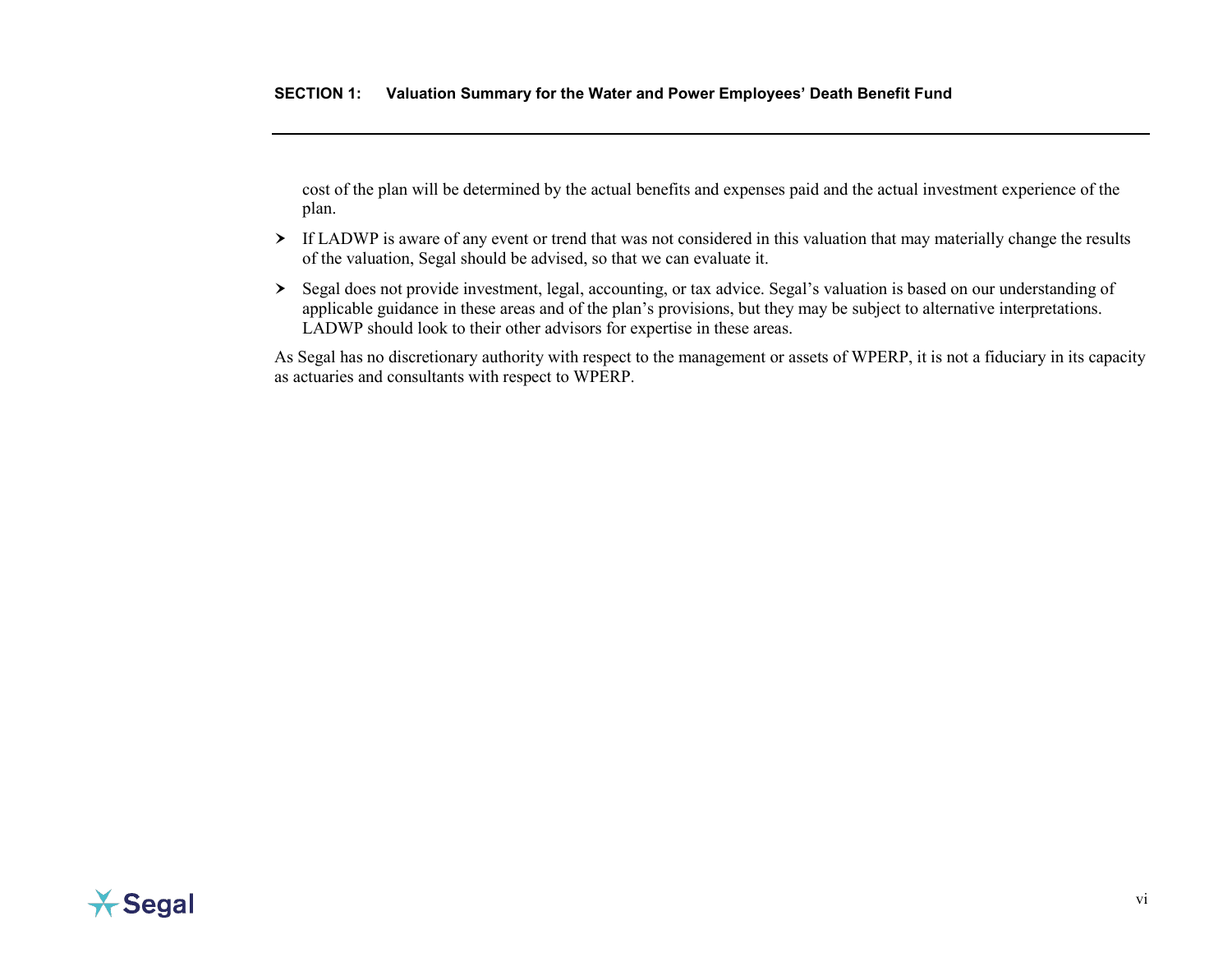cost of the plan will be determined by the actual benefits and expenses paid and the actual investment experience of the plan.

- If LADWP is aware of any event or trend that was not considered in this valuation that may materially change the results of the valuation, Segal should be advised, so that we can evaluate it.
- Segal does not provide investment, legal, accounting, or tax advice. Segal's valuation is based on our understanding of applicable guidance in these areas and of the plan's provisions, but they may be subject to alternative interpretations. LADWP should look to their other advisors for expertise in these areas.

As Segal has no discretionary authority with respect to the management or assets of WPERP, it is not a fiduciary in its capacity as actuaries and consultants with respect to WPERP.

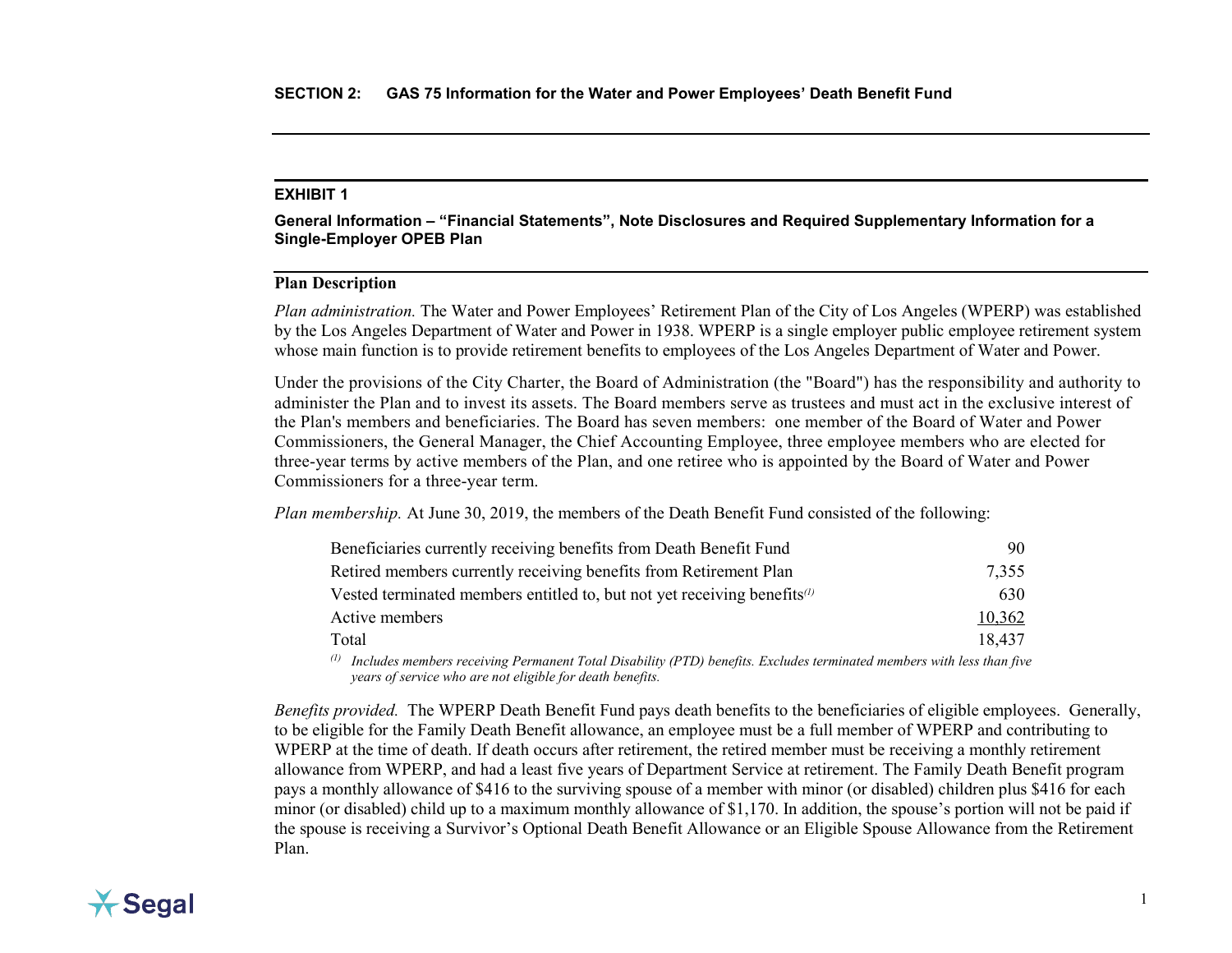<span id="page-9-0"></span>**General Information – "Financial Statements", Note Disclosures and Required Supplementary Information for a Single-Employer OPEB Plan**

## **Plan Description**

*Plan administration.* The Water and Power Employees' Retirement Plan of the City of Los Angeles (WPERP) was established by the Los Angeles Department of Water and Power in 1938. WPERP is a single employer public employee retirement system whose main function is to provide retirement benefits to employees of the Los Angeles Department of Water and Power.

Under the provisions of the City Charter, the Board of Administration (the "Board") has the responsibility and authority to administer the Plan and to invest its assets. The Board members serve as trustees and must act in the exclusive interest of the Plan's members and beneficiaries. The Board has seven members: one member of the Board of Water and Power Commissioners, the General Manager, the Chief Accounting Employee, three employee members who are elected for three-year terms by active members of the Plan, and one retiree who is appointed by the Board of Water and Power Commissioners for a three-year term.

*Plan membership.* At June 30, 2019, the members of the Death Benefit Fund consisted of the following:

| Beneficiaries currently receiving benefits from Death Benefit Fund                                      | 90                                                                                                                                                                                                                                                                                                                            |
|---------------------------------------------------------------------------------------------------------|-------------------------------------------------------------------------------------------------------------------------------------------------------------------------------------------------------------------------------------------------------------------------------------------------------------------------------|
| Retired members currently receiving benefits from Retirement Plan                                       | 7,355                                                                                                                                                                                                                                                                                                                         |
| Vested terminated members entitled to, but not yet receiving benefits $\alpha$                          | 630                                                                                                                                                                                                                                                                                                                           |
| Active members                                                                                          | 10,362                                                                                                                                                                                                                                                                                                                        |
| Total                                                                                                   | 18.437                                                                                                                                                                                                                                                                                                                        |
| $(1)$ $\tau$ $1$ $1$<br>$\cdots$ n $\pi$ in $\cdots$ $\pi$ in $\cdots$ $\cdots$ in $\cdots$ in $\cdots$ | $\cdot$ , $\cdot$ , $\cdot$ , $\cdot$ , $\cdot$ , $\cdot$ , $\cdot$ , $\cdot$ , $\cdot$ , $\cdot$ , $\cdot$ , $\cdot$ , $\cdot$ , $\cdot$ , $\cdot$ , $\cdot$ , $\cdot$ , $\cdot$ , $\cdot$ , $\cdot$ , $\cdot$ , $\cdot$ , $\cdot$ , $\cdot$ , $\cdot$ , $\cdot$ , $\cdot$ , $\cdot$ , $\cdot$ , $\cdot$ , $\cdot$ , $\cdot$ |

*(1) Includes members receiving Permanent Total Disability (PTD) benefits. Excludes terminated members with less than five years of service who are not eligible for death benefits.*

*Benefits provided.* The WPERP Death Benefit Fund pays death benefits to the beneficiaries of eligible employees. Generally, to be eligible for the Family Death Benefit allowance, an employee must be a full member of WPERP and contributing to WPERP at the time of death. If death occurs after retirement, the retired member must be receiving a monthly retirement allowance from WPERP, and had a least five years of Department Service at retirement. The Family Death Benefit program pays a monthly allowance of \$416 to the surviving spouse of a member with minor (or disabled) children plus \$416 for each minor (or disabled) child up to a maximum monthly allowance of \$1,170. In addition, the spouse's portion will not be paid if the spouse is receiving a Survivor's Optional Death Benefit Allowance or an Eligible Spouse Allowance from the Retirement Plan.

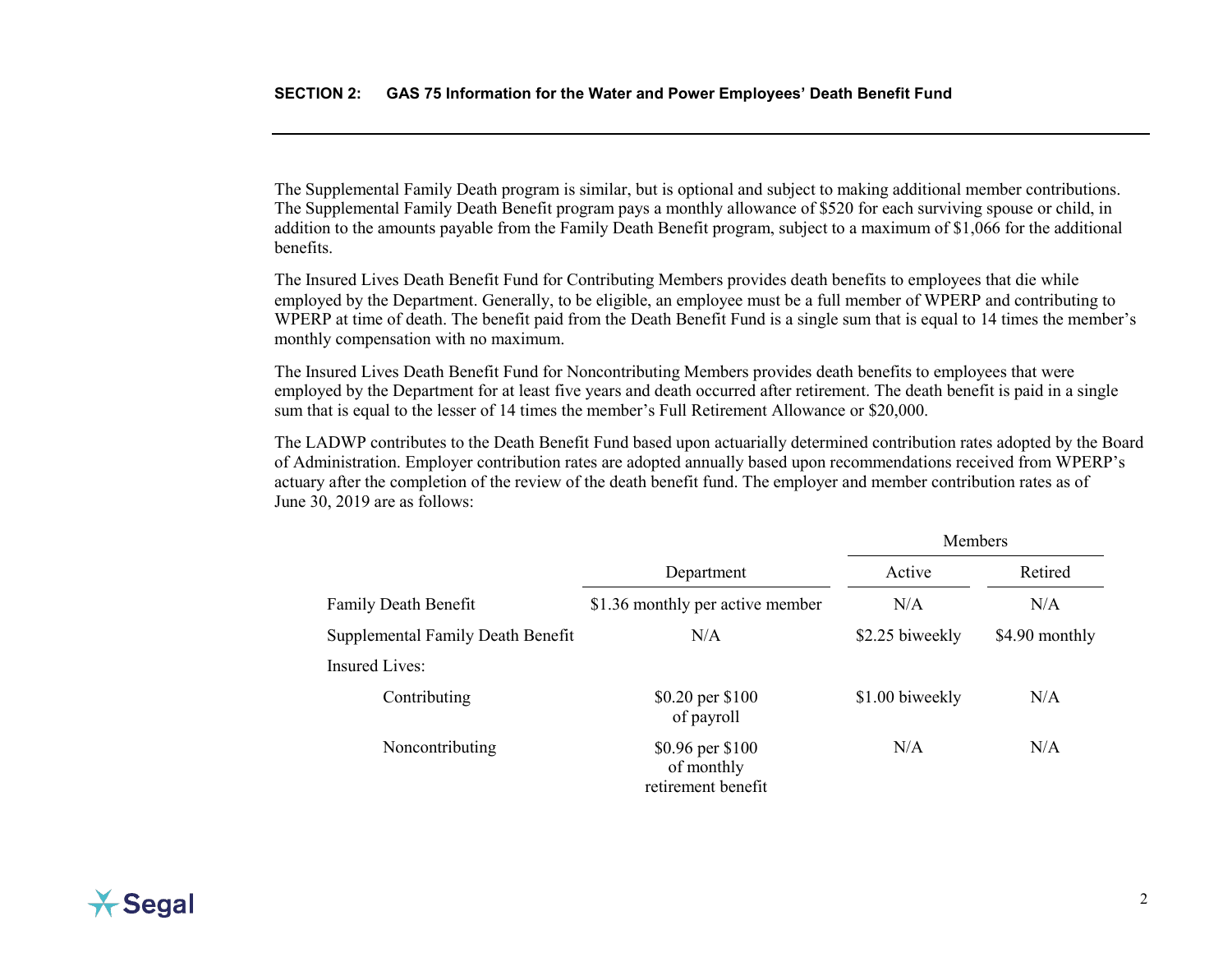The Supplemental Family Death program is similar, but is optional and subject to making additional member contributions. The Supplemental Family Death Benefit program pays a monthly allowance of \$520 for each surviving spouse or child, in addition to the amounts payable from the Family Death Benefit program, subject to a maximum of \$1,066 for the additional benefits.

The Insured Lives Death Benefit Fund for Contributing Members provides death benefits to employees that die while employed by the Department. Generally, to be eligible, an employee must be a full member of WPERP and contributing to WPERP at time of death. The benefit paid from the Death Benefit Fund is a single sum that is equal to 14 times the member's monthly compensation with no maximum.

The Insured Lives Death Benefit Fund for Noncontributing Members provides death benefits to employees that were employed by the Department for at least five years and death occurred after retirement. The death benefit is paid in a single sum that is equal to the lesser of 14 times the member's Full Retirement Allowance or \$20,000.

The LADWP contributes to the Death Benefit Fund based upon actuarially determined contribution rates adopted by the Board of Administration. Employer contribution rates are adopted annually based upon recommendations received from WPERP's actuary after the completion of the review of the death benefit fund. The employer and member contribution rates as of June 30, 2019 are as follows:

|                                   |                                                      | Members         |                |
|-----------------------------------|------------------------------------------------------|-----------------|----------------|
|                                   | Department                                           | Active          | Retired        |
| <b>Family Death Benefit</b>       | \$1.36 monthly per active member                     | N/A             | N/A            |
| Supplemental Family Death Benefit | N/A                                                  | \$2.25 biweekly | \$4.90 monthly |
| <b>Insured Lives:</b>             |                                                      |                 |                |
| Contributing                      | \$0.20 per \$100<br>of payroll                       | \$1.00 biweekly | N/A            |
| Noncontributing                   | \$0.96 per \$100<br>of monthly<br>retirement benefit | N/A             | N/A            |

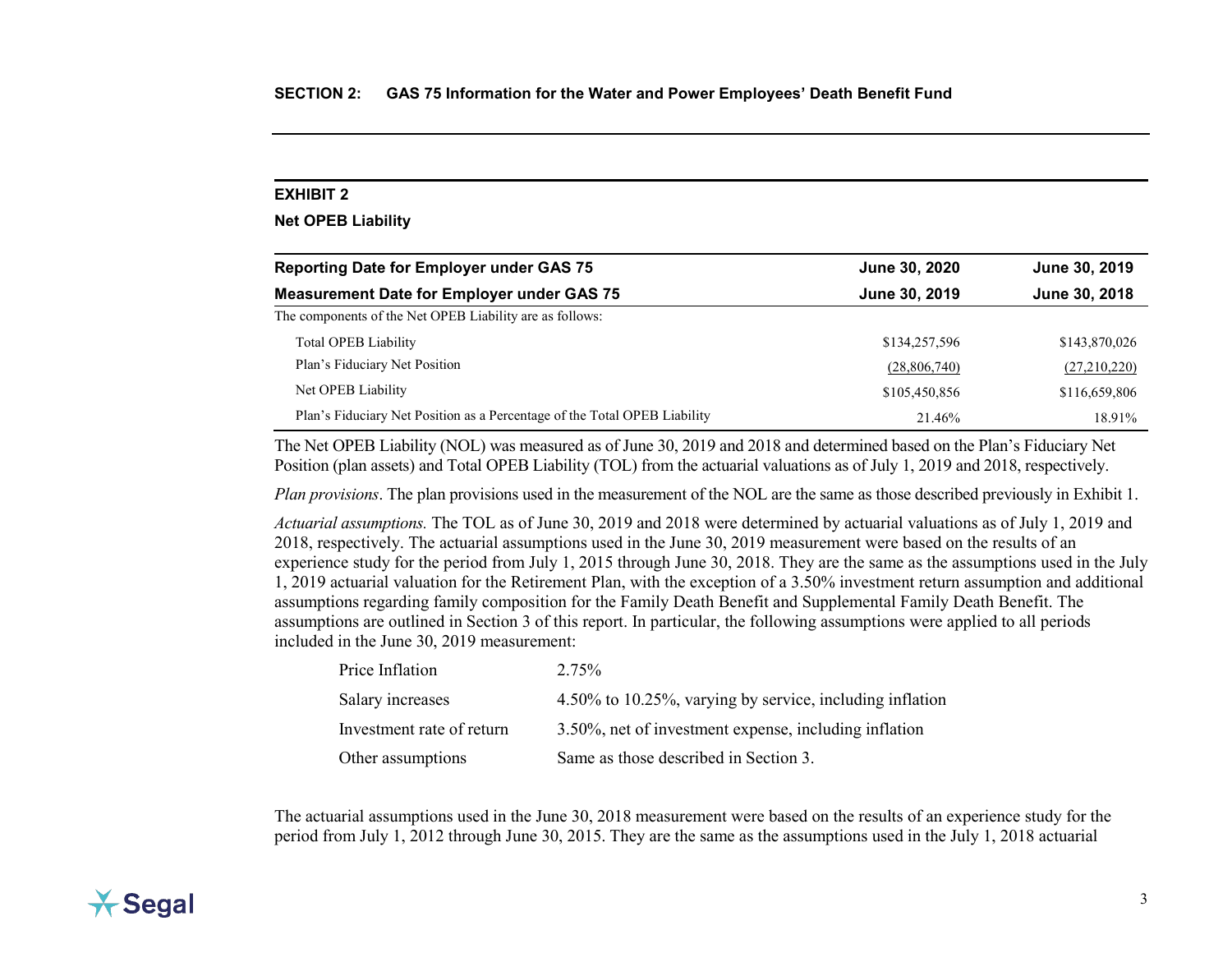## <span id="page-11-0"></span>**Net OPEB Liability**

| <b>Reporting Date for Employer under GAS 75</b>                           | June 30, 2020 | June 30, 2019 |  |
|---------------------------------------------------------------------------|---------------|---------------|--|
| <b>Measurement Date for Employer under GAS 75</b>                         | June 30, 2019 | June 30, 2018 |  |
| The components of the Net OPEB Liability are as follows:                  |               |               |  |
| <b>Total OPEB Liability</b>                                               | \$134,257,596 | \$143,870,026 |  |
| Plan's Fiduciary Net Position                                             | (28,806,740)  | (27,210,220)  |  |
| Net OPEB Liability                                                        | \$105,450,856 | \$116,659,806 |  |
| Plan's Fiduciary Net Position as a Percentage of the Total OPEB Liability | 21.46%        | 18.91%        |  |

The Net OPEB Liability (NOL) was measured as of June 30, 2019 and 2018 and determined based on the Plan's Fiduciary Net Position (plan assets) and Total OPEB Liability (TOL) from the actuarial valuations as of July 1, 2019 and 2018, respectively.

*Plan provisions*. The plan provisions used in the measurement of the NOL are the same as those described previously in Exhibit 1.

*Actuarial assumptions.* The TOL as of June 30, 2019 and 2018 were determined by actuarial valuations as of July 1, 2019 and 2018, respectively. The actuarial assumptions used in the June 30, 2019 measurement were based on the results of an experience study for the period from July 1, 2015 through June 30, 2018. They are the same as the assumptions used in the July 1, 2019 actuarial valuation for the Retirement Plan, with the exception of a 3.50% investment return assumption and additional assumptions regarding family composition for the Family Death Benefit and Supplemental Family Death Benefit. The assumptions are outlined in Section 3 of this report. In particular, the following assumptions were applied to all periods included in the June 30, 2019 measurement:

| Price Inflation           | 2.75%                                                    |
|---------------------------|----------------------------------------------------------|
| Salary increases          | 4.50% to 10.25%, varying by service, including inflation |
| Investment rate of return | 3.50%, net of investment expense, including inflation    |
| Other assumptions         | Same as those described in Section 3.                    |

The actuarial assumptions used in the June 30, 2018 measurement were based on the results of an experience study for the period from July 1, 2012 through June 30, 2015. They are the same as the assumptions used in the July 1, 2018 actuarial

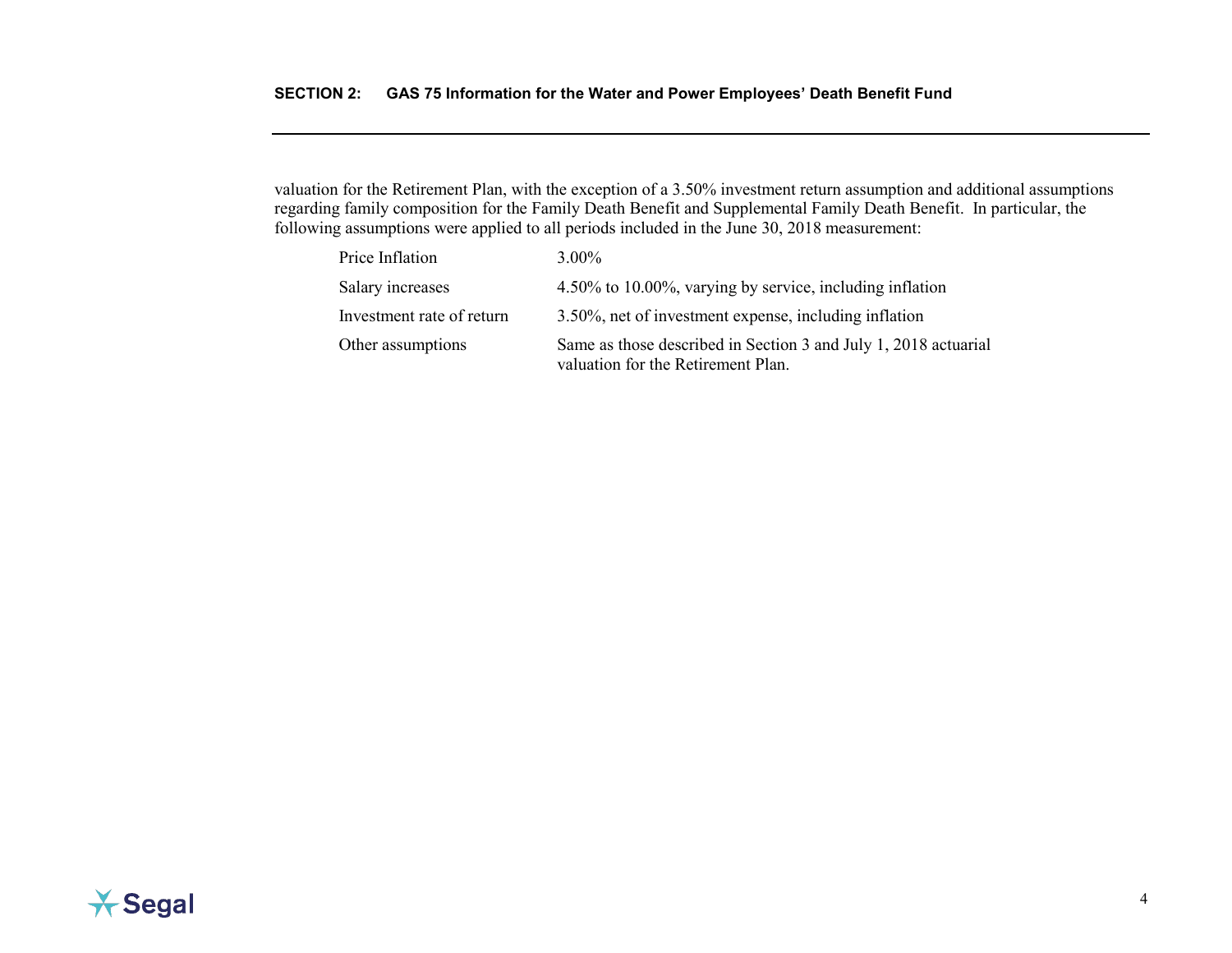valuation for the Retirement Plan, with the exception of a 3.50% investment return assumption and additional assumptions regarding family composition for the Family Death Benefit and Supplemental Family Death Benefit. In particular, the following assumptions were applied to all periods included in the June 30, 2018 measurement:

| Price Inflation           | $3.00\%$                                                                                              |
|---------------------------|-------------------------------------------------------------------------------------------------------|
| Salary increases          | 4.50% to 10.00%, varying by service, including inflation                                              |
| Investment rate of return | 3.50%, net of investment expense, including inflation                                                 |
| Other assumptions         | Same as those described in Section 3 and July 1, 2018 actuarial<br>valuation for the Retirement Plan. |

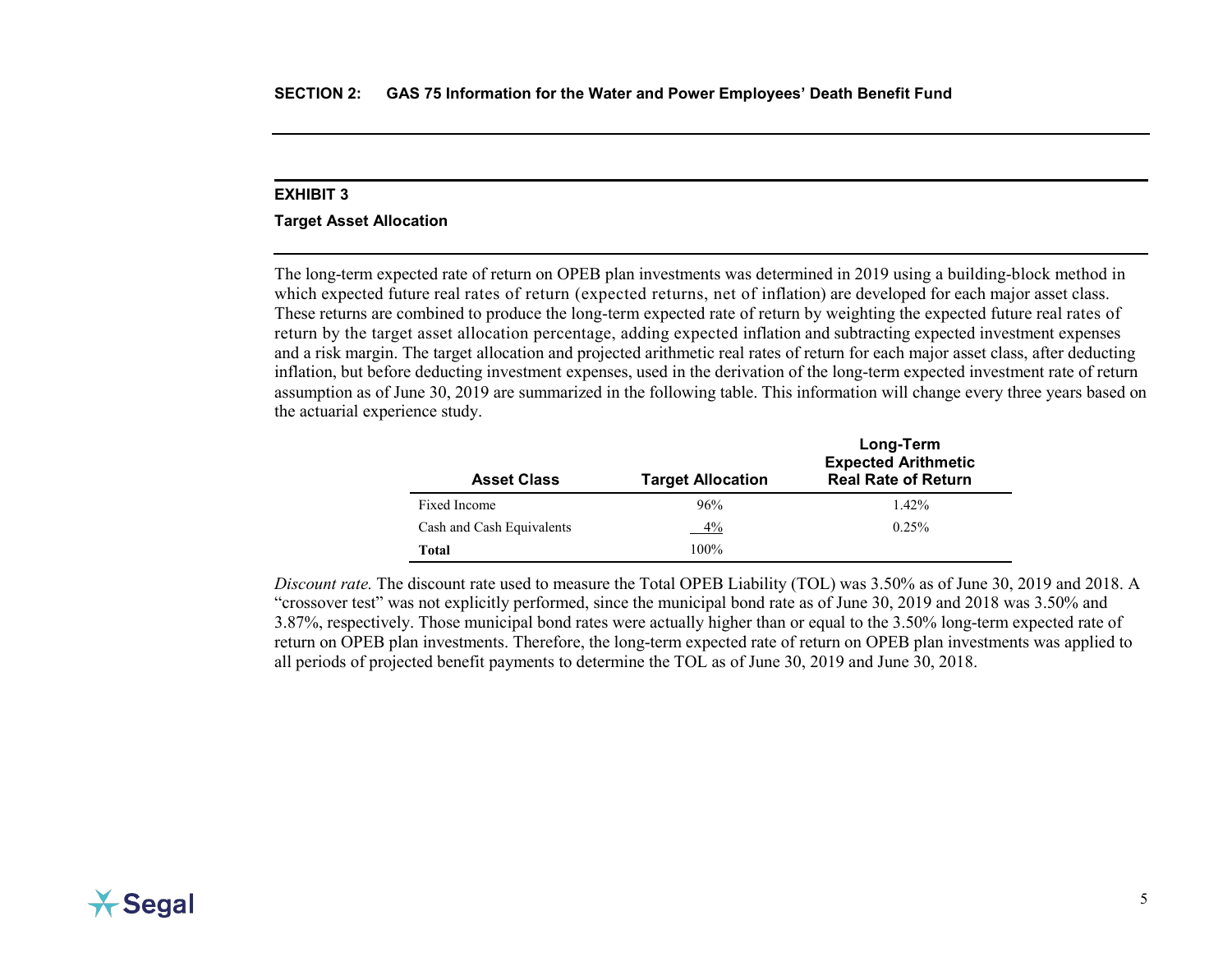#### <span id="page-13-0"></span>**Target Asset Allocation**

The long-term expected rate of return on OPEB plan investments was determined in 2019 using a building-block method in which expected future real rates of return (expected returns, net of inflation) are developed for each major asset class. These returns are combined to produce the long-term expected rate of return by weighting the expected future real rates of return by the target asset allocation percentage, adding expected inflation and subtracting expected investment expenses and a risk margin. The target allocation and projected arithmetic real rates of return for each major asset class, after deducting inflation, but before deducting investment expenses, used in the derivation of the long-term expected investment rate of return assumption as of June 30, 2019 are summarized in the following table. This information will change every three years based on the actuarial experience study.

| <b>Asset Class</b>        | <b>Target Allocation</b> | Long-Term<br><b>Expected Arithmetic</b><br><b>Real Rate of Return</b> |
|---------------------------|--------------------------|-----------------------------------------------------------------------|
| Fixed Income              | 96%                      | $1.42\%$                                                              |
| Cash and Cash Equivalents | 4%                       | 0.25%                                                                 |
| Total                     | 100%                     |                                                                       |

*Discount rate.* The discount rate used to measure the Total OPEB Liability (TOL) was 3.50% as of June 30, 2019 and 2018. A "crossover test" was not explicitly performed, since the municipal bond rate as of June 30, 2019 and 2018 was 3.50% and 3.87%, respectively. Those municipal bond rates were actually higher than or equal to the 3.50% long-term expected rate of return on OPEB plan investments. Therefore, the long-term expected rate of return on OPEB plan investments was applied to all periods of projected benefit payments to determine the TOL as of June 30, 2019 and June 30, 2018.

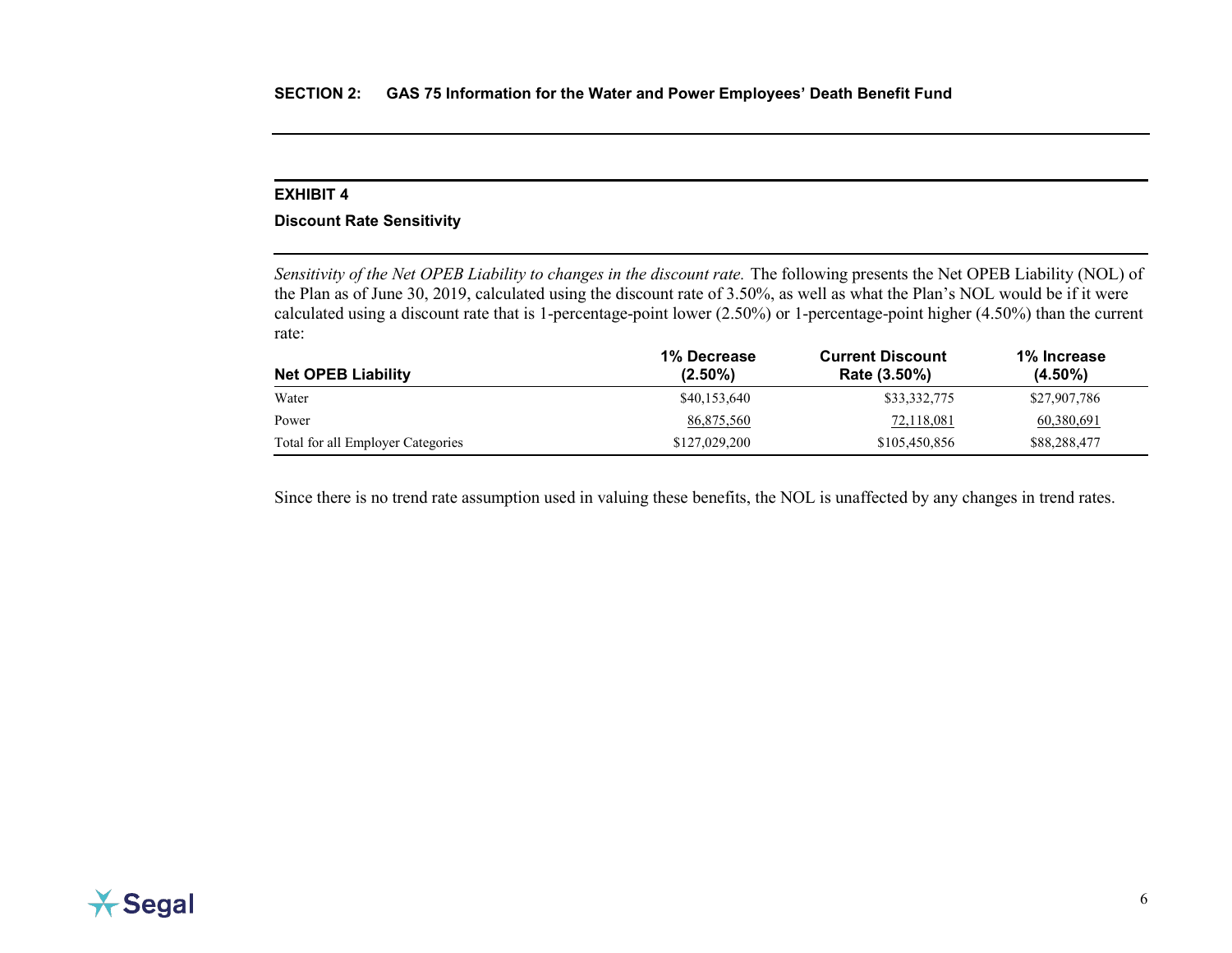## <span id="page-14-0"></span>**Discount Rate Sensitivity**

*Sensitivity of the Net OPEB Liability to changes in the discount rate.* The following presents the Net OPEB Liability (NOL) of the Plan as of June 30, 2019, calculated using the discount rate of 3.50%, as well as what the Plan's NOL would be if it were calculated using a discount rate that is 1-percentage-point lower (2.50%) or 1-percentage-point higher (4.50%) than the current rate:

|                                   | 1% Decrease   | <b>Current Discount</b> | 1% Increase  |  |
|-----------------------------------|---------------|-------------------------|--------------|--|
| <b>Net OPEB Liability</b>         | $(2.50\%)$    | Rate (3.50%)            | $(4.50\%)$   |  |
| Water                             | \$40,153,640  | \$33,332,775            | \$27,907,786 |  |
| Power                             | 86,875,560    | 72,118,081              | 60,380,691   |  |
| Total for all Employer Categories | \$127,029,200 | \$105,450,856           | \$88,288,477 |  |

Since there is no trend rate assumption used in valuing these benefits, the NOL is unaffected by any changes in trend rates.

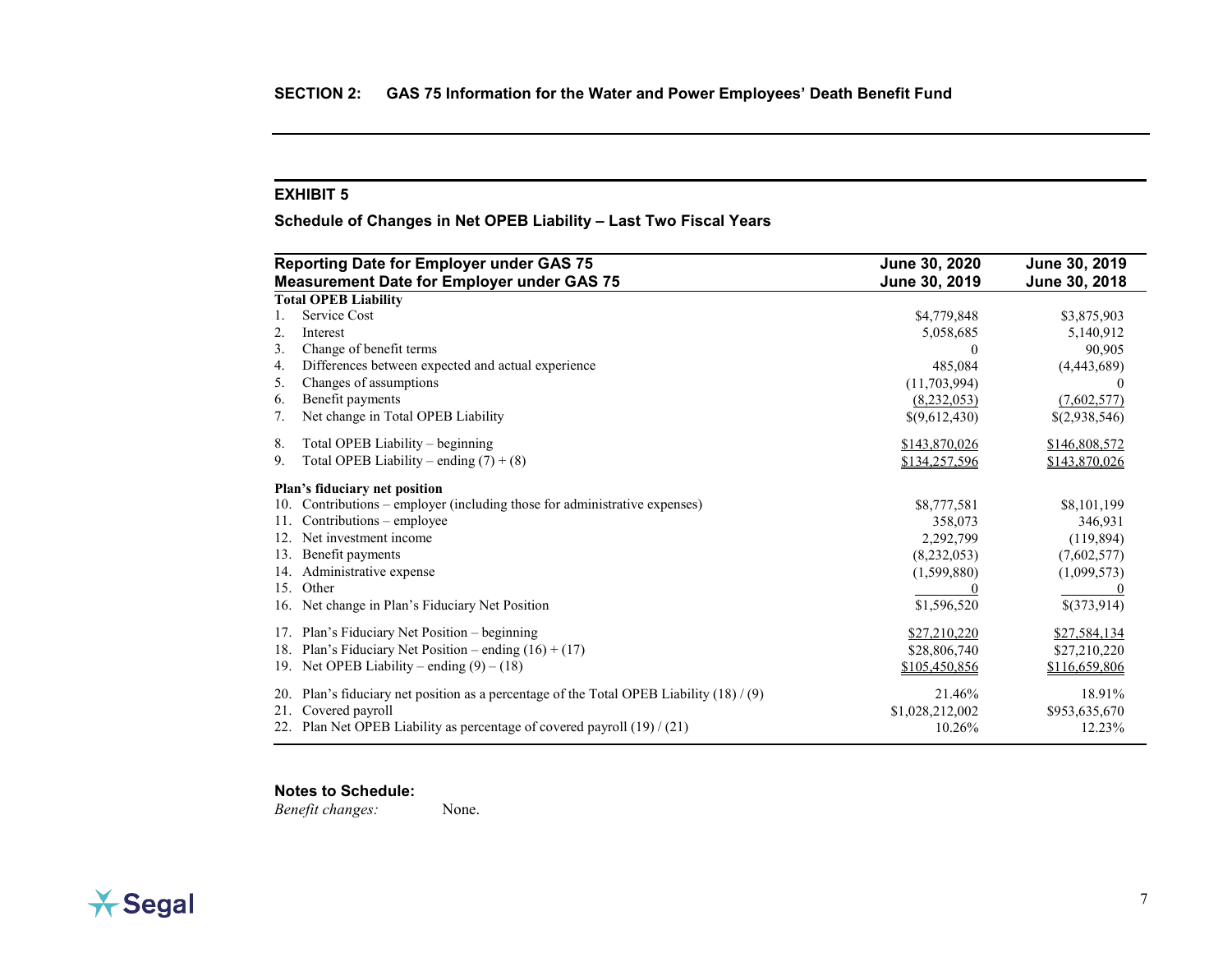<span id="page-15-0"></span>**Schedule of Changes in Net OPEB Liability – Last Two Fiscal Years**

|     | <b>Reporting Date for Employer under GAS 75</b>                                        | June 30, 2020   | June 30, 2019 |
|-----|----------------------------------------------------------------------------------------|-----------------|---------------|
|     | <b>Measurement Date for Employer under GAS 75</b>                                      | June 30, 2019   | June 30, 2018 |
|     | <b>Total OPEB Liability</b>                                                            |                 |               |
| 1.  | Service Cost                                                                           | \$4,779,848     | \$3,875,903   |
| 2.  | Interest                                                                               | 5,058,685       | 5,140,912     |
| 3.  | Change of benefit terms                                                                | $\theta$        | 90,905        |
| 4.  | Differences between expected and actual experience                                     | 485,084         | (4,443,689)   |
| 5.  | Changes of assumptions                                                                 | (11,703,994)    |               |
| 6.  | Benefit payments                                                                       | (8,232,053)     | (7,602,577)   |
| 7.  | Net change in Total OPEB Liability                                                     | \$(9,612,430)   | \$(2,938,546) |
| 8.  | Total OPEB Liability – beginning                                                       | \$143,870,026   | \$146,808,572 |
| 9.  | Total OPEB Liability – ending $(7) + (8)$                                              | \$134,257,596   | \$143,870,026 |
|     | Plan's fiduciary net position                                                          |                 |               |
| 10. | Contributions – employer (including those for administrative expenses)                 | \$8,777,581     | \$8,101,199   |
| 11. | Contributions - employee                                                               | 358,073         | 346,931       |
| 12. | Net investment income                                                                  | 2,292,799       | (119, 894)    |
| 13. | Benefit payments                                                                       | (8, 232, 053)   | (7,602,577)   |
| 14. | Administrative expense                                                                 | (1,599,880)     | (1,099,573)   |
| 15. | Other                                                                                  |                 |               |
| 16. | Net change in Plan's Fiduciary Net Position                                            | \$1,596,520     | \$(373,914)   |
| 17. | Plan's Fiduciary Net Position - beginning                                              | \$27,210,220    | \$27,584,134  |
| 18. | Plan's Fiduciary Net Position – ending $(16) + (17)$                                   | \$28,806,740    | \$27,210,220  |
|     | 19. Net OPEB Liability – ending $(9) - (18)$                                           | \$105,450,856   | \$116,659,806 |
| 20. | Plan's fiduciary net position as a percentage of the Total OPEB Liability $(18) / (9)$ | 21.46%          | 18.91%        |
| 21. | Covered payroll                                                                        | \$1,028,212,002 | \$953,635,670 |
| 22. | Plan Net OPEB Liability as percentage of covered payroll $(19) / (21)$                 | 10.26%          | 12.23%        |

## **Notes to Schedule:**

*Benefit changes:* None.

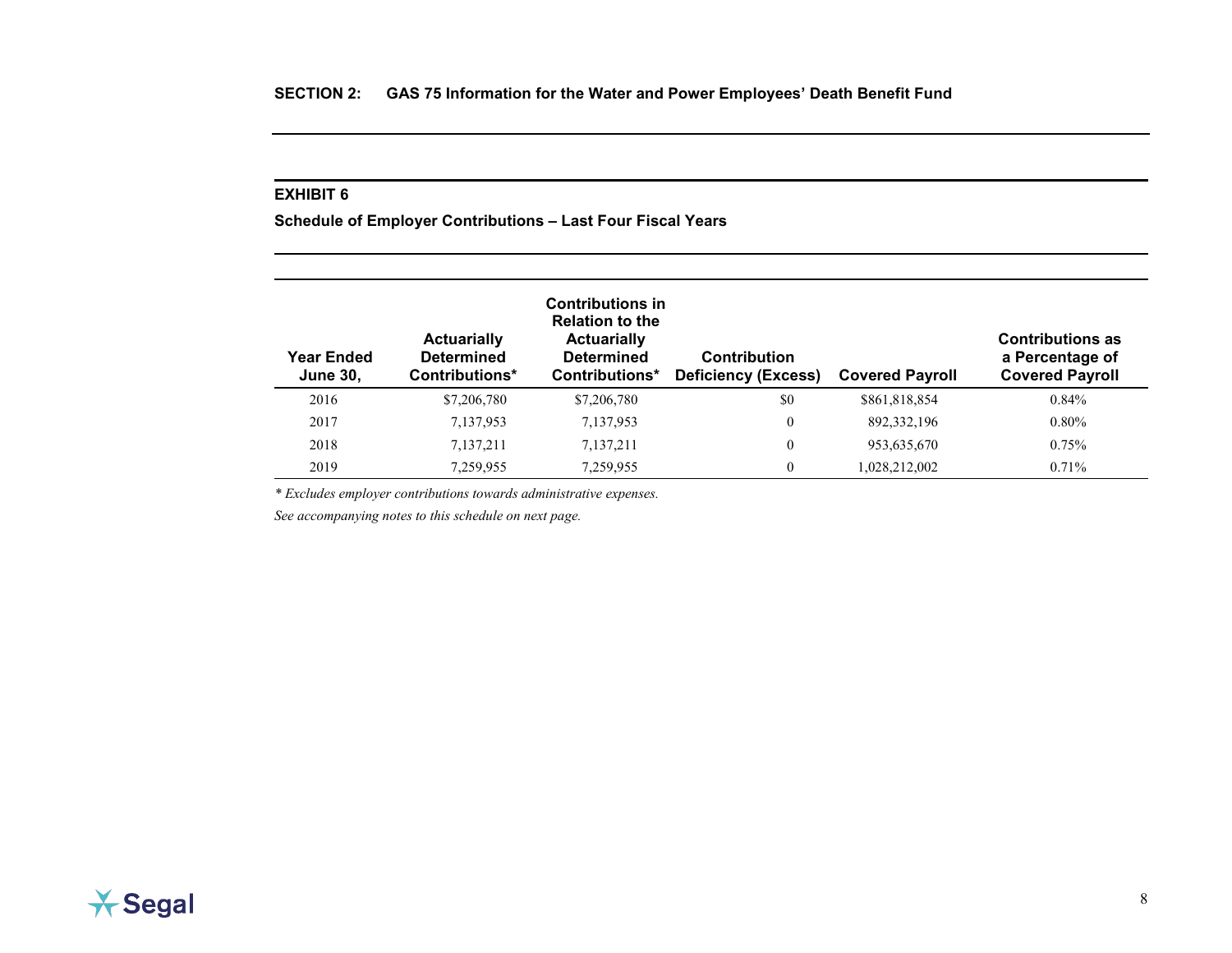<span id="page-16-0"></span>**Schedule of Employer Contributions – Last Four Fiscal Years**

| Year Ended<br><b>June 30,</b> | <b>Actuarially</b><br><b>Determined</b><br>Contributions* | <b>Contributions in</b><br><b>Relation to the</b><br><b>Actuarially</b><br><b>Determined</b><br>Contributions* | <b>Contribution</b><br><b>Deficiency (Excess)</b> | <b>Covered Payroll</b> | <b>Contributions as</b><br>a Percentage of<br><b>Covered Payroll</b> |
|-------------------------------|-----------------------------------------------------------|----------------------------------------------------------------------------------------------------------------|---------------------------------------------------|------------------------|----------------------------------------------------------------------|
| 2016                          | \$7,206,780                                               | \$7,206,780                                                                                                    | \$0                                               | \$861,818,854          | 0.84%                                                                |
| 2017                          | 7,137,953                                                 | 7,137,953                                                                                                      | $\theta$                                          | 892, 332, 196          | $0.80\%$                                                             |
| 2018                          | 7,137,211                                                 | 7,137,211                                                                                                      | $\theta$                                          | 953,635,670            | 0.75%                                                                |
| 2019                          | 7,259,955                                                 | 7,259,955                                                                                                      | $\overline{0}$                                    | 1,028,212,002          | $0.71\%$                                                             |

*\* Excludes employer contributions towards administrative expenses.*

*See accompanying notes to this schedule on next page.*

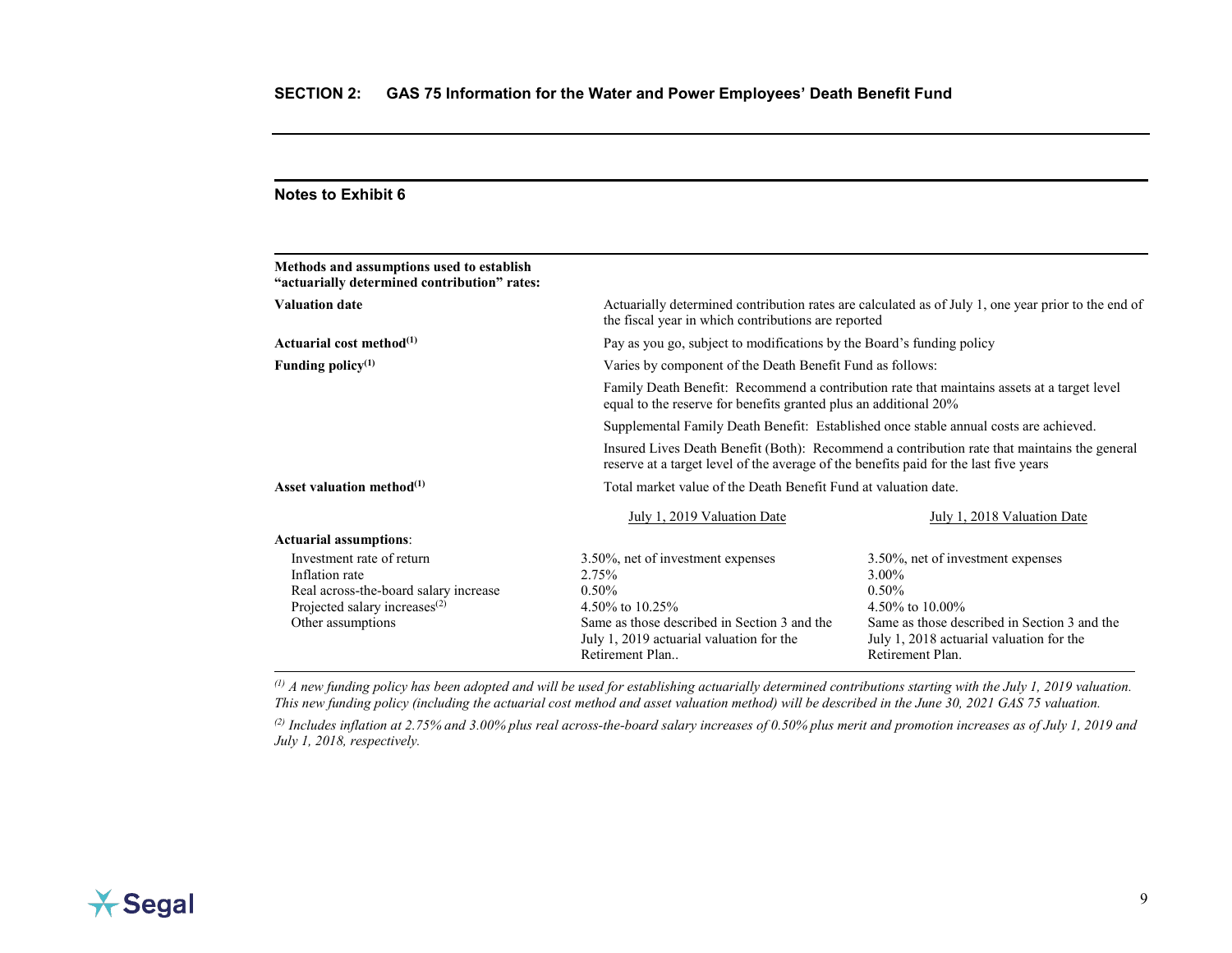| <b>Notes to Exhibit 6</b>                                                                                                                              |                                                                                                                                                                                            |                                                                                                                                                                                           |  |
|--------------------------------------------------------------------------------------------------------------------------------------------------------|--------------------------------------------------------------------------------------------------------------------------------------------------------------------------------------------|-------------------------------------------------------------------------------------------------------------------------------------------------------------------------------------------|--|
| Methods and assumptions used to establish<br>"actuarially determined contribution" rates:                                                              |                                                                                                                                                                                            |                                                                                                                                                                                           |  |
| <b>Valuation date</b>                                                                                                                                  | the fiscal year in which contributions are reported                                                                                                                                        | Actuarially determined contribution rates are calculated as of July 1, one year prior to the end of                                                                                       |  |
| Actuarial cost method $^{(1)}$                                                                                                                         | Pay as you go, subject to modifications by the Board's funding policy                                                                                                                      |                                                                                                                                                                                           |  |
| Funding policy <sup>(1)</sup>                                                                                                                          | Varies by component of the Death Benefit Fund as follows:                                                                                                                                  |                                                                                                                                                                                           |  |
|                                                                                                                                                        | Family Death Benefit: Recommend a contribution rate that maintains assets at a target level<br>equal to the reserve for benefits granted plus an additional 20%                            |                                                                                                                                                                                           |  |
|                                                                                                                                                        | Supplemental Family Death Benefit: Established once stable annual costs are achieved.                                                                                                      |                                                                                                                                                                                           |  |
|                                                                                                                                                        | Insured Lives Death Benefit (Both): Recommend a contribution rate that maintains the general<br>reserve at a target level of the average of the benefits paid for the last five years      |                                                                                                                                                                                           |  |
| Asset valuation method $^{(1)}$                                                                                                                        | Total market value of the Death Benefit Fund at valuation date.                                                                                                                            |                                                                                                                                                                                           |  |
|                                                                                                                                                        | July 1, 2019 Valuation Date                                                                                                                                                                | July 1, 2018 Valuation Date                                                                                                                                                               |  |
| <b>Actuarial assumptions:</b>                                                                                                                          |                                                                                                                                                                                            |                                                                                                                                                                                           |  |
| Investment rate of return<br>Inflation rate<br>Real across-the-board salary increase<br>Projected salary increases <sup>(2)</sup><br>Other assumptions | 3.50%, net of investment expenses<br>2.75%<br>$0.50\%$<br>4.50\% to 10.25\%<br>Same as those described in Section 3 and the<br>July 1, 2019 actuarial valuation for the<br>Retirement Plan | 3.50%, net of investment expenses<br>3.00%<br>$0.50\%$<br>4.50% to 10.00%<br>Same as those described in Section 3 and the<br>July 1, 2018 actuarial valuation for the<br>Retirement Plan. |  |

*(1) A new funding policy has been adopted and will be used for establishing actuarially determined contributions starting with the July 1, 2019 valuation. This new funding policy (including the actuarial cost method and asset valuation method) will be described in the June 30, 2021 GAS 75 valuation.*

<sup>(2)</sup> *Includes inflation at 2.75% and 3.00% plus real across-the-board salary increases of 0.50% plus merit and promotion increases as of July 1, 2019 and July 1, 2018, respectively.*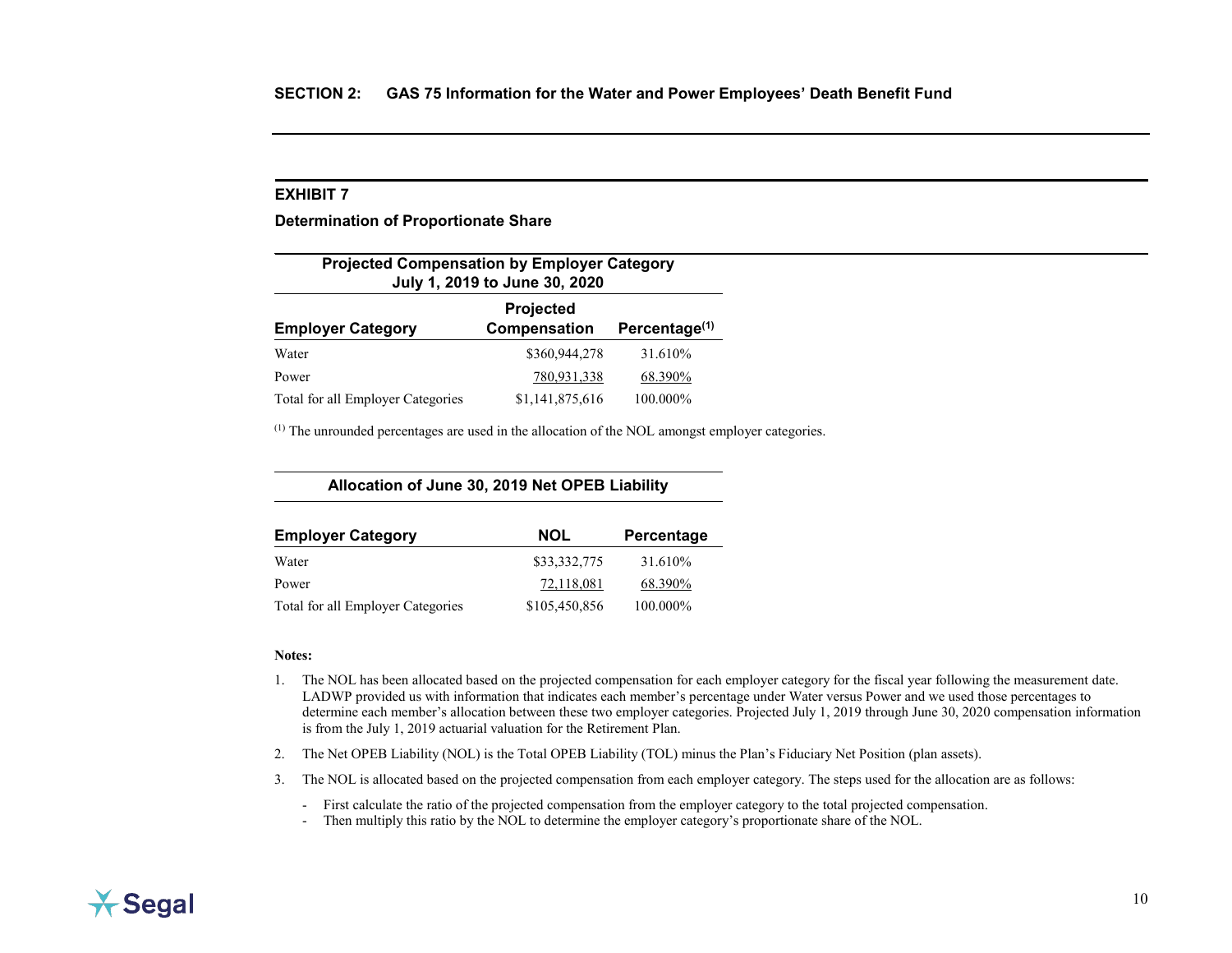<span id="page-18-0"></span>**Determination of Proportionate Share**

| <b>Projected Compensation by Employer Category</b><br>July 1, 2019 to June 30, 2020 |                 |          |  |  |
|-------------------------------------------------------------------------------------|-----------------|----------|--|--|
| Projected<br>Percentage <sup>(1)</sup><br>Compensation<br><b>Employer Category</b>  |                 |          |  |  |
| Water                                                                               | \$360,944,278   | 31.610\% |  |  |
| Power                                                                               | 780,931,338     | 68.390%  |  |  |
| Total for all Employer Categories                                                   | \$1,141,875,616 | 100.000% |  |  |

 $<sup>(1)</sup>$  The unrounded percentages are used in the allocation of the NOL amongst employer categories.</sup>

**Allocation of June 30, 2019 Net OPEB Liability**

| <b>Employer Category</b>          | <b>NOL</b>    | Percentage |
|-----------------------------------|---------------|------------|
| Water                             | \$33,332,775  | 31.610\%   |
| Power                             | 72,118,081    | 68.390%    |
| Total for all Employer Categories | \$105,450,856 | 100.000%   |

#### **Notes:**

- 1. The NOL has been allocated based on the projected compensation for each employer category for the fiscal year following the measurement date. LADWP provided us with information that indicates each member's percentage under Water versus Power and we used those percentages to determine each member's allocation between these two employer categories. Projected July 1, 2019 through June 30, 2020 compensation information is from the July 1, 2019 actuarial valuation for the Retirement Plan.
- 2. The Net OPEB Liability (NOL) is the Total OPEB Liability (TOL) minus the Plan's Fiduciary Net Position (plan assets).
- 3. The NOL is allocated based on the projected compensation from each employer category. The steps used for the allocation are as follows:

- First calculate the ratio of the projected compensation from the employer category to the total projected compensation.

- Then multiply this ratio by the NOL to determine the employer category's proportionate share of the NOL.

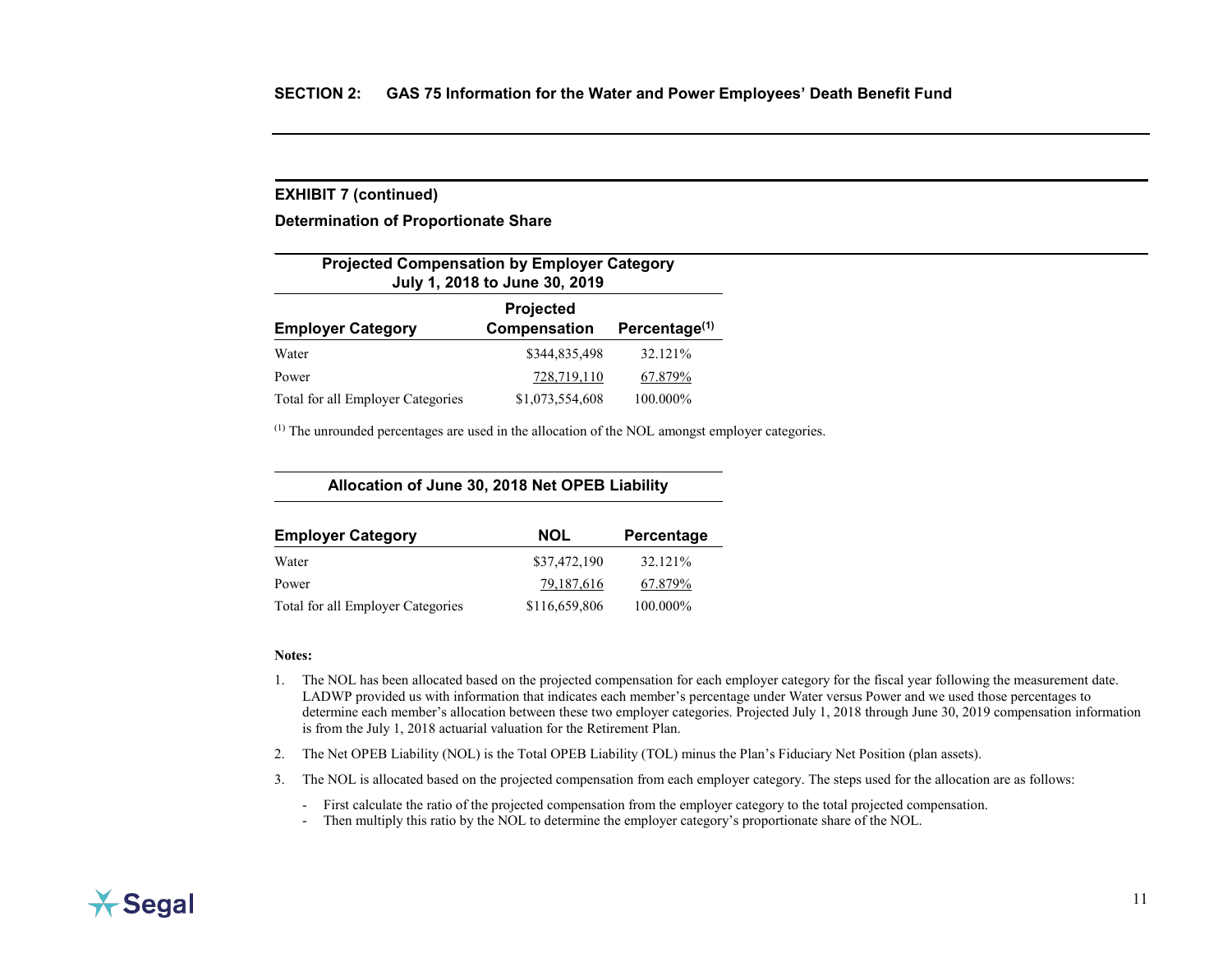#### **EXHIBIT 7 (continued)**

**Determination of Proportionate Share**

| <b>Projected Compensation by Employer Category</b><br>July 1, 2018 to June 30, 2019       |                 |          |  |  |
|-------------------------------------------------------------------------------------------|-----------------|----------|--|--|
| Projected<br><b>Compensation</b><br>Percentage <sup>(1)</sup><br><b>Employer Category</b> |                 |          |  |  |
| Water                                                                                     | \$344,835,498   | 32.121%  |  |  |
| Power                                                                                     | 728,719,110     | 67.879%  |  |  |
| Total for all Employer Categories                                                         | \$1,073,554,608 | 100.000% |  |  |

 $<sup>(1)</sup>$  The unrounded percentages are used in the allocation of the NOL amongst employer categories.</sup>

**Allocation of June 30, 2018 Net OPEB Liability**

| <b>Employer Category</b>          | <b>NOL</b>    | Percentage |
|-----------------------------------|---------------|------------|
| Water                             | \$37,472,190  | 32.121%    |
| Power                             | 79,187,616    | 67.879%    |
| Total for all Employer Categories | \$116,659,806 | 100.000%   |

#### **Notes:**

- 1. The NOL has been allocated based on the projected compensation for each employer category for the fiscal year following the measurement date. LADWP provided us with information that indicates each member's percentage under Water versus Power and we used those percentages to determine each member's allocation between these two employer categories. Projected July 1, 2018 through June 30, 2019 compensation information is from the July 1, 2018 actuarial valuation for the Retirement Plan.
- 2. The Net OPEB Liability (NOL) is the Total OPEB Liability (TOL) minus the Plan's Fiduciary Net Position (plan assets).
- 3. The NOL is allocated based on the projected compensation from each employer category. The steps used for the allocation are as follows:

- First calculate the ratio of the projected compensation from the employer category to the total projected compensation.

- Then multiply this ratio by the NOL to determine the employer category's proportionate share of the NOL.

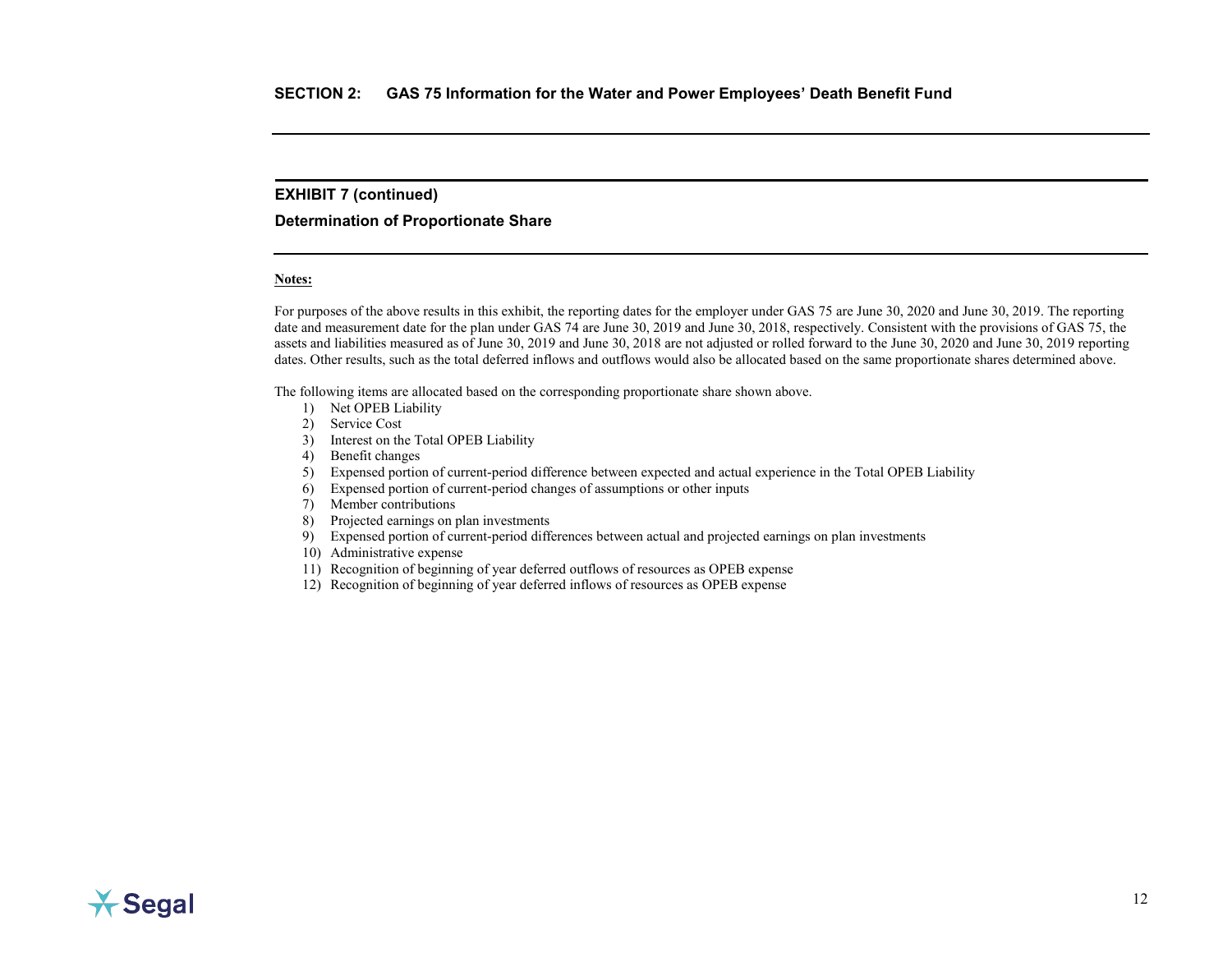### **EXHIBIT 7 (continued)**

#### **Determination of Proportionate Share**

#### **Notes:**

For purposes of the above results in this exhibit, the reporting dates for the employer under GAS 75 are June 30, 2020 and June 30, 2019. The reporting date and measurement date for the plan under GAS 74 are June 30, 2019 and June 30, 2018, respectively. Consistent with the provisions of GAS 75, the assets and liabilities measured as of June 30, 2019 and June 30, 2018 are not adjusted or rolled forward to the June 30, 2020 and June 30, 2019 reporting dates. Other results, such as the total deferred inflows and outflows would also be allocated based on the same proportionate shares determined above.

The following items are allocated based on the corresponding proportionate share shown above.

- 1) Net OPEB Liability
- 2) Service Cost
- 3) Interest on the Total OPEB Liability
- 4) Benefit changes
- 5) Expensed portion of current-period difference between expected and actual experience in the Total OPEB Liability
- 6) Expensed portion of current-period changes of assumptions or other inputs
- 7) Member contributions
- 8) Projected earnings on plan investments
- 9) Expensed portion of current-period differences between actual and projected earnings on plan investments
- 10) Administrative expense
- 11) Recognition of beginning of year deferred outflows of resources as OPEB expense
- 12) Recognition of beginning of year deferred inflows of resources as OPEB expense

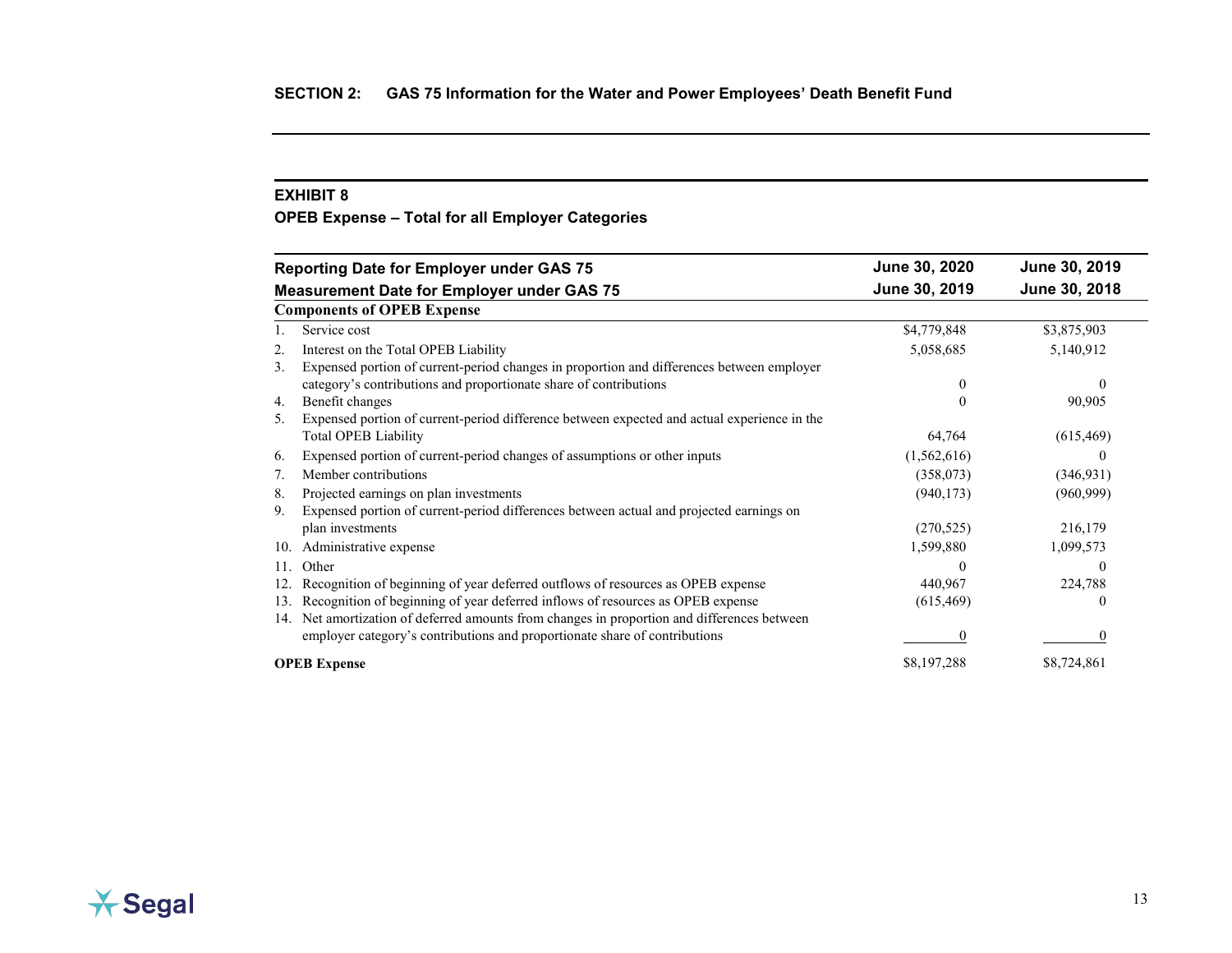<span id="page-21-0"></span>**OPEB Expense – Total for all Employer Categories**

| <b>Reporting Date for Employer under GAS 75</b>                                                   | June 30, 2020 | June 30, 2019 |
|---------------------------------------------------------------------------------------------------|---------------|---------------|
| <b>Measurement Date for Employer under GAS 75</b>                                                 | June 30, 2019 | June 30, 2018 |
| <b>Components of OPEB Expense</b>                                                                 |               |               |
| Service cost                                                                                      | \$4,779,848   | \$3,875,903   |
| Interest on the Total OPEB Liability<br>2.                                                        | 5,058,685     | 5,140,912     |
| Expensed portion of current-period changes in proportion and differences between employer<br>3.   |               |               |
| category's contributions and proportionate share of contributions                                 | $\theta$      |               |
| Benefit changes<br>4.                                                                             |               | 90,905        |
| Expensed portion of current-period difference between expected and actual experience in the<br>5. |               |               |
| <b>Total OPEB Liability</b>                                                                       | 64,764        | (615, 469)    |
| Expensed portion of current-period changes of assumptions or other inputs<br>6.                   | (1,562,616)   | $\theta$      |
| Member contributions<br>7.                                                                        | (358,073)     | (346, 931)    |
| Projected earnings on plan investments<br>8.                                                      | (940, 173)    | (960, 999)    |
| Expensed portion of current-period differences between actual and projected earnings on<br>9.     |               |               |
| plan investments                                                                                  | (270, 525)    | 216,179       |
| Administrative expense<br>10.                                                                     | 1,599,880     | 1,099,573     |
| Other<br>11.                                                                                      | $\theta$      | $\theta$      |
| Recognition of beginning of year deferred outflows of resources as OPEB expense<br>12.            | 440,967       | 224,788       |
| Recognition of beginning of year deferred inflows of resources as OPEB expense<br>13.             | (615, 469)    | $\theta$      |
| Net amortization of deferred amounts from changes in proportion and differences between<br>14.    |               |               |
| employer category's contributions and proportionate share of contributions                        |               |               |
| <b>OPEB</b> Expense                                                                               | \$8,197,288   | \$8,724,861   |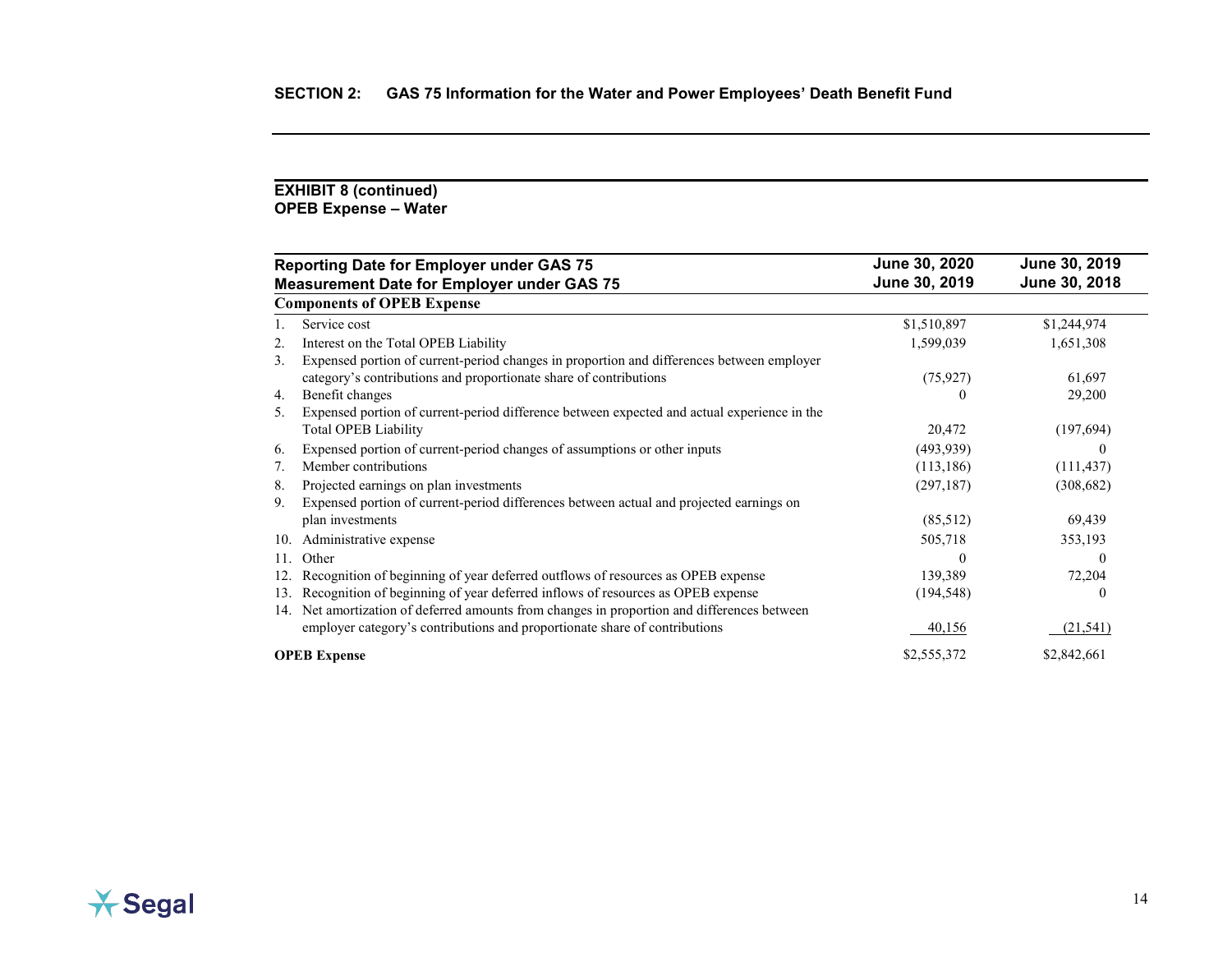### **EXHIBIT 8 (continued) OPEB Expense – Water**

|     | <b>Reporting Date for Employer under GAS 75</b>                                             | June 30, 2020 | June 30, 2019 |
|-----|---------------------------------------------------------------------------------------------|---------------|---------------|
|     | <b>Measurement Date for Employer under GAS 75</b>                                           | June 30, 2019 | June 30, 2018 |
|     | <b>Components of OPEB Expense</b>                                                           |               |               |
|     | Service cost                                                                                | \$1,510,897   | \$1,244,974   |
| 2.  | Interest on the Total OPEB Liability                                                        | 1,599,039     | 1,651,308     |
| 3.  | Expensed portion of current-period changes in proportion and differences between employer   |               |               |
|     | category's contributions and proportionate share of contributions                           | (75, 927)     | 61,697        |
| 4.  | Benefit changes                                                                             |               | 29,200        |
| 5.  | Expensed portion of current-period difference between expected and actual experience in the |               |               |
|     | <b>Total OPEB Liability</b>                                                                 | 20,472        | (197,694)     |
| 6.  | Expensed portion of current-period changes of assumptions or other inputs                   | (493, 939)    |               |
| 7.  | Member contributions                                                                        | (113, 186)    | (111, 437)    |
| 8.  | Projected earnings on plan investments                                                      | (297, 187)    | (308, 682)    |
| 9.  | Expensed portion of current-period differences between actual and projected earnings on     |               |               |
|     | plan investments                                                                            | (85,512)      | 69,439        |
| 10. | Administrative expense                                                                      | 505,718       | 353,193       |
| 11. | Other                                                                                       | $\theta$      |               |
| 12. | Recognition of beginning of year deferred outflows of resources as OPEB expense             | 139,389       | 72,204        |
| 13. | Recognition of beginning of year deferred inflows of resources as OPEB expense              | (194, 548)    |               |
| 14. | Net amortization of deferred amounts from changes in proportion and differences between     |               |               |
|     | employer category's contributions and proportionate share of contributions                  | 40,156        | (21, 541)     |
|     | <b>OPEB</b> Expense                                                                         | \$2,555,372   | \$2,842,661   |

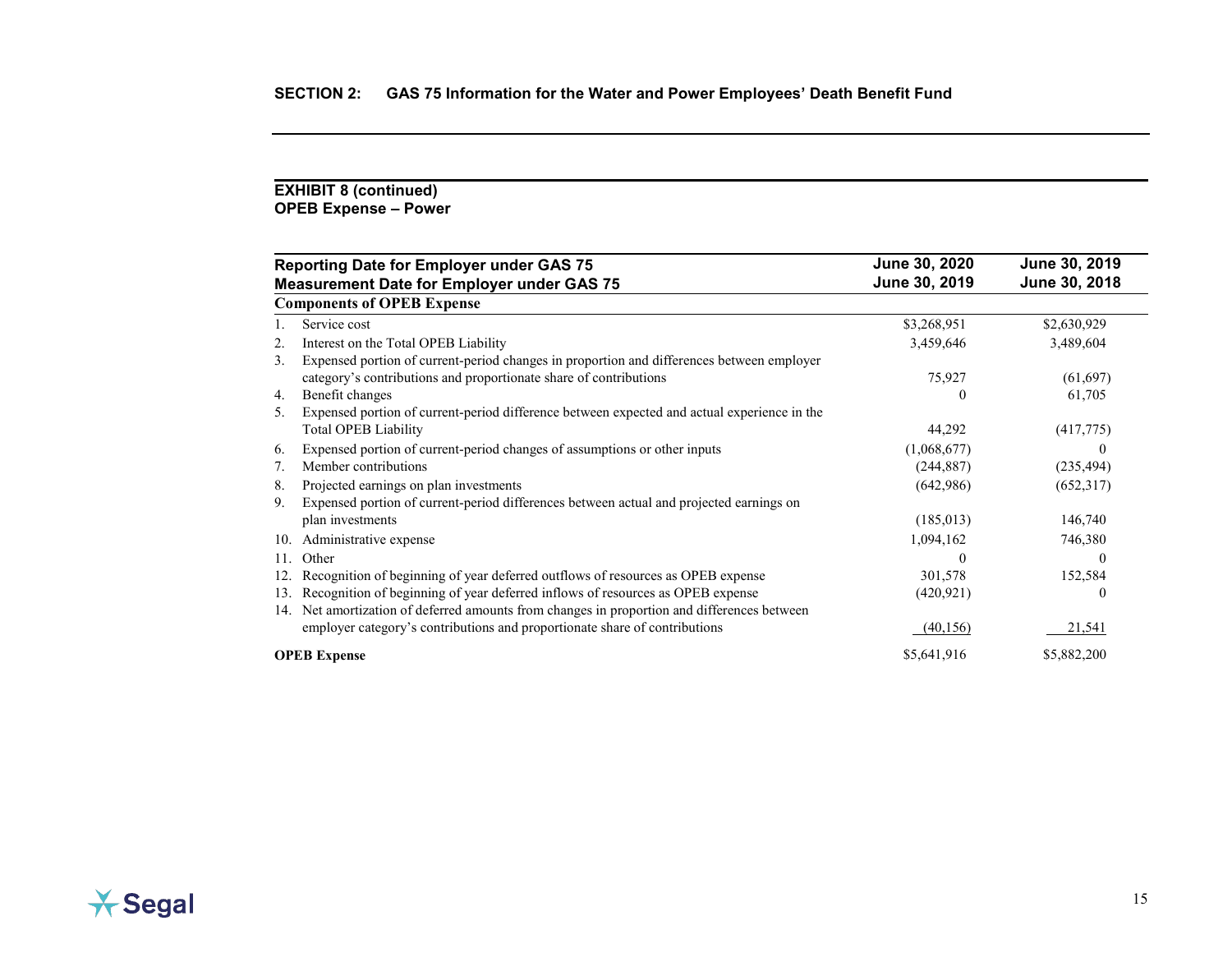### **EXHIBIT 8 (continued) OPEB Expense – Power**

|     | <b>Reporting Date for Employer under GAS 75</b>                                             | June 30, 2020 | June 30, 2019 |
|-----|---------------------------------------------------------------------------------------------|---------------|---------------|
|     | <b>Measurement Date for Employer under GAS 75</b>                                           | June 30, 2019 | June 30, 2018 |
|     | <b>Components of OPEB Expense</b>                                                           |               |               |
|     | Service cost                                                                                | \$3,268,951   | \$2,630,929   |
| 2.  | Interest on the Total OPEB Liability                                                        | 3,459,646     | 3,489,604     |
| 3.  | Expensed portion of current-period changes in proportion and differences between employer   |               |               |
|     | category's contributions and proportionate share of contributions                           | 75,927        | (61, 697)     |
| 4.  | Benefit changes                                                                             |               | 61,705        |
| 5.  | Expensed portion of current-period difference between expected and actual experience in the |               |               |
|     | <b>Total OPEB Liability</b>                                                                 | 44,292        | (417,775)     |
| 6.  | Expensed portion of current-period changes of assumptions or other inputs                   | (1,068,677)   |               |
| 7.  | Member contributions                                                                        | (244, 887)    | (235, 494)    |
| 8.  | Projected earnings on plan investments                                                      | (642,986)     | (652,317)     |
| 9.  | Expensed portion of current-period differences between actual and projected earnings on     |               |               |
|     | plan investments                                                                            | (185,013)     | 146,740       |
| 10. | Administrative expense                                                                      | 1,094,162     | 746,380       |
| 11. | Other                                                                                       | $\Omega$      |               |
| 12. | Recognition of beginning of year deferred outflows of resources as OPEB expense             | 301,578       | 152,584       |
| 13. | Recognition of beginning of year deferred inflows of resources as OPEB expense              | (420, 921)    |               |
| 14. | Net amortization of deferred amounts from changes in proportion and differences between     |               |               |
|     | employer category's contributions and proportionate share of contributions                  | (40, 156)     | 21,541        |
|     | <b>OPEB</b> Expense                                                                         | \$5,641,916   | \$5,882,200   |

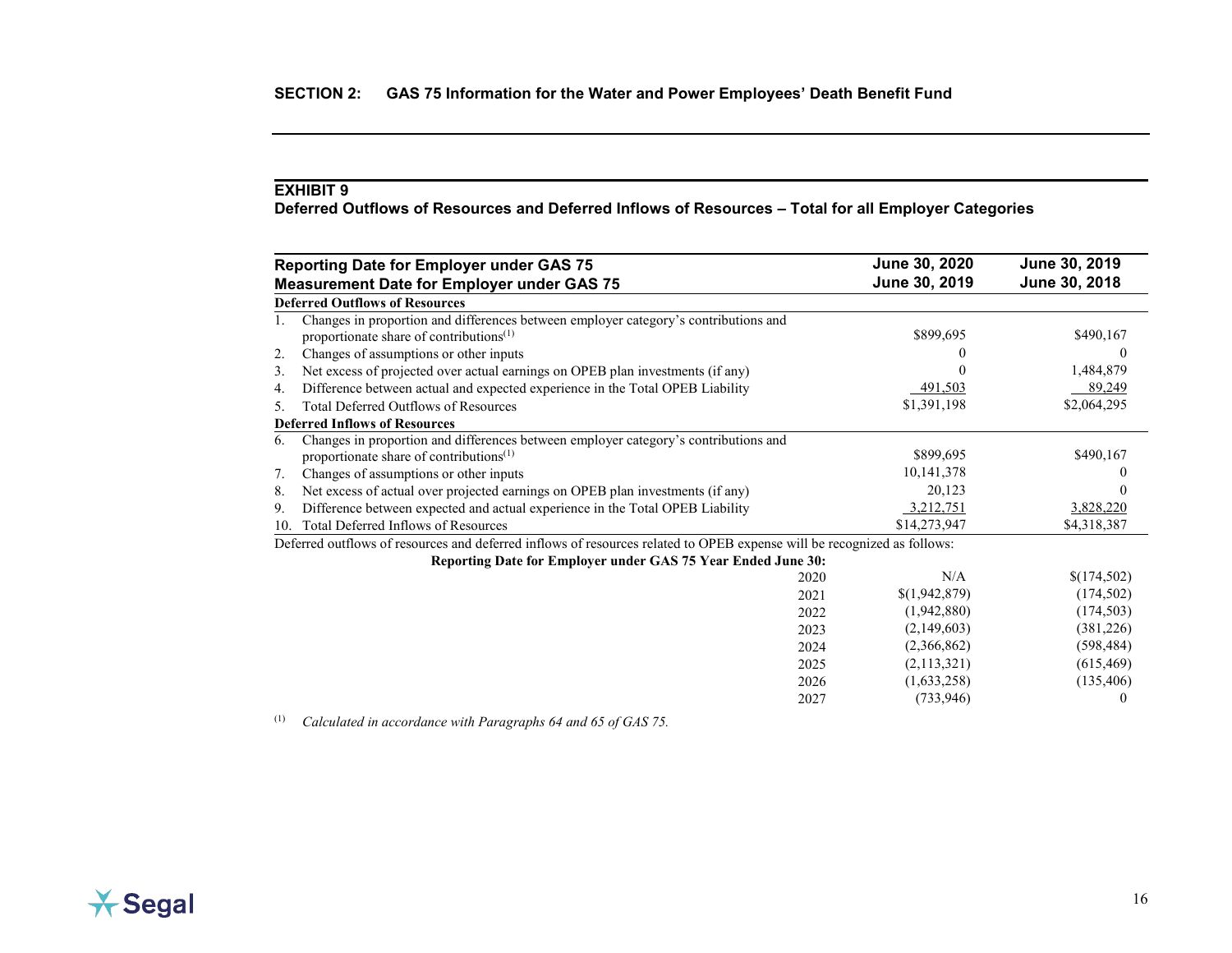<span id="page-24-0"></span>**Deferred Outflows of Resources and Deferred Inflows of Resources – Total for all Employer Categories**

|     | <b>Reporting Date for Employer under GAS 75</b>                                                                                            | June 30, 2020 | June 30, 2019 |
|-----|--------------------------------------------------------------------------------------------------------------------------------------------|---------------|---------------|
|     | <b>Measurement Date for Employer under GAS 75</b>                                                                                          | June 30, 2019 | June 30, 2018 |
|     | <b>Deferred Outflows of Resources</b>                                                                                                      |               |               |
|     | Changes in proportion and differences between employer category's contributions and<br>proportionate share of contributions <sup>(1)</sup> | \$899,695     | \$490,167     |
| 2.  | Changes of assumptions or other inputs                                                                                                     |               | $\theta$      |
| 3.  | Net excess of projected over actual earnings on OPEB plan investments (if any)                                                             |               | 1,484,879     |
| 4.  | Difference between actual and expected experience in the Total OPEB Liability                                                              | 491,503       | 89,249        |
| 5.  | <b>Total Deferred Outflows of Resources</b>                                                                                                | \$1,391,198   | \$2,064,295   |
|     | <b>Deferred Inflows of Resources</b>                                                                                                       |               |               |
| 6.  | Changes in proportion and differences between employer category's contributions and                                                        |               |               |
|     | proportionate share of contributions $(1)$                                                                                                 | \$899,695     | \$490,167     |
| 7.  | Changes of assumptions or other inputs                                                                                                     | 10,141,378    |               |
| 8.  | Net excess of actual over projected earnings on OPEB plan investments (if any)                                                             | 20,123        |               |
| 9.  | Difference between expected and actual experience in the Total OPEB Liability                                                              | 3,212,751     | 3,828,220     |
| 10. | Total Deferred Inflows of Resources                                                                                                        | \$14,273,947  | \$4,318,387   |
|     | Deferred outflows of resources and deferred inflows of resources related to OPEB expense will be recognized as follows:                    |               |               |
|     | Reporting Date for Employer under GAS 75 Year Ended June 30:                                                                               |               |               |
|     | 2020                                                                                                                                       | N/A           | \$(174,502)   |
|     | 2021                                                                                                                                       | \$(1,942,879) | (174, 502)    |
|     | 2022                                                                                                                                       | (1,942,880)   | (174, 503)    |
|     | 2023                                                                                                                                       | (2,149,603)   | (381, 226)    |
|     | 2024                                                                                                                                       | (2,366,862)   | (598, 484)    |
|     | 2025                                                                                                                                       | (2,113,321)   | (615, 469)    |
|     | 2026                                                                                                                                       | (1,633,258)   | (135, 406)    |
|     | 2027                                                                                                                                       | (733, 946)    |               |

(1) *Calculated in accordance with Paragraphs 64 and 65 of GAS 75.*

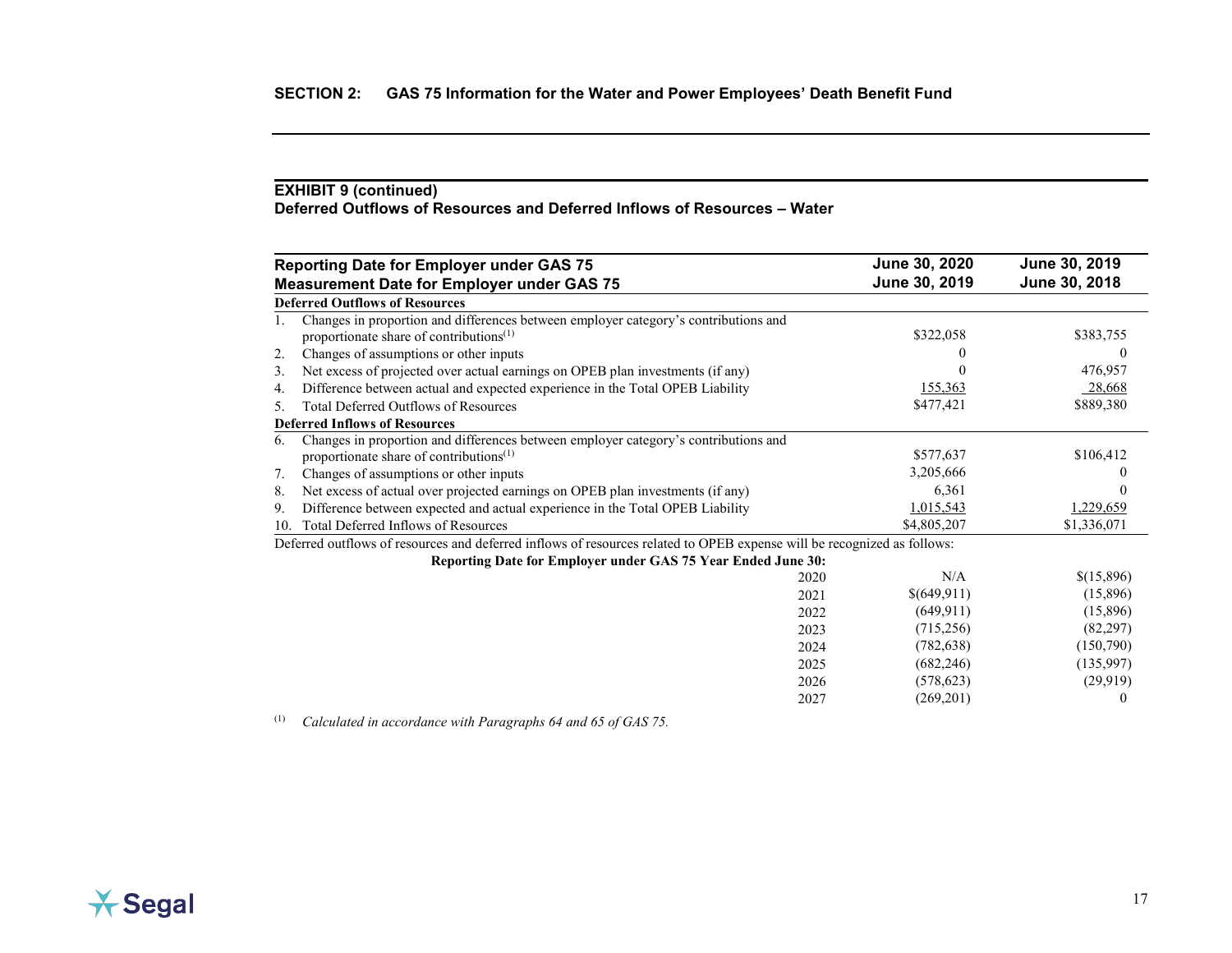## **EXHIBIT 9 (continued) Deferred Outflows of Resources and Deferred Inflows of Resources – Water**

|     | <b>Reporting Date for Employer under GAS 75</b>                                                                                            |      | June 30, 2020 | June 30, 2019 |
|-----|--------------------------------------------------------------------------------------------------------------------------------------------|------|---------------|---------------|
|     | <b>Measurement Date for Employer under GAS 75</b>                                                                                          |      | June 30, 2019 | June 30, 2018 |
|     | <b>Deferred Outflows of Resources</b>                                                                                                      |      |               |               |
|     | Changes in proportion and differences between employer category's contributions and<br>proportionate share of contributions <sup>(1)</sup> |      | \$322,058     | \$383,755     |
| 2.  | Changes of assumptions or other inputs                                                                                                     |      |               | $\theta$      |
| 3.  | Net excess of projected over actual earnings on OPEB plan investments (if any)                                                             |      |               | 476,957       |
| 4.  | Difference between actual and expected experience in the Total OPEB Liability                                                              |      | 155,363       | 28,668        |
| 5.  | <b>Total Deferred Outflows of Resources</b>                                                                                                |      | \$477,421     | \$889,380     |
|     | <b>Deferred Inflows of Resources</b>                                                                                                       |      |               |               |
| 6.  | Changes in proportion and differences between employer category's contributions and                                                        |      |               |               |
|     | proportionate share of contributions <sup>(1)</sup>                                                                                        |      | \$577,637     | \$106,412     |
| 7.  | Changes of assumptions or other inputs                                                                                                     |      | 3,205,666     |               |
| 8.  | Net excess of actual over projected earnings on OPEB plan investments (if any)                                                             |      | 6,361         | $\Omega$      |
| 9.  | Difference between expected and actual experience in the Total OPEB Liability                                                              |      | 1,015,543     | 1,229,659     |
| 10. | Total Deferred Inflows of Resources                                                                                                        |      | \$4,805,207   | \$1,336,071   |
|     | Deferred outflows of resources and deferred inflows of resources related to OPEB expense will be recognized as follows:                    |      |               |               |
|     | Reporting Date for Employer under GAS 75 Year Ended June 30:                                                                               |      |               |               |
|     |                                                                                                                                            | 2020 | N/A           | \$(15,896)    |
|     |                                                                                                                                            | 2021 | \$(649,911)   | (15,896)      |
|     |                                                                                                                                            | 2022 | (649, 911)    | (15,896)      |
|     |                                                                                                                                            | 2023 | (715,256)     | (82, 297)     |
|     |                                                                                                                                            | 2024 | (782, 638)    | (150,790)     |
|     |                                                                                                                                            | 2025 | (682, 246)    | (135,997)     |
|     |                                                                                                                                            | 2026 | (578, 623)    | (29, 919)     |
|     |                                                                                                                                            | 2027 | (269,201)     | $\Omega$      |

(1) *Calculated in accordance with Paragraphs 64 and 65 of GAS 75.*

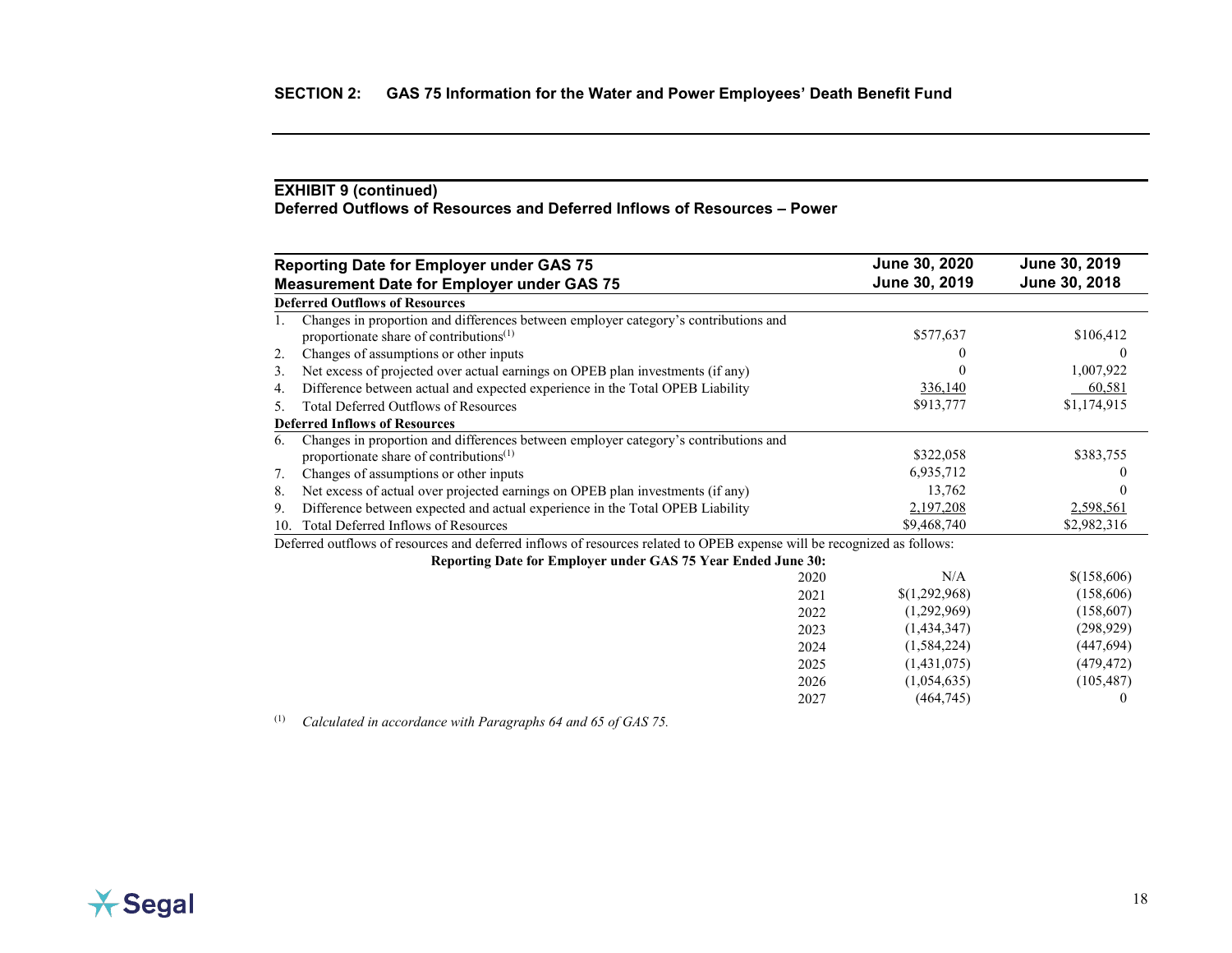## **EXHIBIT 9 (continued) Deferred Outflows of Resources and Deferred Inflows of Resources – Power**

|     | <b>Reporting Date for Employer under GAS 75</b>                                                                                            |      | June 30, 2020 | June 30, 2019 |
|-----|--------------------------------------------------------------------------------------------------------------------------------------------|------|---------------|---------------|
|     | <b>Measurement Date for Employer under GAS 75</b>                                                                                          |      | June 30, 2019 | June 30, 2018 |
|     | <b>Deferred Outflows of Resources</b>                                                                                                      |      |               |               |
|     | Changes in proportion and differences between employer category's contributions and<br>proportionate share of contributions <sup>(1)</sup> |      | \$577,637     | \$106,412     |
| 2.  | Changes of assumptions or other inputs                                                                                                     |      |               | $\theta$      |
| 3.  | Net excess of projected over actual earnings on OPEB plan investments (if any)                                                             |      |               | 1,007,922     |
| 4.  | Difference between actual and expected experience in the Total OPEB Liability                                                              |      | 336,140       | 60,581        |
| 5.  | <b>Total Deferred Outflows of Resources</b>                                                                                                |      | \$913,777     | \$1,174,915   |
|     | <b>Deferred Inflows of Resources</b>                                                                                                       |      |               |               |
| 6.  | Changes in proportion and differences between employer category's contributions and                                                        |      |               |               |
|     | proportionate share of contributions <sup>(1)</sup>                                                                                        |      | \$322,058     | \$383,755     |
| 7.  | Changes of assumptions or other inputs                                                                                                     |      | 6,935,712     |               |
| 8.  | Net excess of actual over projected earnings on OPEB plan investments (if any)                                                             |      | 13,762        |               |
| 9.  | Difference between expected and actual experience in the Total OPEB Liability                                                              |      | 2,197,208     | 2,598,561     |
| 10. | Total Deferred Inflows of Resources                                                                                                        |      | \$9,468,740   | \$2,982,316   |
|     | Deferred outflows of resources and deferred inflows of resources related to OPEB expense will be recognized as follows:                    |      |               |               |
|     | Reporting Date for Employer under GAS 75 Year Ended June 30:                                                                               |      |               |               |
|     |                                                                                                                                            | 2020 | N/A           | \$(158,606)   |
|     |                                                                                                                                            | 2021 | \$(1,292,968) | (158,606)     |
|     |                                                                                                                                            | 2022 | (1,292,969)   | (158,607)     |
|     |                                                                                                                                            | 2023 | (1,434,347)   | (298, 929)    |
|     |                                                                                                                                            | 2024 | (1,584,224)   | (447, 694)    |
|     |                                                                                                                                            | 2025 | (1,431,075)   | (479, 472)    |
|     |                                                                                                                                            | 2026 | (1,054,635)   | (105, 487)    |
|     |                                                                                                                                            | 2027 | (464,745)     | $\theta$      |

(1) *Calculated in accordance with Paragraphs 64 and 65 of GAS 75.*

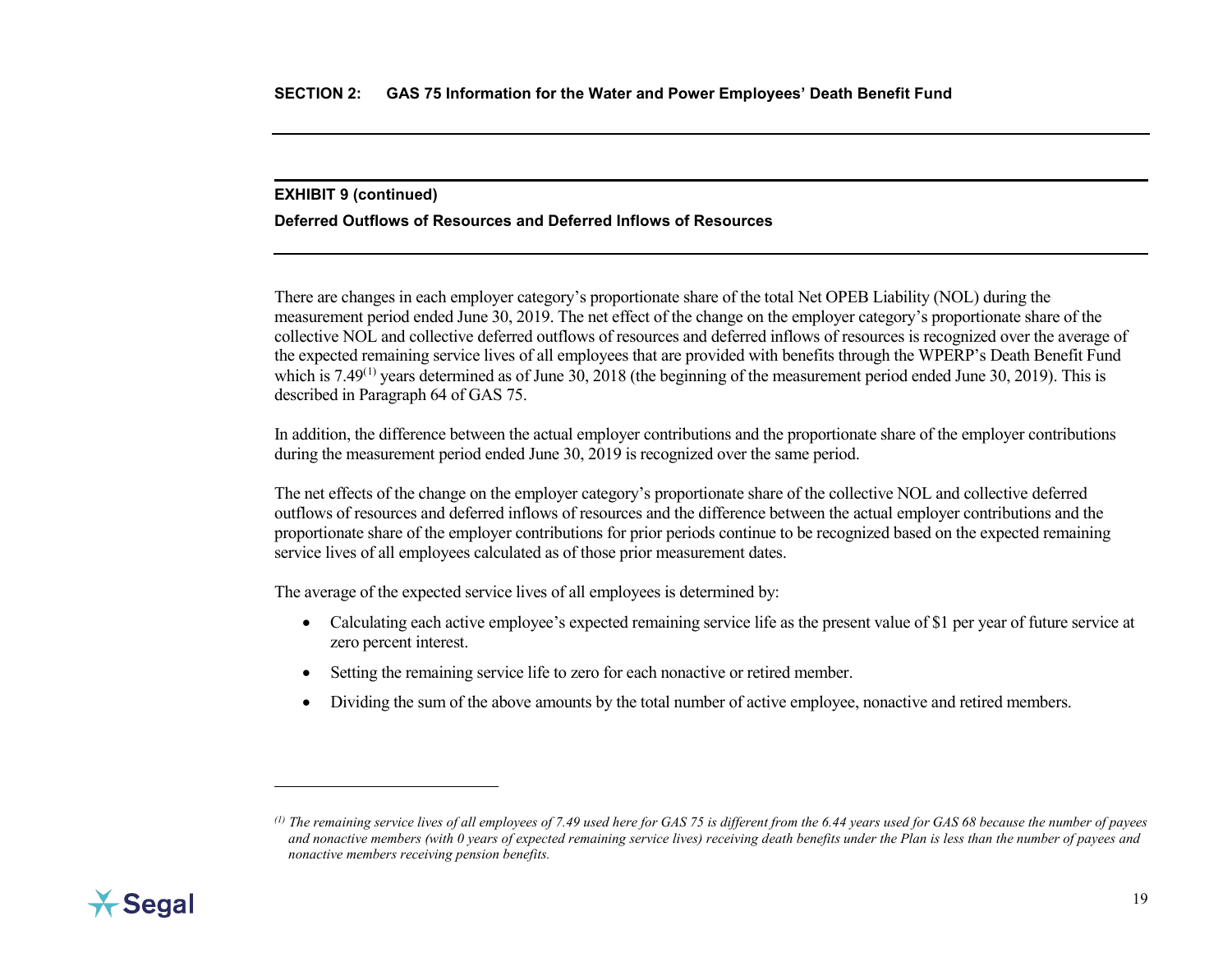### <span id="page-27-0"></span>**EXHIBIT 9 (continued)**

## **Deferred Outflows of Resources and Deferred Inflows of Resources**

There are changes in each employer category's proportionate share of the total Net OPEB Liability (NOL) during the measurement period ended June 30, 2019. The net effect of the change on the employer category's proportionate share of the collective NOL and collective deferred outflows of resources and deferred inflows of resources is recognized over the average of the expected remaining service lives of all employees that are provided with benefits through the WPERP's Death Benefit Fund which is  $7.49^{(1)}$  $7.49^{(1)}$  $7.49^{(1)}$  years determined as of June  $30$ ,  $2018$  (the beginning of the measurement period ended June  $30$ ,  $2019$ ). This is described in Paragraph 64 of GAS 75.

In addition, the difference between the actual employer contributions and the proportionate share of the employer contributions during the measurement period ended June 30, 2019 is recognized over the same period.

The net effects of the change on the employer category's proportionate share of the collective NOL and collective deferred outflows of resources and deferred inflows of resources and the difference between the actual employer contributions and the proportionate share of the employer contributions for prior periods continue to be recognized based on the expected remaining service lives of all employees calculated as of those prior measurement dates.

The average of the expected service lives of all employees is determined by:

- Calculating each active employee's expected remaining service life as the present value of \$1 per year of future service at zero percent interest.
- Setting the remaining service life to zero for each nonactive or retired member.
- Dividing the sum of the above amounts by the total number of active employee, nonactive and retired members.



 $\overline{a}$ 

*<sup>(1)</sup> The remaining service lives of all employees of 7.49 used here for GAS 75 is different from the 6.44 years used for GAS 68 because the number of payees and nonactive members (with 0 years of expected remaining service lives) receiving death benefits under the Plan is less than the number of payees and nonactive members receiving pension benefits.*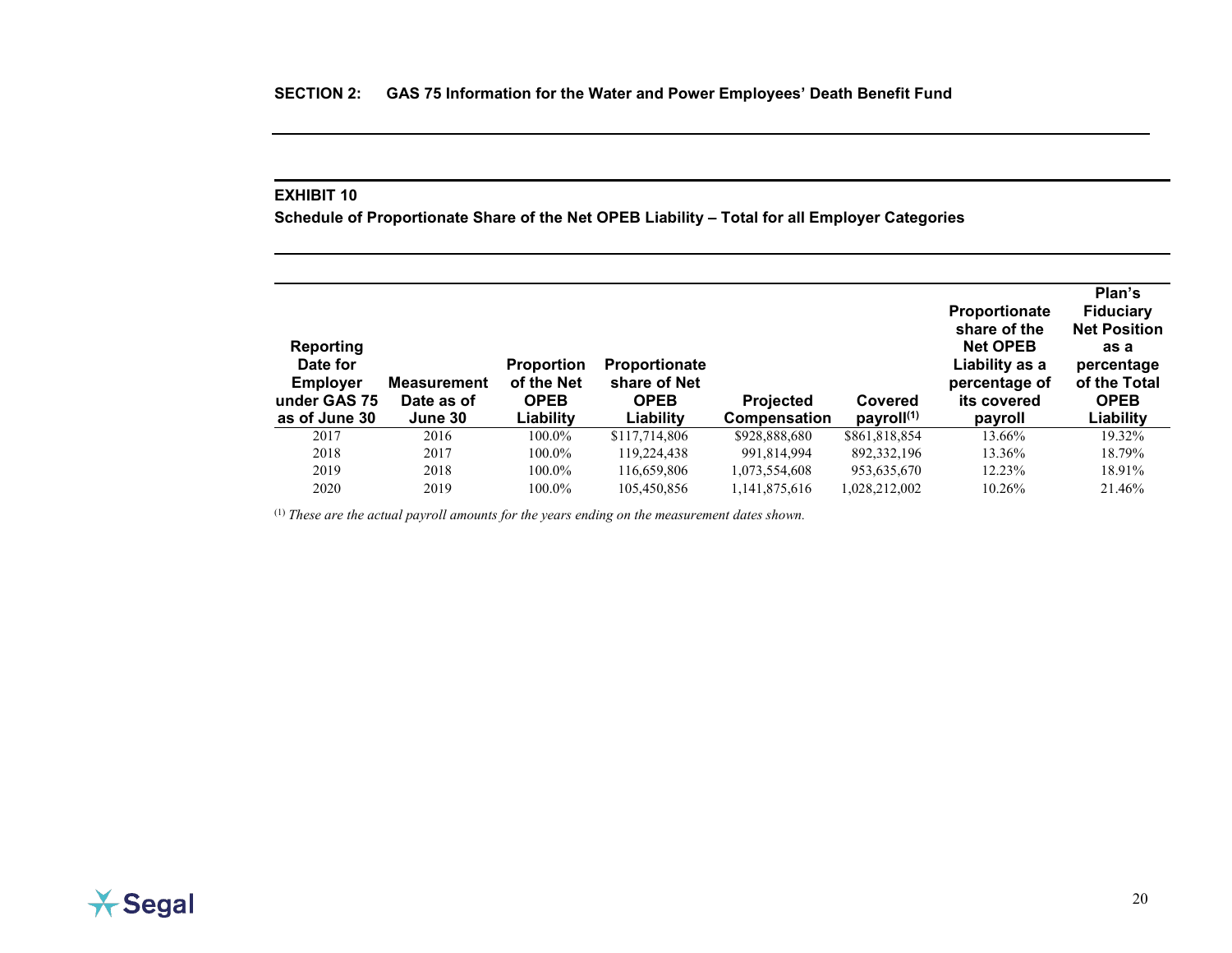<span id="page-28-0"></span>**Schedule of Proportionate Share of the Net OPEB Liability – Total for all Employer Categories**

| <b>Reporting</b><br>Date for<br><b>Employer</b><br>under GAS 75<br>as of June 30 | <b>Measurement</b><br>Date as of<br>June 30 | <b>Proportion</b><br>of the Net<br><b>OPEB</b><br>Liability | <b>Proportionate</b><br>share of Net<br><b>OPEB</b><br>Liability | <b>Projected</b><br>Compensation | Covered<br>payroll <sup>(1)</sup> | <b>Proportionate</b><br>share of the<br><b>Net OPEB</b><br>Liability as a<br>percentage of<br>its covered<br>payroll | Plan's<br><b>Fiduciary</b><br><b>Net Position</b><br>as a<br>percentage<br>of the Total<br><b>OPEB</b><br>Liability |
|----------------------------------------------------------------------------------|---------------------------------------------|-------------------------------------------------------------|------------------------------------------------------------------|----------------------------------|-----------------------------------|----------------------------------------------------------------------------------------------------------------------|---------------------------------------------------------------------------------------------------------------------|
| 2017                                                                             | 2016                                        | 100.0%                                                      | \$117,714,806                                                    | \$928,888,680                    | \$861,818,854                     | 13.66%                                                                                                               | 19.32%                                                                                                              |
| 2018                                                                             | 2017                                        | 100.0%                                                      | 119,224,438                                                      | 991,814,994                      | 892, 332, 196                     | 13.36%                                                                                                               | 18.79%                                                                                                              |
| 2019                                                                             | 2018                                        | 100.0%                                                      | 116,659,806                                                      | 1,073,554,608                    | 953,635,670                       | 12.23%                                                                                                               | 18.91%                                                                                                              |
| 2020                                                                             | 2019                                        | 100.0%                                                      | 105,450,856                                                      | 1,141,875,616                    | 1.028.212.002                     | 10.26%                                                                                                               | 21.46%                                                                                                              |

<sup>(1)</sup> These are the actual payroll amounts for the years ending on the measurement dates shown.

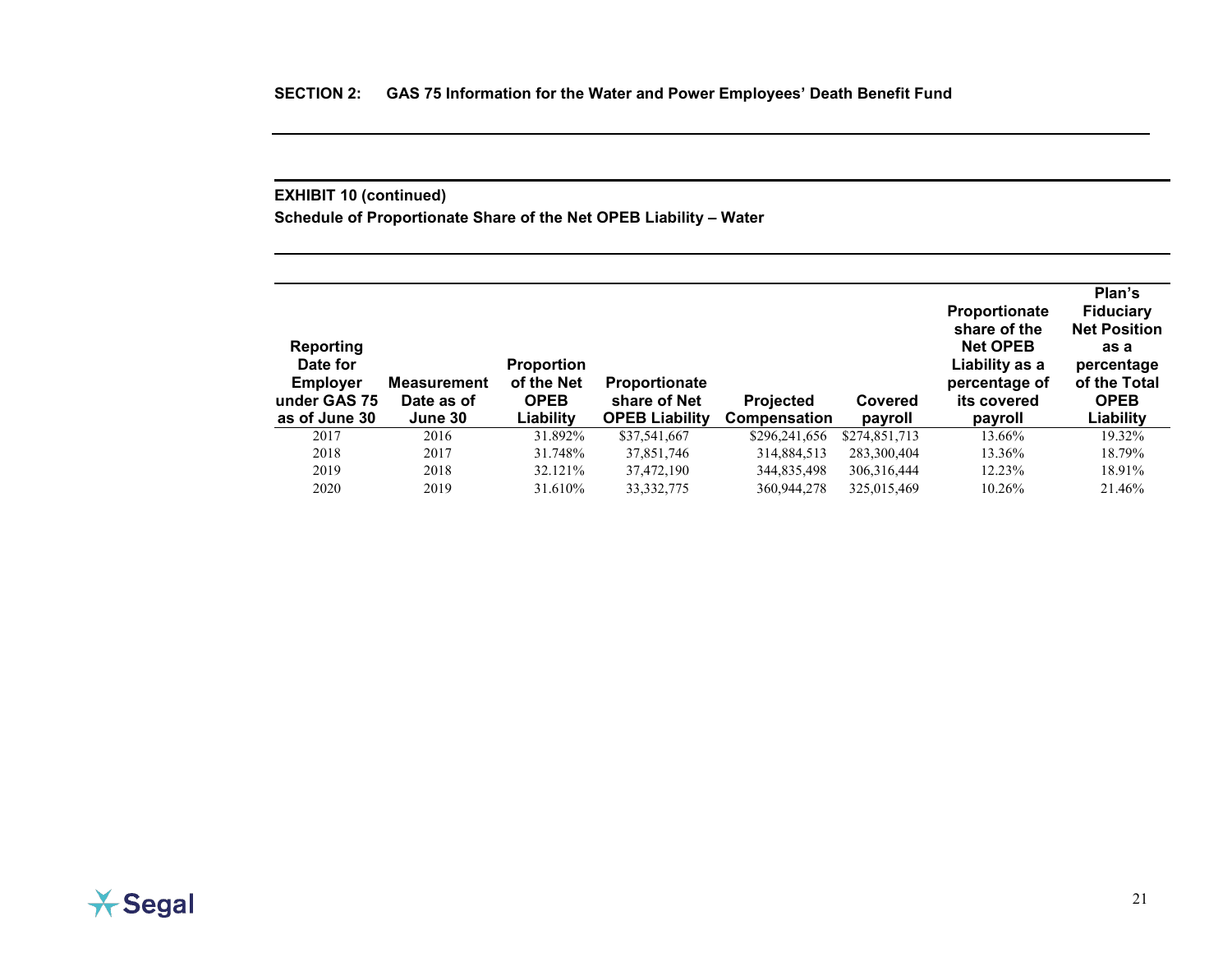## **EXHIBIT 10 (continued)**

**Schedule of Proportionate Share of the Net OPEB Liability – Water**

| <b>Reporting</b><br>Date for<br><b>Employer</b><br>under GAS 75<br>as of June 30 | <b>Measurement</b><br>Date as of<br>June 30 | <b>Proportion</b><br>of the Net<br><b>OPEB</b><br>Liability | <b>Proportionate</b><br>share of Net<br><b>OPEB Liability</b> | <b>Projected</b><br>Compensation | Covered<br>payroll | <b>Proportionate</b><br>share of the<br><b>Net OPEB</b><br>Liability as a<br>percentage of<br>its covered<br>payroll | Plan's<br><b>Fiduciary</b><br><b>Net Position</b><br>as a<br>percentage<br>of the Total<br><b>OPEB</b><br>Liability |
|----------------------------------------------------------------------------------|---------------------------------------------|-------------------------------------------------------------|---------------------------------------------------------------|----------------------------------|--------------------|----------------------------------------------------------------------------------------------------------------------|---------------------------------------------------------------------------------------------------------------------|
| 2017                                                                             | 2016                                        | 31.892%                                                     | \$37,541,667                                                  | \$296,241,656                    | \$274,851,713      | 13.66%                                                                                                               | 19.32%                                                                                                              |
| 2018                                                                             | 2017                                        | 31.748%                                                     | 37,851,746                                                    | 314,884,513                      | 283,300,404        | 13.36%                                                                                                               | 18.79%                                                                                                              |
| 2019                                                                             | 2018                                        | 32.121%                                                     | 37,472,190                                                    | 344,835,498                      | 306, 316, 444      | 12.23%                                                                                                               | 18.91%                                                                                                              |
| 2020                                                                             | 2019                                        | 31.610\%                                                    | 33, 332, 775                                                  | 360,944,278                      | 325,015,469        | 10.26%                                                                                                               | 21.46%                                                                                                              |

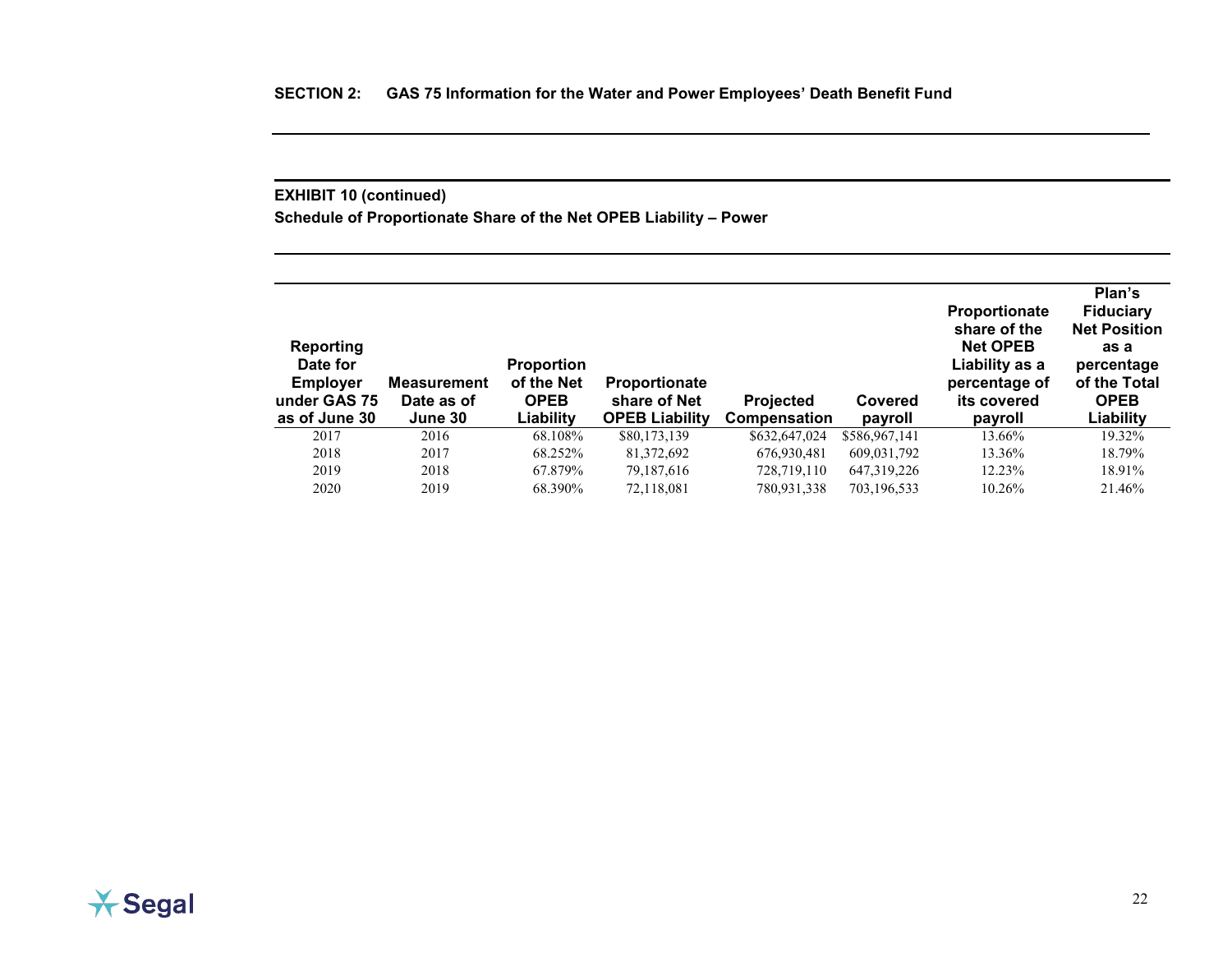## **EXHIBIT 10 (continued)**

**Schedule of Proportionate Share of the Net OPEB Liability – Power**

| <b>Reporting</b><br>Date for<br><b>Employer</b><br>under GAS 75<br>as of June 30 | Measurement<br>Date as of<br>June 30 | <b>Proportion</b><br>of the Net<br><b>OPEB</b><br>Liability | <b>Proportionate</b><br>share of Net<br><b>OPEB Liability</b> | <b>Projected</b><br><b>Compensation</b> | Covered<br>payroll | <b>Proportionate</b><br>share of the<br><b>Net OPEB</b><br>Liability as a<br>percentage of<br>its covered<br>payroll | Plan's<br><b>Fiduciary</b><br><b>Net Position</b><br>as a<br>percentage<br>of the Total<br><b>OPEB</b><br>Liability |
|----------------------------------------------------------------------------------|--------------------------------------|-------------------------------------------------------------|---------------------------------------------------------------|-----------------------------------------|--------------------|----------------------------------------------------------------------------------------------------------------------|---------------------------------------------------------------------------------------------------------------------|
| 2017                                                                             | 2016                                 | 68.108%                                                     | \$80,173,139                                                  | \$632,647,024                           | \$586,967,141      | 13.66%                                                                                                               | 19.32%                                                                                                              |
| 2018                                                                             | 2017                                 | 68.252%                                                     | 81,372,692                                                    | 676,930,481                             | 609,031,792        | 13.36%                                                                                                               | 18.79%                                                                                                              |
| 2019                                                                             | 2018                                 | 67.879%                                                     | 79.187.616                                                    | 728,719,110                             | 647, 319, 226      | 12.23%                                                                                                               | 18.91%                                                                                                              |
| 2020                                                                             | 2019                                 | 68.390%                                                     | 72,118,081                                                    | 780,931,338                             | 703,196,533        | $10.26\%$                                                                                                            | 21.46%                                                                                                              |

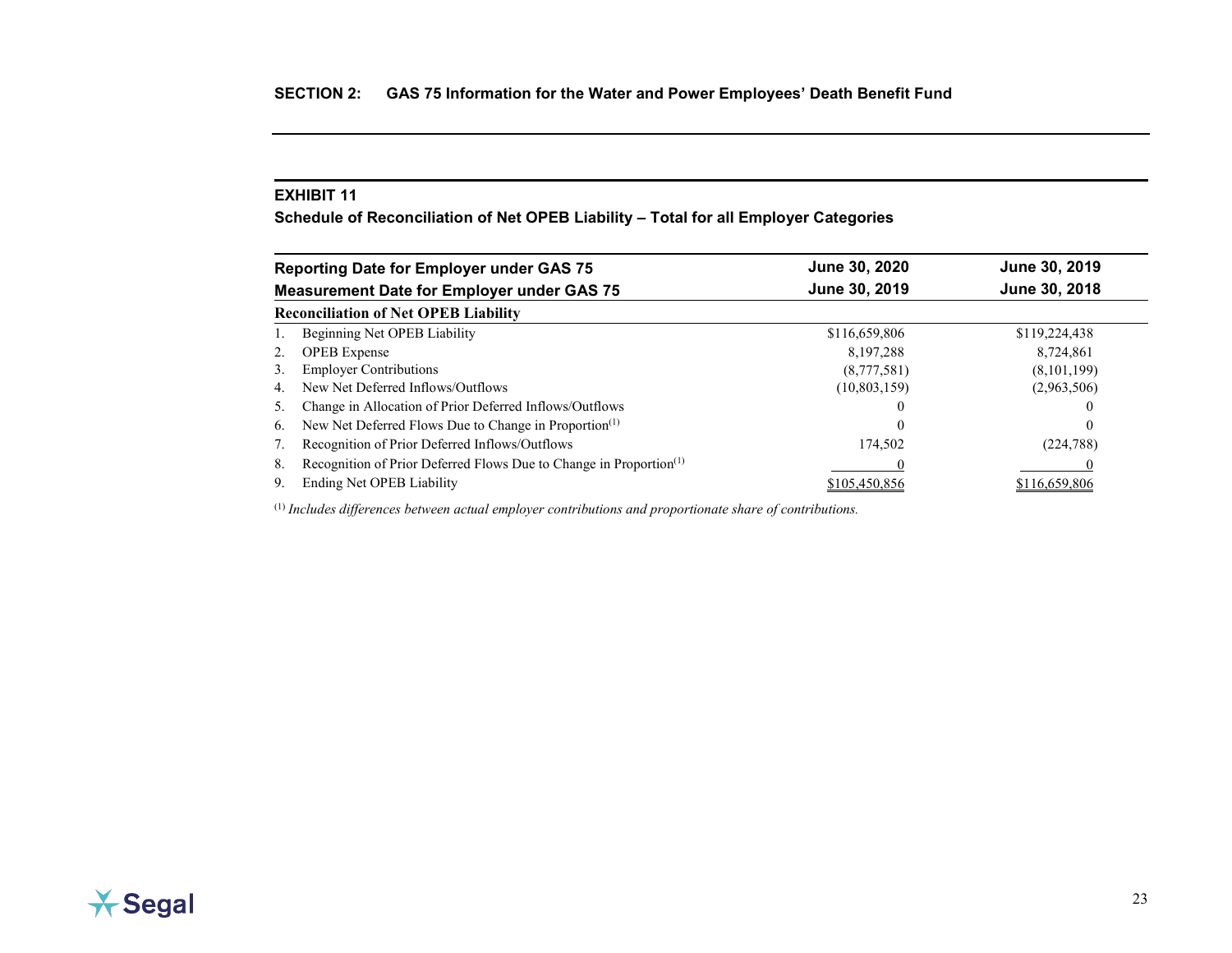<span id="page-31-0"></span>**Schedule of Reconciliation of Net OPEB Liability – Total for all Employer Categories**

| <b>Reporting Date for Employer under GAS 75</b>                                      | June 30, 2020 | June 30, 2019 |
|--------------------------------------------------------------------------------------|---------------|---------------|
| <b>Measurement Date for Employer under GAS 75</b>                                    | June 30, 2019 | June 30, 2018 |
| <b>Reconciliation of Net OPEB Liability</b>                                          |               |               |
| Beginning Net OPEB Liability                                                         | \$116,659,806 | \$119,224,438 |
| <b>OPEB</b> Expense<br>2.                                                            | 8,197,288     | 8,724,861     |
| <b>Employer Contributions</b><br>3.                                                  | (8,777,581)   | (8,101,199)   |
| New Net Deferred Inflows/Outflows<br>4.                                              | (10,803,159)  | (2,963,506)   |
| Change in Allocation of Prior Deferred Inflows/Outflows<br>5.                        |               |               |
| New Net Deferred Flows Due to Change in Proportion <sup>(1)</sup><br>6.              | $\left($      | $\theta$      |
| Recognition of Prior Deferred Inflows/Outflows                                       | 174.502       | (224, 788)    |
| Recognition of Prior Deferred Flows Due to Change in Proportion <sup>(1)</sup><br>8. |               |               |
| Ending Net OPEB Liability<br>9.                                                      | \$105,450,856 | \$116,659,806 |

(1) *Includes differences between actual employer contributions and proportionate share of contributions.*

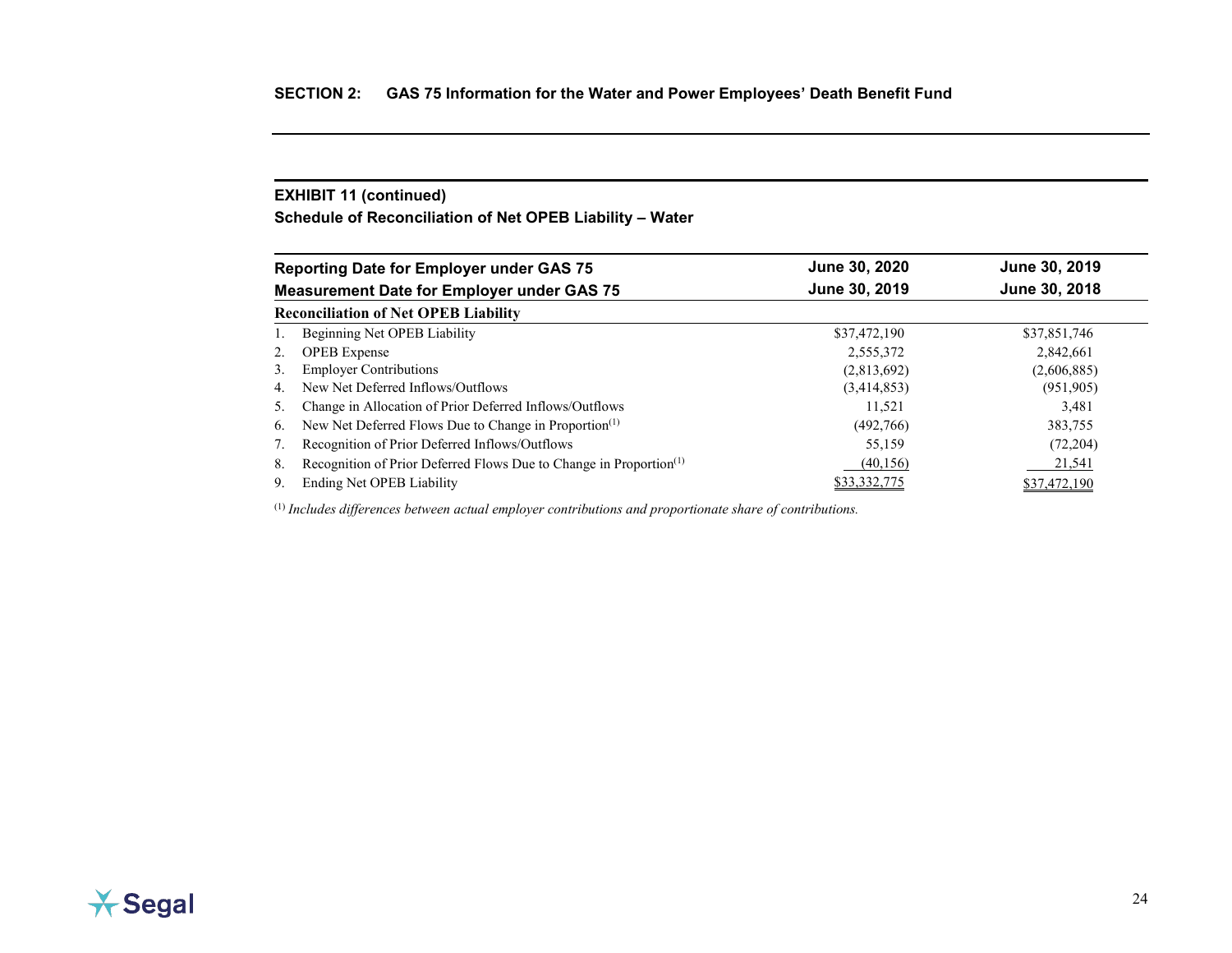## **EXHIBIT 11 (continued)**

**Schedule of Reconciliation of Net OPEB Liability – Water**

|                 | <b>Reporting Date for Employer under GAS 75</b>                                | June 30, 2020 | June 30, 2019 |
|-----------------|--------------------------------------------------------------------------------|---------------|---------------|
|                 | <b>Measurement Date for Employer under GAS 75</b>                              | June 30, 2019 | June 30, 2018 |
|                 | <b>Reconciliation of Net OPEB Liability</b>                                    |               |               |
|                 | Beginning Net OPEB Liability                                                   | \$37,472,190  | \$37,851,746  |
| 2.              | <b>OPEB</b> Expense                                                            | 2,555,372     | 2,842,661     |
| 3.              | <b>Employer Contributions</b>                                                  | (2,813,692)   | (2,606,885)   |
| 4.              | New Net Deferred Inflows/Outflows                                              | (3,414,853)   | (951, 905)    |
| $\mathcal{L}$ . | Change in Allocation of Prior Deferred Inflows/Outflows                        | 11,521        | 3,481         |
| 6.              | New Net Deferred Flows Due to Change in Proportion <sup>(1)</sup>              | (492,766)     | 383,755       |
|                 | Recognition of Prior Deferred Inflows/Outflows                                 | 55,159        | (72,204)      |
| 8.              | Recognition of Prior Deferred Flows Due to Change in Proportion <sup>(1)</sup> | (40, 156)     | 21,541        |
| 9.              | Ending Net OPEB Liability                                                      | \$33.332.775  | \$37,472,190  |

(1) *Includes differences between actual employer contributions and proportionate share of contributions.*

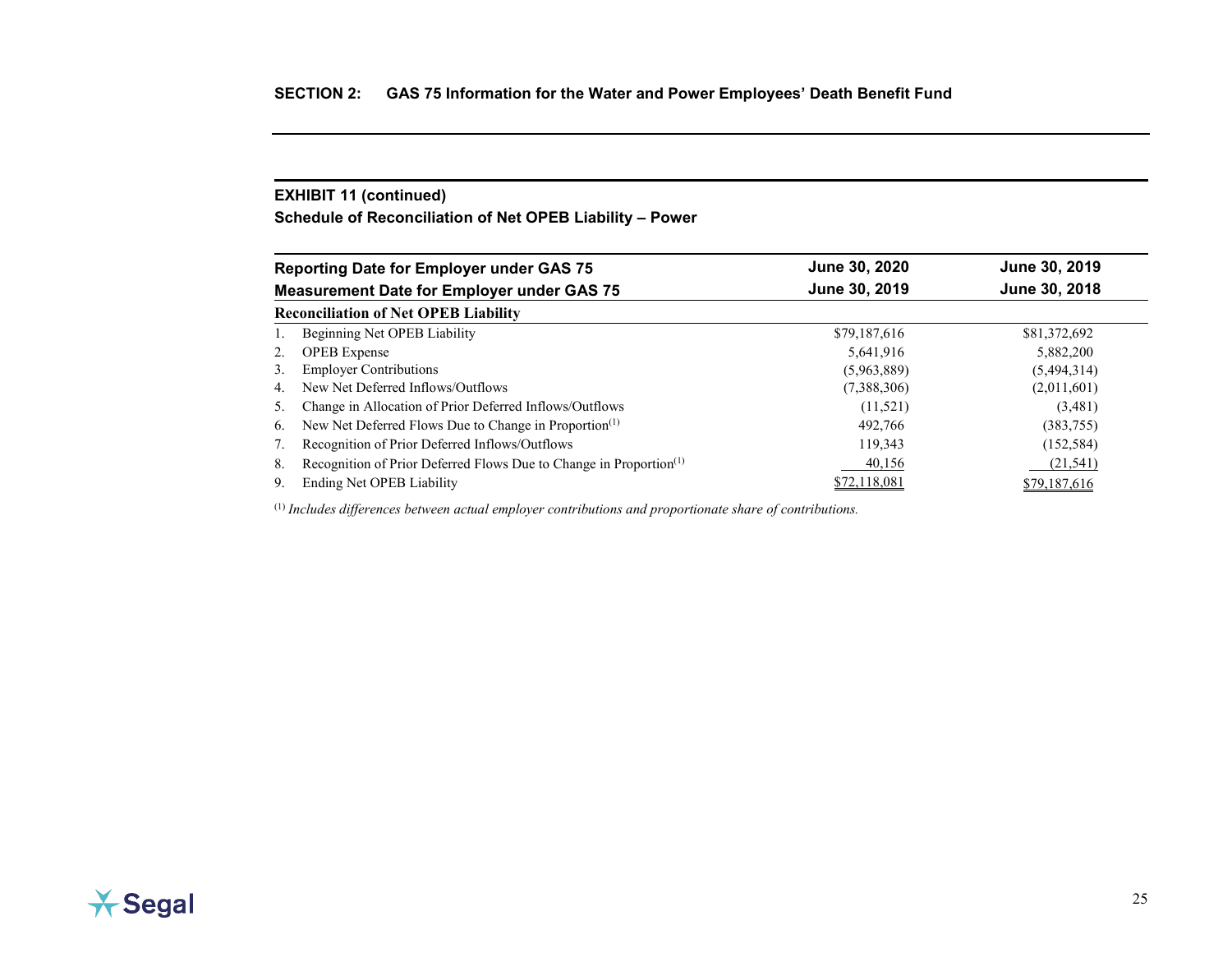## **EXHIBIT 11 (continued)**

**Schedule of Reconciliation of Net OPEB Liability – Power**

|                 | <b>Reporting Date for Employer under GAS 75</b>                                | June 30, 2020 | June 30, 2019 |
|-----------------|--------------------------------------------------------------------------------|---------------|---------------|
|                 | <b>Measurement Date for Employer under GAS 75</b>                              | June 30, 2019 | June 30, 2018 |
|                 | <b>Reconciliation of Net OPEB Liability</b>                                    |               |               |
|                 | Beginning Net OPEB Liability                                                   | \$79,187,616  | \$81,372,692  |
| 2.              | <b>OPEB</b> Expense                                                            | 5,641,916     | 5,882,200     |
| 3.              | <b>Employer Contributions</b>                                                  | (5,963,889)   | (5,494,314)   |
| 4.              | New Net Deferred Inflows/Outflows                                              | (7,388,306)   | (2,011,601)   |
| $\mathcal{L}$ . | Change in Allocation of Prior Deferred Inflows/Outflows                        | (11,521)      | (3,481)       |
| 6.              | New Net Deferred Flows Due to Change in Proportion <sup>(1)</sup>              | 492,766       | (383,755)     |
|                 | Recognition of Prior Deferred Inflows/Outflows                                 | 119,343       | (152, 584)    |
| 8.              | Recognition of Prior Deferred Flows Due to Change in Proportion <sup>(1)</sup> | 40,156        | (21, 541)     |
| 9.              | Ending Net OPEB Liability                                                      | \$72,118,081  | \$79,187,616  |

(1) *Includes differences between actual employer contributions and proportionate share of contributions.*

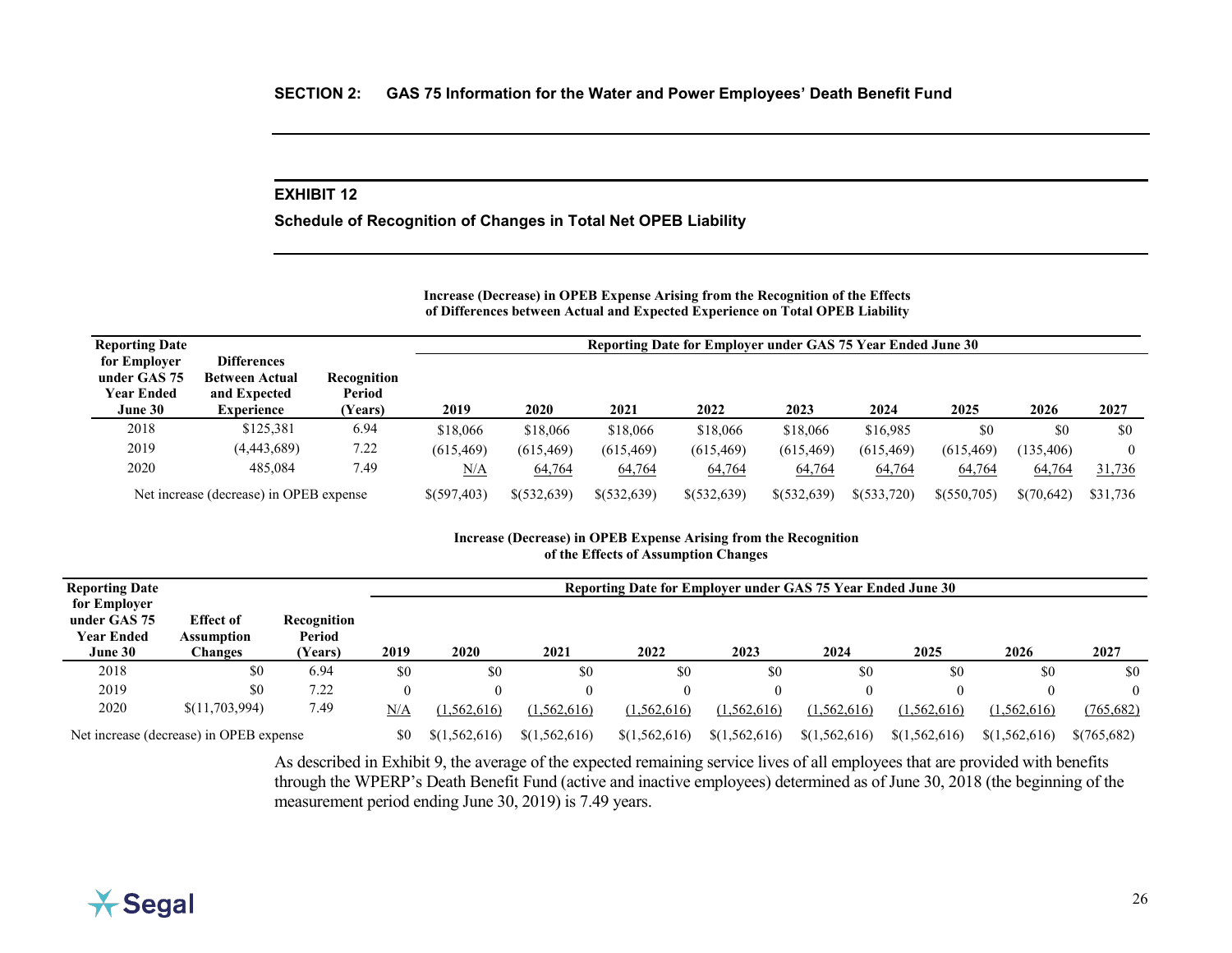<span id="page-34-0"></span>**Schedule of Recognition of Changes in Total Net OPEB Liability**

#### **Increase (Decrease) in OPEB Expense Arising from the Recognition of the Effects of Differences between Actual and Expected Experience on Total OPEB Liability**

| <b>Reporting Date</b>                                        |                                                                                  |                                  | Reporting Date for Employer under GAS 75 Year Ended June 30 |             |               |             |              |            |            |            |          |  |
|--------------------------------------------------------------|----------------------------------------------------------------------------------|----------------------------------|-------------------------------------------------------------|-------------|---------------|-------------|--------------|------------|------------|------------|----------|--|
| for Employer<br>under GAS 75<br><b>Year Ended</b><br>June 30 | <b>Differences</b><br><b>Between Actual</b><br>and Expected<br><b>Experience</b> | Recognition<br>Period<br>(Years) | 2019                                                        | 2020        | 2021          | 2022        | 2023         | 2024       | 2025       | 2026       | 2027     |  |
| 2018                                                         | \$125,381                                                                        | 6.94                             | \$18,066                                                    | \$18,066    | \$18,066      | \$18,066    | \$18,066     | \$16,985   | \$0        | \$0        | \$0      |  |
| 2019                                                         | (4,443,689)                                                                      | 7.22                             | (615, 469)                                                  | (615, 469)  | (615, 469)    | (615, 469)  | (615, 469)   | (615, 469) | (615, 469) | (135, 406) | $\theta$ |  |
| 2020                                                         | 485.084                                                                          | 7.49                             | N/A                                                         | 64,764      | 64,764        | 64,764      | 64,764       | 64,764     | 64,764     | 64,764     | 31,736   |  |
| Net increase (decrease) in OPEB expense                      | \$(597,403)                                                                      | \$(532,639)                      | \$(532,639)                                                 | \$(532,639) | \$ (532, 639) | \$(533,720) | \$ (550,705) | \$(70,642) | \$31,736   |            |          |  |

#### **Increase (Decrease) in OPEB Expense Arising from the Recognition of the Effects of Assumption Changes**

| <b>Reporting Date</b>                                        |                                           |                                  | Reporting Date for Employer under GAS 75 Year Ended June 30 |               |               |               |               |               |               |               |             |  |  |
|--------------------------------------------------------------|-------------------------------------------|----------------------------------|-------------------------------------------------------------|---------------|---------------|---------------|---------------|---------------|---------------|---------------|-------------|--|--|
| for Employer<br>under GAS 75<br><b>Year Ended</b><br>June 30 | <b>Effect of</b><br>Assumption<br>Changes | Recognition<br>Period<br>(Years) | 2019                                                        | 2020          | 2021          | 2022          | 2023          | 2024          | 2025          | 2026          | 2027        |  |  |
| 2018                                                         | \$0                                       | 6.94                             | \$0                                                         | \$0           | \$0           | \$0           | \$0           | \$0           | \$0           | \$0           | \$0         |  |  |
| 2019                                                         | \$0                                       | 7.22                             | $\theta$                                                    | 0             |               |               | $\left($      |               |               |               | $\theta$    |  |  |
| 2020                                                         | \$(11,703,994)                            | 7.49                             | N/A                                                         | (1,562,616)   | (1,562,616)   | (1,562,616)   | (1, 562, 616) | (1, 562, 616) | (1, 562, 616) | (1,562,616)   | (765, 682)  |  |  |
|                                                              | Net increase (decrease) in OPEB expense   |                                  | \$0                                                         | \$(1,562,616) | \$(1,562,616) | \$(1,562,616) | \$(1,562,616) | \$(1,562,616) | \$(1,562,616) | \$(1,562,616) | \$(765,682) |  |  |

As described in Exhibit 9, the average of the expected remaining service lives of all employees that are provided with benefits through the WPERP's Death Benefit Fund (active and inactive employees) determined as of June 30, 2018 (the beginning of the measurement period ending June 30, 2019) is 7.49 years.

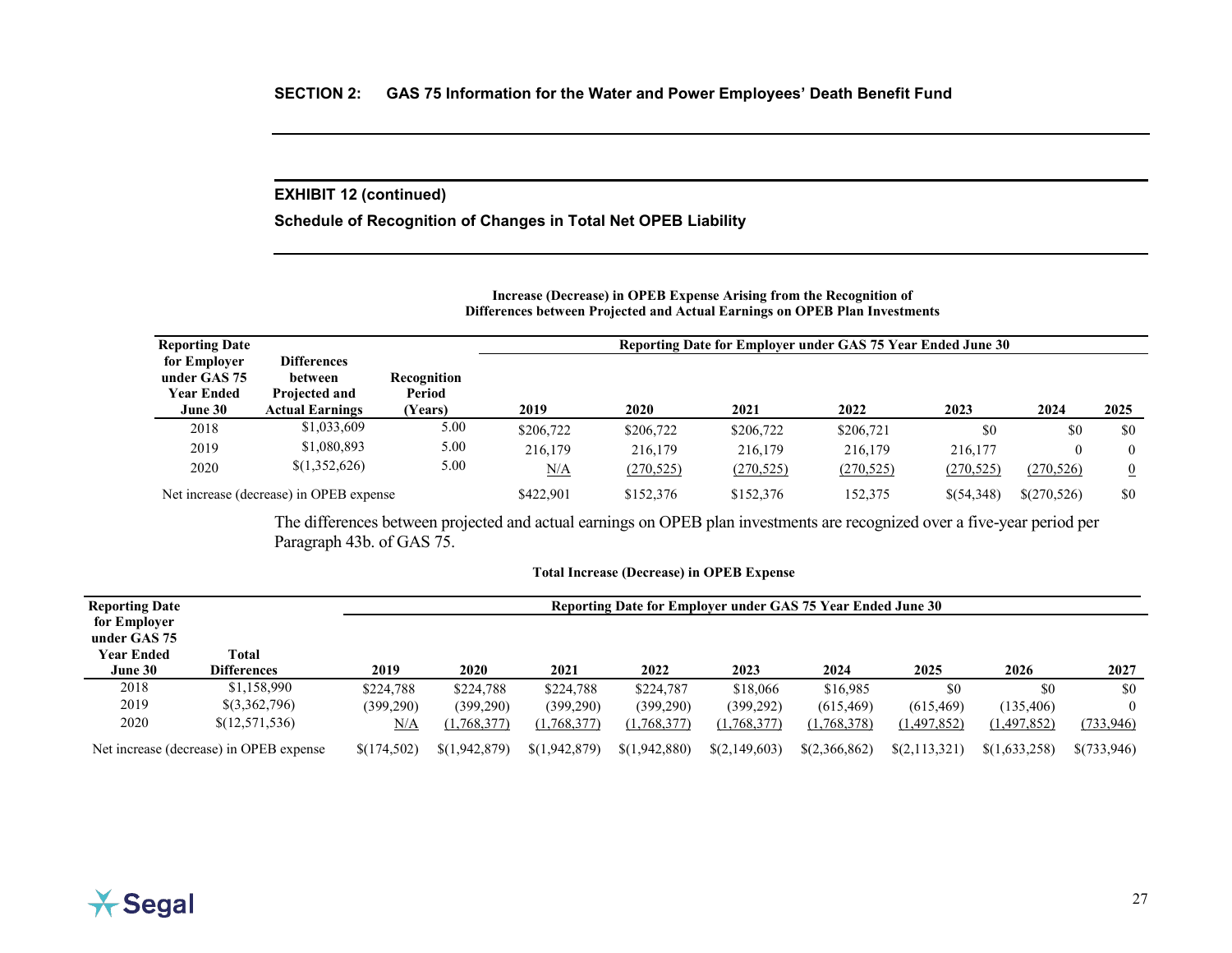## **EXHIBIT 12 (continued)**

**Schedule of Recognition of Changes in Total Net OPEB Liability**

#### **Increase (Decrease) in OPEB Expense Arising from the Recognition of Differences between Projected and Actual Earnings on OPEB Plan Investments**

| <b>Reporting Date</b>                                        |                                                                          |                                  |           |            | Reporting Date for Employer under GAS 75 Year Ended June 30 |            |            |             |                |
|--------------------------------------------------------------|--------------------------------------------------------------------------|----------------------------------|-----------|------------|-------------------------------------------------------------|------------|------------|-------------|----------------|
| for Employer<br>under GAS 75<br><b>Year Ended</b><br>June 30 | <b>Differences</b><br>between<br>Projected and<br><b>Actual Earnings</b> | Recognition<br>Period<br>(Years) | 2019      | 2020       | 2021                                                        | 2022       | 2023       | 2024        | 2025           |
| 2018                                                         | \$1,033,609                                                              | 5.00                             | \$206,722 | \$206,722  | \$206,722                                                   | \$206,721  | \$0        | \$0         | \$0            |
| 2019                                                         | \$1,080,893                                                              | 5.00                             | 216,179   | 216,179    | 216,179                                                     | 216,179    | 216,177    |             | $\theta$       |
| 2020                                                         | \$(1,352,626)                                                            | 5.00                             | N/A       | (270, 525) | (270, 525)                                                  | (270, 525) | (270, 525) | (270, 526)  | $\overline{0}$ |
|                                                              | Net increase (decrease) in OPEB expense                                  |                                  | \$422,901 | \$152,376  | \$152,376                                                   | 152,375    | \$(54,348) | \$(270,526) | \$0            |

The differences between projected and actual earnings on OPEB plan investments are recognized over a five-year period per Paragraph 43b. of GAS 75.

### **Total Increase (Decrease) in OPEB Expense**

| <b>Reporting Date</b><br>for Employer        |                             |             | Reporting Date for Employer under GAS 75 Year Ended June 30 |               |               |               |               |                 |               |             |  |  |
|----------------------------------------------|-----------------------------|-------------|-------------------------------------------------------------|---------------|---------------|---------------|---------------|-----------------|---------------|-------------|--|--|
| under GAS 75<br><b>Year Ended</b><br>June 30 | Total<br><b>Differences</b> | 2019        | <b>2020</b>                                                 | 2021          | 2022          | 2023          | 2024          | 2025            | 2026          | 2027        |  |  |
| 2018                                         | \$1,158,990                 | \$224,788   | \$224,788                                                   | \$224,788     | \$224,787     | \$18,066      | \$16,985      | \$0             | \$0           | \$0         |  |  |
| 2019                                         | \$(3,362,796)               | (399,290)   | (399, 290)                                                  | (399, 290)    | (399,290)     | (399, 292)    | (615, 469)    | (615, 469)      | (135, 406)    |             |  |  |
| 2020                                         | \$(12,571,536)              | N/A         | (1,768,377)                                                 | (1,768,377)   | (1,768,377)   | (1,768,377)   | (1,768,378)   | (1,497,852)     | (1,497,852)   | (733, 946)  |  |  |
| Net increase (decrease) in OPEB expense      |                             | \$(174,502) | \$(1,942,879)                                               | \$(1,942,879) | \$(1,942,880) | \$(2,149,603) | \$(2,366,862) | $\S(2,113,321)$ | \$(1,633,258) | \$(733,946) |  |  |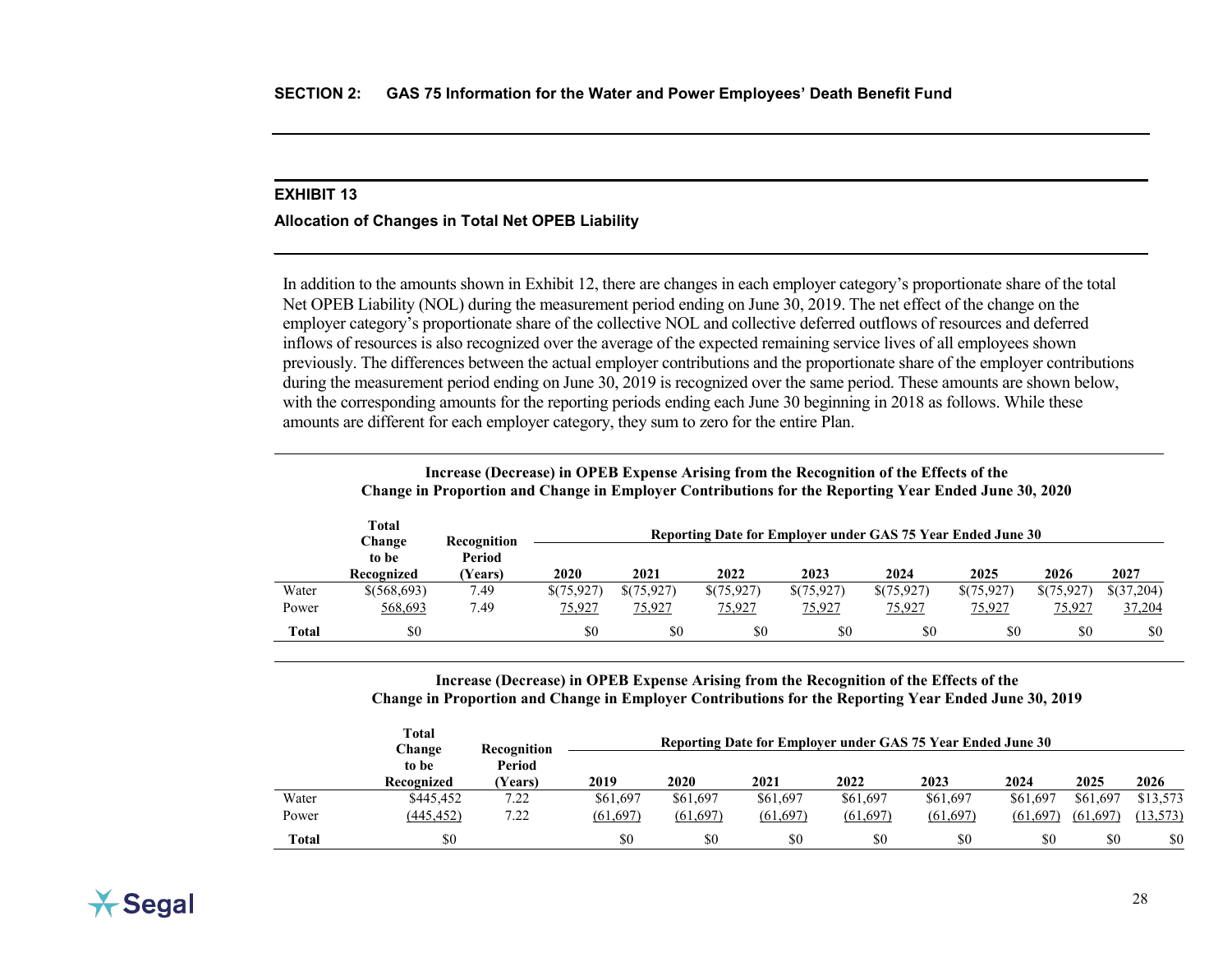## <span id="page-36-0"></span>**Allocation of Changes in Total Net OPEB Liability**

In addition to the amounts shown in Exhibit 12, there are changes in each employer category's proportionate share of the total Net OPEB Liability (NOL) during the measurement period ending on June 30, 2019. The net effect of the change on the employer category's proportionate share of the collective NOL and collective deferred outflows of resources and deferred inflows of resources is also recognized over the average of the expected remaining service lives of all employees shown previously. The differences between the actual employer contributions and the proportionate share of the employer contributions during the measurement period ending on June 30, 2019 is recognized over the same period. These amounts are shown below, with the corresponding amounts for the reporting periods ending each June 30 beginning in 2018 as follows. While these amounts are different for each employer category, they sum to zero for the entire Plan.

|              | <b>Total</b><br>Change<br>to be<br>Recognized | Recognition<br>Period<br>(Years) | 2020       | 2021       | Reporting Date for Employer under GAS 75 Year Ended June 30<br>2022 | 2023          | 2024          | 2025       | 2026      | 2027       |
|--------------|-----------------------------------------------|----------------------------------|------------|------------|---------------------------------------------------------------------|---------------|---------------|------------|-----------|------------|
| Water        | \$ (568,693)                                  | 7.49                             | \$(75,927) | \$(75,927) | \$(75,927)                                                          | \$(75,927)    | \$(75,927)    | \$(75,927) | \$(75,927 | \$(37,204) |
| Power        | 568,693                                       | 7.49                             | 75,927     | 75,927     | 75,927                                                              | <u>75,927</u> | <u>75,927</u> | 75,927     | 75,927    | 37,204     |
| <b>Total</b> | \$0                                           |                                  | \$0        | \$0        | \$0                                                                 | \$0           | \$0           | \$0        | \$0       | \$0        |

**Increase (Decrease) in OPEB Expense Arising from the Recognition of the Effects of the Change in Proportion and Change in Employer Contributions for the Reporting Year Ended June 30, 2020**

**Increase (Decrease) in OPEB Expense Arising from the Recognition of the Effects of the Change in Proportion and Change in Employer Contributions for the Reporting Year Ended June 30, 2019**

|              | Total<br>Change     | Recognition              | Reporting Date for Employer under GAS 75 Year Ended June 30 |          |           |          |           |           |           |          |  |  |
|--------------|---------------------|--------------------------|-------------------------------------------------------------|----------|-----------|----------|-----------|-----------|-----------|----------|--|--|
|              | to be<br>Recognized | Period<br><b>Years</b> ) | 2019                                                        | 2020     | 2021      | 2022     | 2023      | 2024      | 2025      | 2026     |  |  |
| Water        | \$445,452           | 7.22                     | \$61,697                                                    | \$61,697 | \$61,697  | \$61,697 | \$61,697  | \$61,697  | \$61,697  | \$13,573 |  |  |
| Power        | (445, 452)          | 7.22                     | (61, 697)                                                   | (61,697) | (61, 697) | (61,697) | (61, 697) | (61, 697) | (61, 697) | (13,573) |  |  |
| <b>Total</b> | \$0                 |                          | \$0                                                         | \$0      | \$0       | \$0      | \$0       | \$0       | \$0       | \$0      |  |  |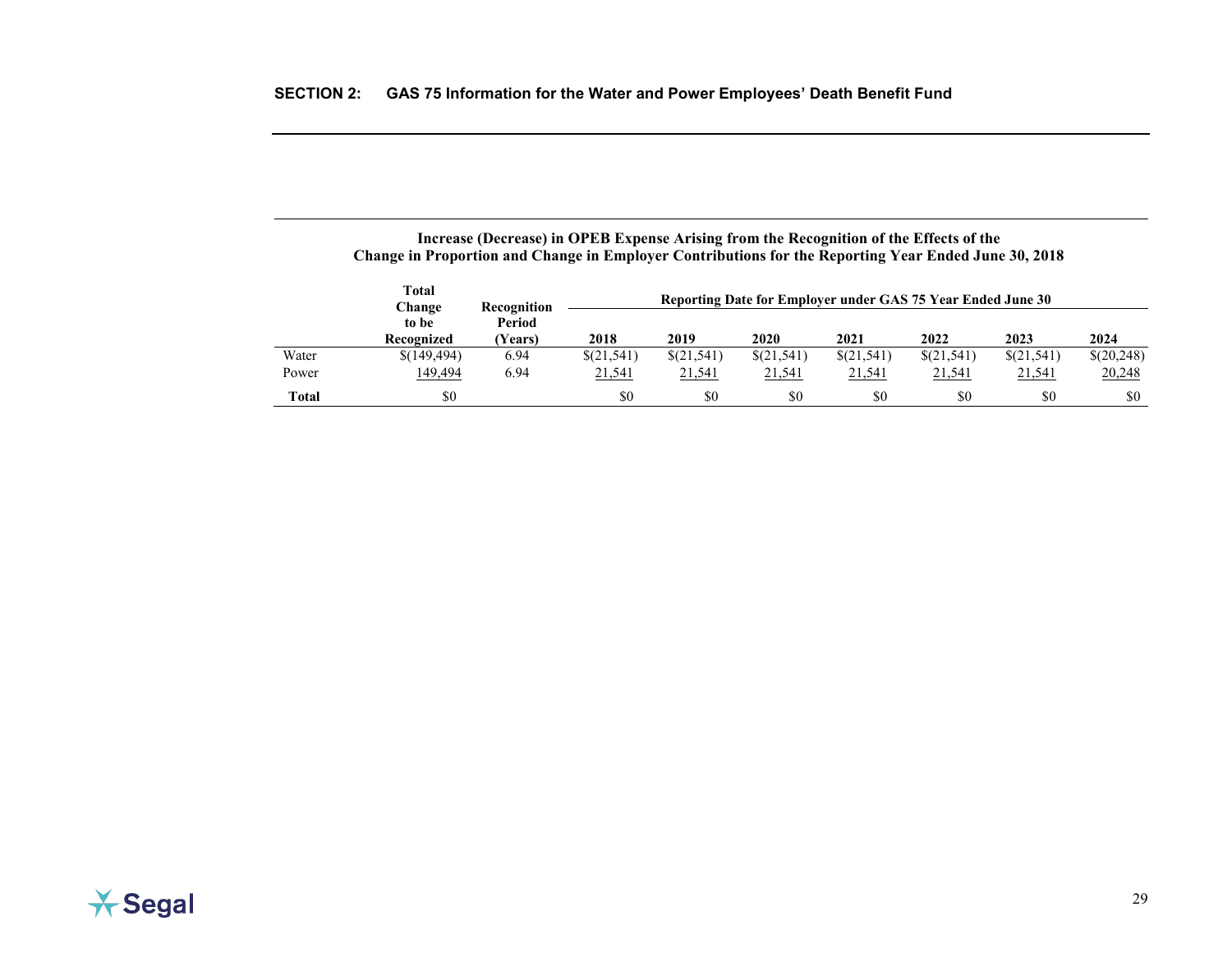|       | <b>Total</b><br>Recognition<br>Change |                  | Reporting Date for Employer under GAS 75 Year Ended June 30 |            |            |               |            |               |            |  |  |  |
|-------|---------------------------------------|------------------|-------------------------------------------------------------|------------|------------|---------------|------------|---------------|------------|--|--|--|
|       | to be<br>Recognized                   | Period<br>Years) | 2018                                                        | 2019       | 2020       | 2021          | 2022       | 2023          | 2024       |  |  |  |
| Water | \$(149,494)                           | 6.94             | \$(21,541)                                                  | \$(21,541) | \$(21,541) | \$(21,541)    | \$(21,541) | \$(21,541)    | \$(20,248) |  |  |  |
| Power | <u>149,494</u>                        | 6.94             | 21,541                                                      | 21,541     | 21,541     | <u>21,541</u> | 21,541     | <u>21,541</u> | 20,248     |  |  |  |
| Total | \$0                                   |                  | \$0                                                         | \$0        | \$0        | \$0           | \$0        | \$0           | \$0        |  |  |  |

## **Increase (Decrease) in OPEB Expense Arising from the Recognition of the Effects of the Change in Proportion and Change in Employer Contributions for the Reporting Year Ended June 30, 2018**

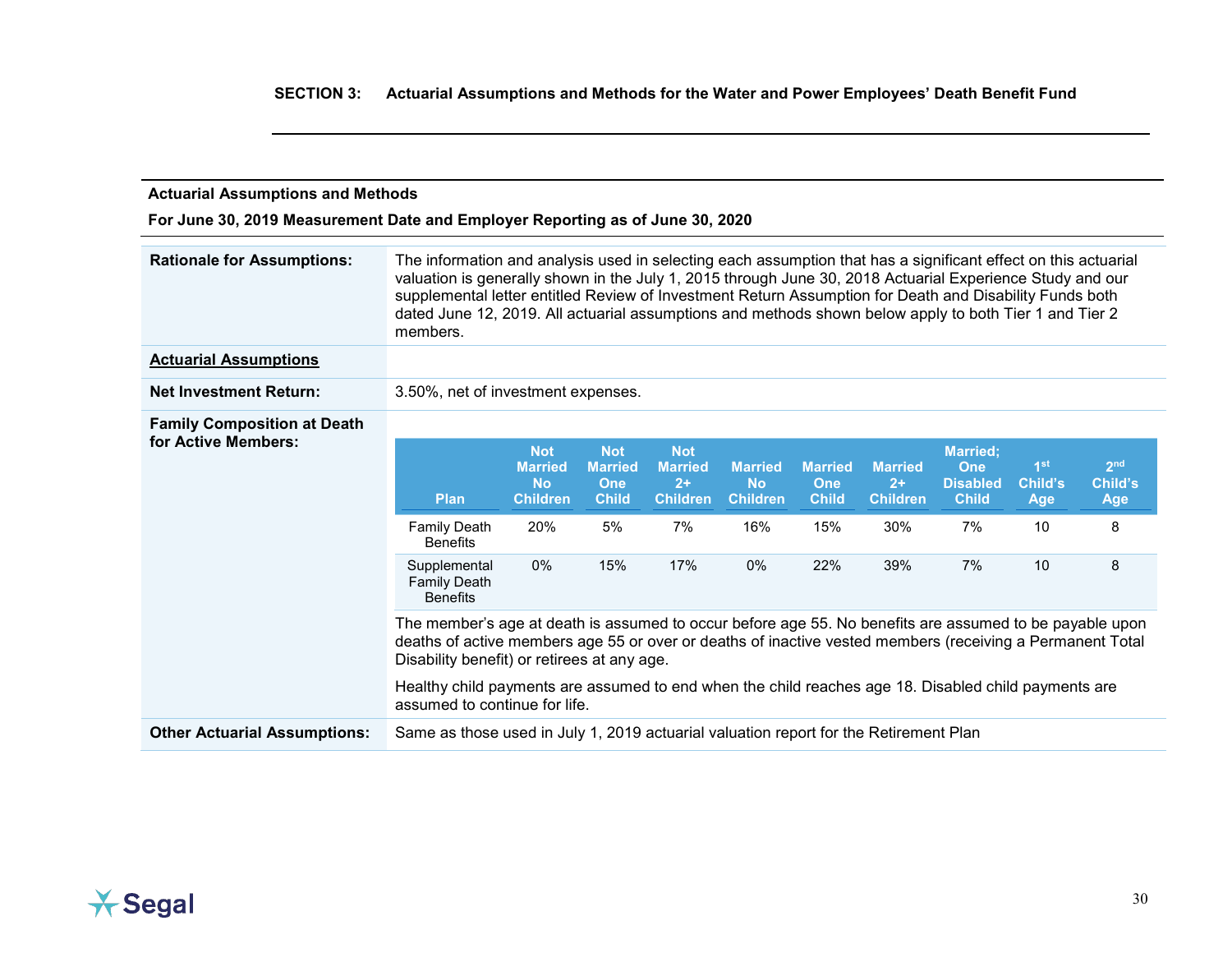<span id="page-38-0"></span>

| <b>Actuarial Assumptions and Methods</b>                                                                                                                                                                                                                            |                                                                                                                                                                                                                                                                                                                                                                                                                                                              |                                                              |                                                            |                                                         |                                                |                                              |                                           |                                                           |                                          |                                   |
|---------------------------------------------------------------------------------------------------------------------------------------------------------------------------------------------------------------------------------------------------------------------|--------------------------------------------------------------------------------------------------------------------------------------------------------------------------------------------------------------------------------------------------------------------------------------------------------------------------------------------------------------------------------------------------------------------------------------------------------------|--------------------------------------------------------------|------------------------------------------------------------|---------------------------------------------------------|------------------------------------------------|----------------------------------------------|-------------------------------------------|-----------------------------------------------------------|------------------------------------------|-----------------------------------|
| For June 30, 2019 Measurement Date and Employer Reporting as of June 30, 2020                                                                                                                                                                                       |                                                                                                                                                                                                                                                                                                                                                                                                                                                              |                                                              |                                                            |                                                         |                                                |                                              |                                           |                                                           |                                          |                                   |
| <b>Rationale for Assumptions:</b>                                                                                                                                                                                                                                   | The information and analysis used in selecting each assumption that has a significant effect on this actuarial<br>valuation is generally shown in the July 1, 2015 through June 30, 2018 Actuarial Experience Study and our<br>supplemental letter entitled Review of Investment Return Assumption for Death and Disability Funds both<br>dated June 12, 2019. All actuarial assumptions and methods shown below apply to both Tier 1 and Tier 2<br>members. |                                                              |                                                            |                                                         |                                                |                                              |                                           |                                                           |                                          |                                   |
| <b>Actuarial Assumptions</b>                                                                                                                                                                                                                                        |                                                                                                                                                                                                                                                                                                                                                                                                                                                              |                                                              |                                                            |                                                         |                                                |                                              |                                           |                                                           |                                          |                                   |
| <b>Net Investment Return:</b>                                                                                                                                                                                                                                       | 3.50%, net of investment expenses.                                                                                                                                                                                                                                                                                                                                                                                                                           |                                                              |                                                            |                                                         |                                                |                                              |                                           |                                                           |                                          |                                   |
| <b>Family Composition at Death</b>                                                                                                                                                                                                                                  |                                                                                                                                                                                                                                                                                                                                                                                                                                                              |                                                              |                                                            |                                                         |                                                |                                              |                                           |                                                           |                                          |                                   |
| for Active Members:                                                                                                                                                                                                                                                 | <b>Plan</b>                                                                                                                                                                                                                                                                                                                                                                                                                                                  | <b>Not</b><br><b>Married</b><br><b>No</b><br><b>Children</b> | <b>Not</b><br><b>Married</b><br><b>One</b><br><b>Child</b> | <b>Not</b><br><b>Married</b><br>$2+$<br><b>Children</b> | <b>Married</b><br><b>No</b><br><b>Children</b> | <b>Married</b><br><b>One</b><br><b>Child</b> | <b>Married</b><br>$2+$<br><b>Children</b> | <b>Married;</b><br>One<br><b>Disabled</b><br><b>Child</b> | 1 <sup>st</sup><br>Child's<br><b>Age</b> | 2 <sub>nd</sub><br>Child's<br>Age |
|                                                                                                                                                                                                                                                                     | <b>Family Death</b><br><b>Benefits</b>                                                                                                                                                                                                                                                                                                                                                                                                                       | 20%                                                          | 5%                                                         | 7%                                                      | 16%                                            | 15%                                          | 30%                                       | 7%                                                        | 10                                       | 8                                 |
|                                                                                                                                                                                                                                                                     | Supplemental<br><b>Family Death</b><br><b>Benefits</b>                                                                                                                                                                                                                                                                                                                                                                                                       | $0\%$                                                        | 15%                                                        | 17%                                                     | $0\%$                                          | 22%                                          | 39%                                       | 7%                                                        | 10                                       | 8                                 |
| The member's age at death is assumed to occur before age 55. No benefits are assumed to be payable upon<br>deaths of active members age 55 or over or deaths of inactive vested members (receiving a Permanent Total<br>Disability benefit) or retirees at any age. |                                                                                                                                                                                                                                                                                                                                                                                                                                                              |                                                              |                                                            |                                                         |                                                |                                              |                                           |                                                           |                                          |                                   |
| Healthy child payments are assumed to end when the child reaches age 18. Disabled child payments are<br>assumed to continue for life.                                                                                                                               |                                                                                                                                                                                                                                                                                                                                                                                                                                                              |                                                              |                                                            |                                                         |                                                |                                              |                                           |                                                           |                                          |                                   |
| <b>Other Actuarial Assumptions:</b>                                                                                                                                                                                                                                 | Same as those used in July 1, 2019 actuarial valuation report for the Retirement Plan                                                                                                                                                                                                                                                                                                                                                                        |                                                              |                                                            |                                                         |                                                |                                              |                                           |                                                           |                                          |                                   |